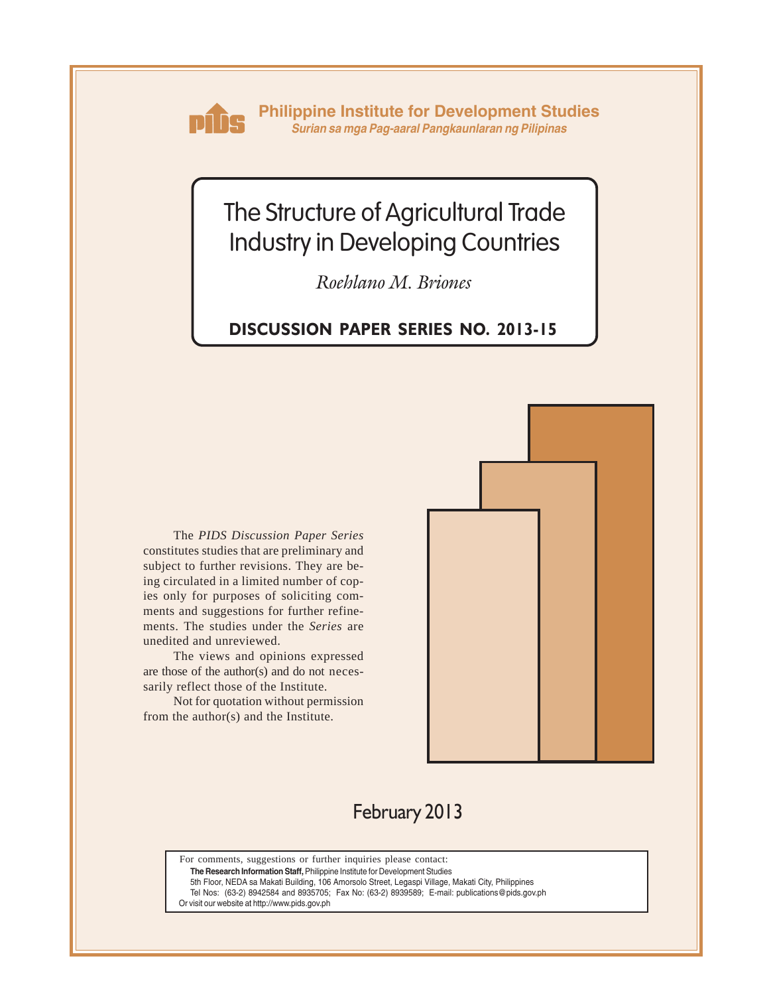

**Philippine Institute for Development Studies** *Surian sa mga Pag-aaral Pangkaunlaran ng Pilipinas*

# The Structure of Agricultural Trade Industry in Developing Countries

*Roehlano M. Briones*

## **DISCUSSION PAPER SERIES NO. 2013-15**

The *PIDS Discussion Paper Series* constitutes studies that are preliminary and subject to further revisions. They are being circulated in a limited number of copies only for purposes of soliciting comments and suggestions for further refinements. The studies under the *Series* are unedited and unreviewed.

The views and opinions expressed are those of the author(s) and do not necessarily reflect those of the Institute.

Not for quotation without permission from the author(s) and the Institute.



## February 2013

For comments, suggestions or further inquiries please contact:

**The Research Information Staff,** Philippine Institute for Development Studies

5th Floor, NEDA sa Makati Building, 106 Amorsolo Street, Legaspi Village, Makati City, Philippines

Tel Nos: (63-2) 8942584 and 8935705; Fax No: (63-2) 8939589; E-mail: publications@pids.gov.ph

Or visit our website at http://www.pids.gov.ph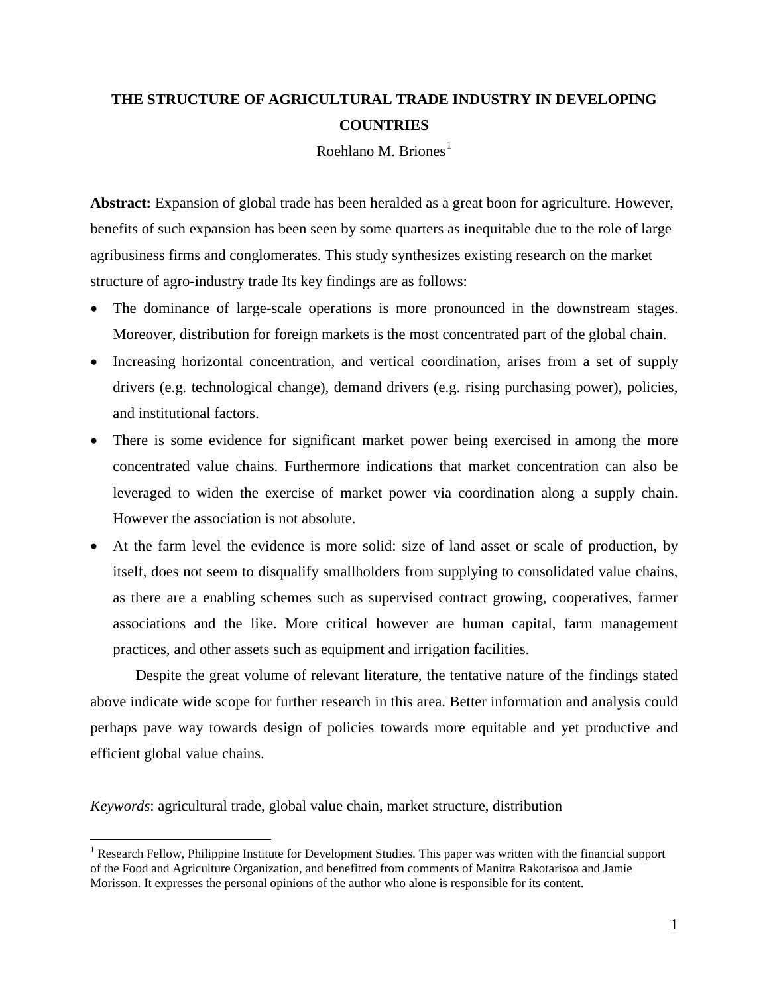## **THE STRUCTURE OF AGRICULTURAL TRADE INDUSTRY IN DEVELOPING COUNTRIES**

Roehlano M. Briones<sup>[1](#page-1-0)</sup>

**Abstract:** Expansion of global trade has been heralded as a great boon for agriculture. However, benefits of such expansion has been seen by some quarters as inequitable due to the role of large agribusiness firms and conglomerates. This study synthesizes existing research on the market structure of agro-industry trade Its key findings are as follows:

- The dominance of large-scale operations is more pronounced in the downstream stages. Moreover, distribution for foreign markets is the most concentrated part of the global chain.
- Increasing horizontal concentration, and vertical coordination, arises from a set of supply drivers (e.g. technological change), demand drivers (e.g. rising purchasing power), policies, and institutional factors.
- There is some evidence for significant market power being exercised in among the more concentrated value chains. Furthermore indications that market concentration can also be leveraged to widen the exercise of market power via coordination along a supply chain. However the association is not absolute.
- At the farm level the evidence is more solid: size of land asset or scale of production, by itself, does not seem to disqualify smallholders from supplying to consolidated value chains, as there are a enabling schemes such as supervised contract growing, cooperatives, farmer associations and the like. More critical however are human capital, farm management practices, and other assets such as equipment and irrigation facilities.

Despite the great volume of relevant literature, the tentative nature of the findings stated above indicate wide scope for further research in this area. Better information and analysis could perhaps pave way towards design of policies towards more equitable and yet productive and efficient global value chains.

*Keywords*: agricultural trade, global value chain, market structure, distribution

<span id="page-1-0"></span><sup>&</sup>lt;sup>1</sup> Research Fellow, Philippine Institute for Development Studies. This paper was written with the financial support of the Food and Agriculture Organization, and benefitted from comments of Manitra Rakotarisoa and Jamie Morisson. It expresses the personal opinions of the author who alone is responsible for its content.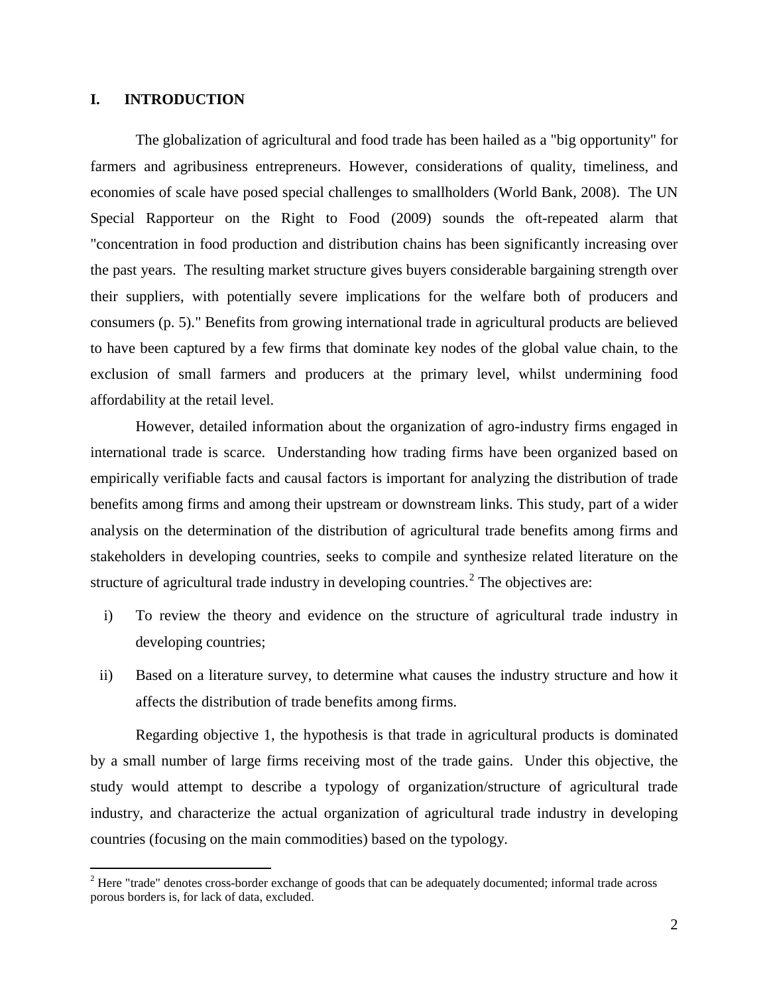## **I. INTRODUCTION**

The globalization of agricultural and food trade has been hailed as a "big opportunity" for farmers and agribusiness entrepreneurs. However, considerations of quality, timeliness, and economies of scale have posed special challenges to smallholders (World Bank, 2008). The UN Special Rapporteur on the Right to Food (2009) sounds the oft-repeated alarm that "concentration in food production and distribution chains has been significantly increasing over the past years. The resulting market structure gives buyers considerable bargaining strength over their suppliers, with potentially severe implications for the welfare both of producers and consumers (p. 5)." Benefits from growing international trade in agricultural products are believed to have been captured by a few firms that dominate key nodes of the global value chain, to the exclusion of small farmers and producers at the primary level, whilst undermining food affordability at the retail level.

However, detailed information about the organization of agro-industry firms engaged in international trade is scarce. Understanding how trading firms have been organized based on empirically verifiable facts and causal factors is important for analyzing the distribution of trade benefits among firms and among their upstream or downstream links. This study, part of a wider analysis on the determination of the distribution of agricultural trade benefits among firms and stakeholders in developing countries, seeks to compile and synthesize related literature on the structure of agricultural trade industry in developing countries.<sup>[2](#page-2-0)</sup> The objectives are:

- i) To review the theory and evidence on the structure of agricultural trade industry in developing countries;
- ii) Based on a literature survey, to determine what causes the industry structure and how it affects the distribution of trade benefits among firms.

Regarding objective 1, the hypothesis is that trade in agricultural products is dominated by a small number of large firms receiving most of the trade gains. Under this objective, the study would attempt to describe a typology of organization/structure of agricultural trade industry, and characterize the actual organization of agricultural trade industry in developing countries (focusing on the main commodities) based on the typology.

<span id="page-2-0"></span><sup>&</sup>lt;sup>2</sup> Here "trade" denotes cross-border exchange of goods that can be adequately documented; informal trade across porous borders is, for lack of data, excluded.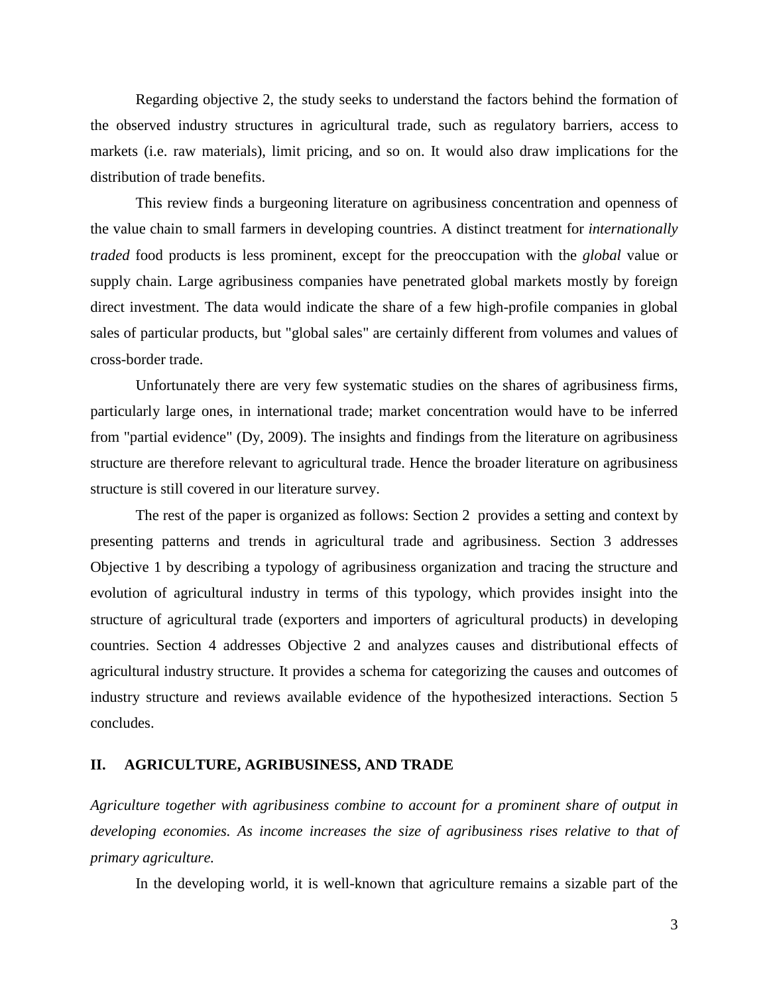Regarding objective 2, the study seeks to understand the factors behind the formation of the observed industry structures in agricultural trade, such as regulatory barriers, access to markets (i.e. raw materials), limit pricing, and so on. It would also draw implications for the distribution of trade benefits.

This review finds a burgeoning literature on agribusiness concentration and openness of the value chain to small farmers in developing countries. A distinct treatment for *internationally traded* food products is less prominent, except for the preoccupation with the *global* value or supply chain. Large agribusiness companies have penetrated global markets mostly by foreign direct investment. The data would indicate the share of a few high-profile companies in global sales of particular products, but "global sales" are certainly different from volumes and values of cross-border trade.

Unfortunately there are very few systematic studies on the shares of agribusiness firms, particularly large ones, in international trade; market concentration would have to be inferred from "partial evidence" (Dy, 2009). The insights and findings from the literature on agribusiness structure are therefore relevant to agricultural trade. Hence the broader literature on agribusiness structure is still covered in our literature survey.

The rest of the paper is organized as follows: Section 2 provides a setting and context by presenting patterns and trends in agricultural trade and agribusiness. Section 3 addresses Objective 1 by describing a typology of agribusiness organization and tracing the structure and evolution of agricultural industry in terms of this typology, which provides insight into the structure of agricultural trade (exporters and importers of agricultural products) in developing countries. Section 4 addresses Objective 2 and analyzes causes and distributional effects of agricultural industry structure. It provides a schema for categorizing the causes and outcomes of industry structure and reviews available evidence of the hypothesized interactions. Section 5 concludes.

## **II. AGRICULTURE, AGRIBUSINESS, AND TRADE**

*Agriculture together with agribusiness combine to account for a prominent share of output in developing economies. As income increases the size of agribusiness rises relative to that of primary agriculture.* 

In the developing world, it is well-known that agriculture remains a sizable part of the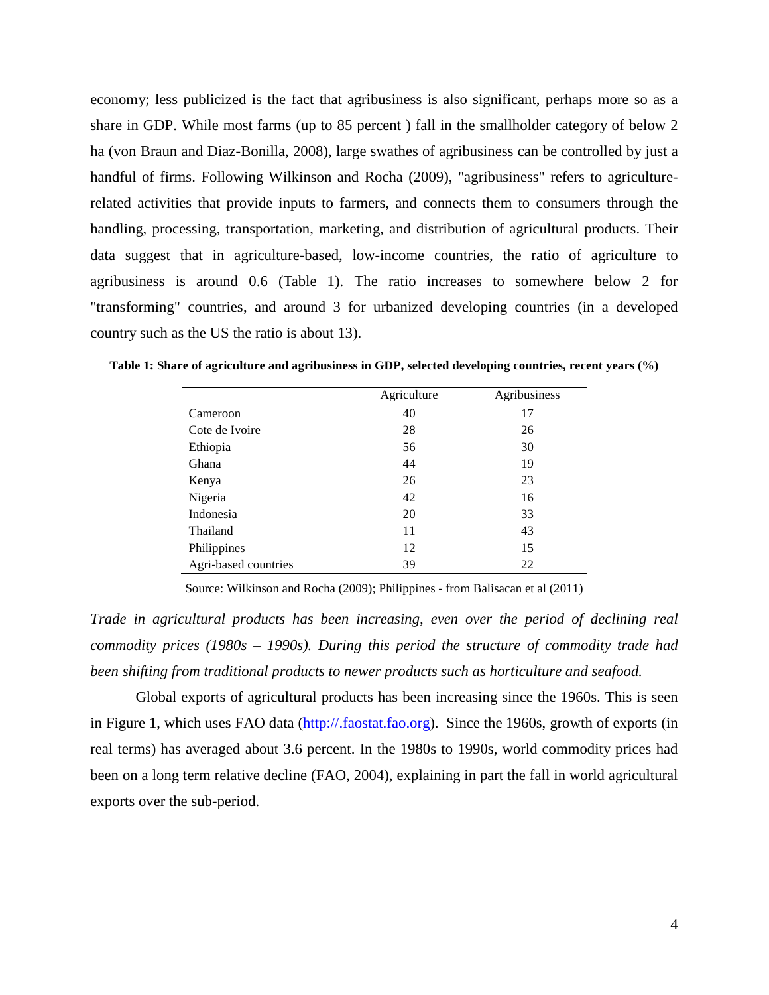economy; less publicized is the fact that agribusiness is also significant, perhaps more so as a share in GDP. While most farms (up to 85 percent ) fall in the smallholder category of below 2 ha (von Braun and Diaz-Bonilla, 2008), large swathes of agribusiness can be controlled by just a handful of firms. Following Wilkinson and Rocha (2009), "agribusiness" refers to agriculturerelated activities that provide inputs to farmers, and connects them to consumers through the handling, processing, transportation, marketing, and distribution of agricultural products. Their data suggest that in agriculture-based, low-income countries, the ratio of agriculture to agribusiness is around 0.6 [\(Table](#page-4-0) 1). The ratio increases to somewhere below 2 for "transforming" countries, and around 3 for urbanized developing countries (in a developed country such as the US the ratio is about 13).

|                      | Agriculture | Agribusiness |
|----------------------|-------------|--------------|
| Cameroon             | 40          | 17           |
| Cote de Ivoire       | 28          | 26           |
| Ethiopia             | 56          | 30           |
| Ghana                | 44          | 19           |
| Kenya                | 26          | 23           |
| Nigeria              | 42          | 16           |
| Indonesia            | 20          | 33           |
| Thailand             | 11          | 43           |
| Philippines          | 12          | 15           |
| Agri-based countries | 39          | 22           |

<span id="page-4-0"></span>**Table 1: Share of agriculture and agribusiness in GDP, selected developing countries, recent years (%)**

Source: Wilkinson and Rocha (2009); Philippines - from Balisacan et al (2011)

*Trade in agricultural products has been increasing, even over the period of declining real commodity prices (1980s – 1990s). During this period the structure of commodity trade had been shifting from traditional products to newer products such as horticulture and seafood.*

Global exports of agricultural products has been increasing since the 1960s. This is seen in [Figure 1,](#page-5-0) which uses FAO data [\(http://.faostat.fao.org\)](http://.faostat.fao.org/). Since the 1960s, growth of exports (in real terms) has averaged about 3.6 percent. In the 1980s to 1990s, world commodity prices had been on a long term relative decline (FAO, 2004), explaining in part the fall in world agricultural exports over the sub-period.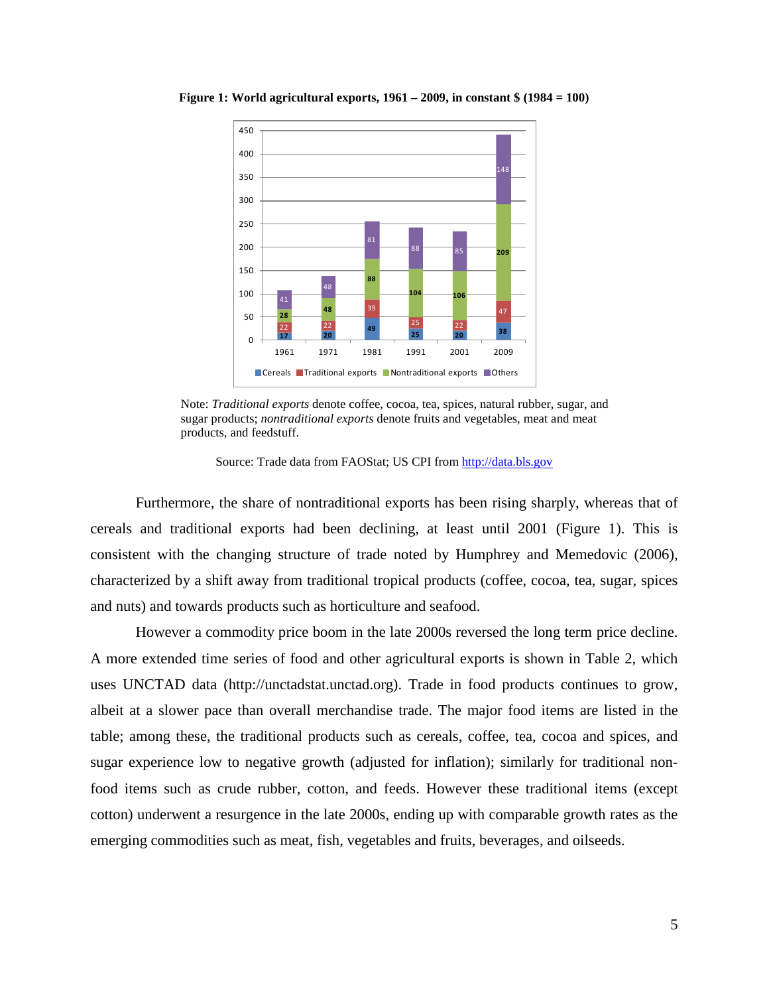

<span id="page-5-0"></span>**Figure 1: World agricultural exports, 1961 – 2009, in constant \$ (1984 = 100)**

Note: *Traditional exports* denote coffee, cocoa, tea, spices, natural rubber, sugar, and sugar products; *nontraditional exports* denote fruits and vegetables, meat and meat products, and feedstuff.

Source: Trade data from FAOStat; US CPI from [http://data.bls.gov](http://data.bls.gov/)

Furthermore, the share of nontraditional exports has been rising sharply, whereas that of cereals and traditional exports had been declining, at least until 2001 [\(Figure 1\)](#page-5-0). This is consistent with the changing structure of trade noted by Humphrey and Memedovic (2006), characterized by a shift away from traditional tropical products (coffee, cocoa, tea, sugar, spices and nuts) and towards products such as horticulture and seafood.

However a commodity price boom in the late 2000s reversed the long term price decline. A more extended time series of food and other agricultural exports is shown in [Table 2,](#page-6-0) which uses UNCTAD data [\(http://unctadstat.unctad.org\)](http://www.unctadstat.org/). Trade in food products continues to grow, albeit at a slower pace than overall merchandise trade. The major food items are listed in the table; among these, the traditional products such as cereals, coffee, tea, cocoa and spices, and sugar experience low to negative growth (adjusted for inflation); similarly for traditional nonfood items such as crude rubber, cotton, and feeds. However these traditional items (except cotton) underwent a resurgence in the late 2000s, ending up with comparable growth rates as the emerging commodities such as meat, fish, vegetables and fruits, beverages, and oilseeds.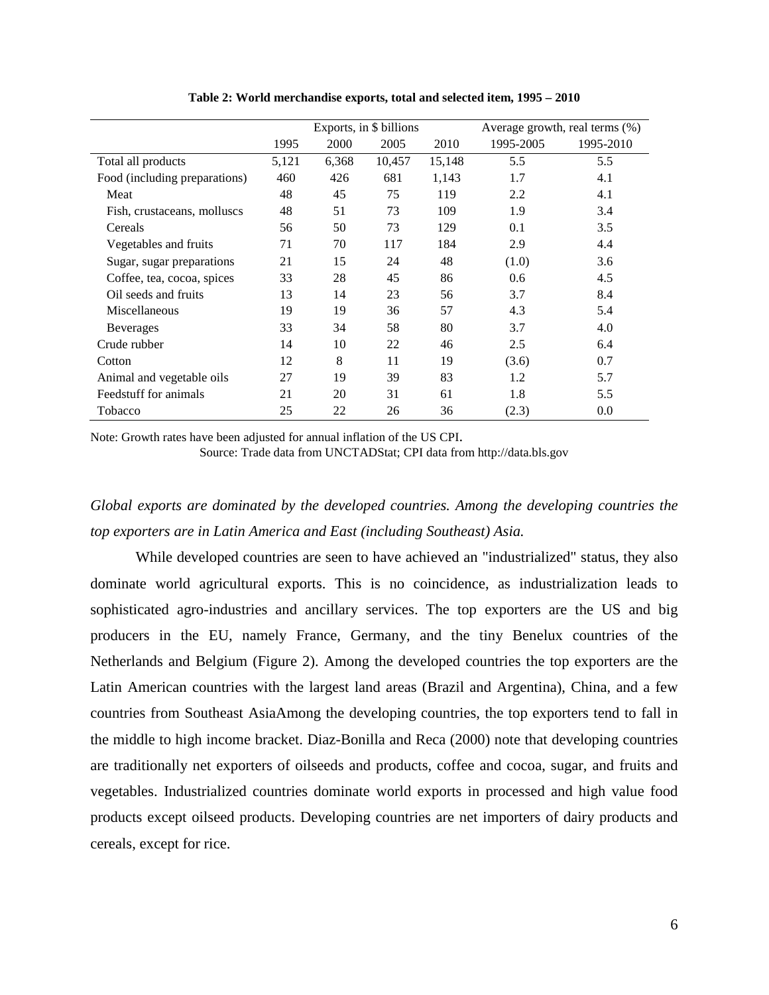<span id="page-6-0"></span>

|                               |       |       | Exports, in \$ billions |        |           | Average growth, real terms (%) |
|-------------------------------|-------|-------|-------------------------|--------|-----------|--------------------------------|
|                               | 1995  | 2000  | 2005                    | 2010   | 1995-2005 | 1995-2010                      |
| Total all products            | 5,121 | 6,368 | 10,457                  | 15,148 | 5.5       | 5.5                            |
| Food (including preparations) | 460   | 426   | 681                     | 1,143  | 1.7       | 4.1                            |
| Meat                          | 48    | 45    | 75                      | 119    | 2.2       | 4.1                            |
| Fish, crustaceans, molluscs   | 48    | 51    | 73                      | 109    | 1.9       | 3.4                            |
| Cereals                       | 56    | 50    | 73                      | 129    | 0.1       | 3.5                            |
| Vegetables and fruits         | 71    | 70    | 117                     | 184    | 2.9       | 4.4                            |
| Sugar, sugar preparations     | 21    | 15    | 24                      | 48     | (1.0)     | 3.6                            |
| Coffee, tea, cocoa, spices    | 33    | 28    | 45                      | 86     | 0.6       | 4.5                            |
| Oil seeds and fruits          | 13    | 14    | 23                      | 56     | 3.7       | 8.4                            |
| Miscellaneous                 | 19    | 19    | 36                      | 57     | 4.3       | 5.4                            |
| <b>Beverages</b>              | 33    | 34    | 58                      | 80     | 3.7       | 4.0                            |
| Crude rubber                  | 14    | 10    | 22                      | 46     | 2.5       | 6.4                            |
| Cotton                        | 12    | 8     | 11                      | 19     | (3.6)     | 0.7                            |
| Animal and vegetable oils     | 27    | 19    | 39                      | 83     | 1.2       | 5.7                            |
| Feedstuff for animals         | 21    | 20    | 31                      | 61     | 1.8       | 5.5                            |
| Tobacco                       | 25    | 22    | 26                      | 36     | (2.3)     | 0.0                            |

**Table 2: World merchandise exports, total and selected item, 1995 – 2010**

Note: Growth rates have been adjusted for annual inflation of the US CPI.

Source: Trade data from UNCTADStat; CPI data fro[m http://data.bls.gov](http://data.bls.gov/)

*Global exports are dominated by the developed countries. Among the developing countries the top exporters are in Latin America and East (including Southeast) Asia.* 

While developed countries are seen to have achieved an "industrialized" status, they also dominate world agricultural exports. This is no coincidence, as industrialization leads to sophisticated agro-industries and ancillary services. The top exporters are the US and big producers in the EU, namely France, Germany, and the tiny Benelux countries of the Netherlands and Belgium [\(Figure 2\)](#page-7-0). Among the developed countries the top exporters are the Latin American countries with the largest land areas (Brazil and Argentina), China, and a few countries from Southeast AsiaAmong the developing countries, the top exporters tend to fall in the middle to high income bracket. Diaz-Bonilla and Reca (2000) note that developing countries are traditionally net exporters of oilseeds and products, coffee and cocoa, sugar, and fruits and vegetables. Industrialized countries dominate world exports in processed and high value food products except oilseed products. Developing countries are net importers of dairy products and cereals, except for rice.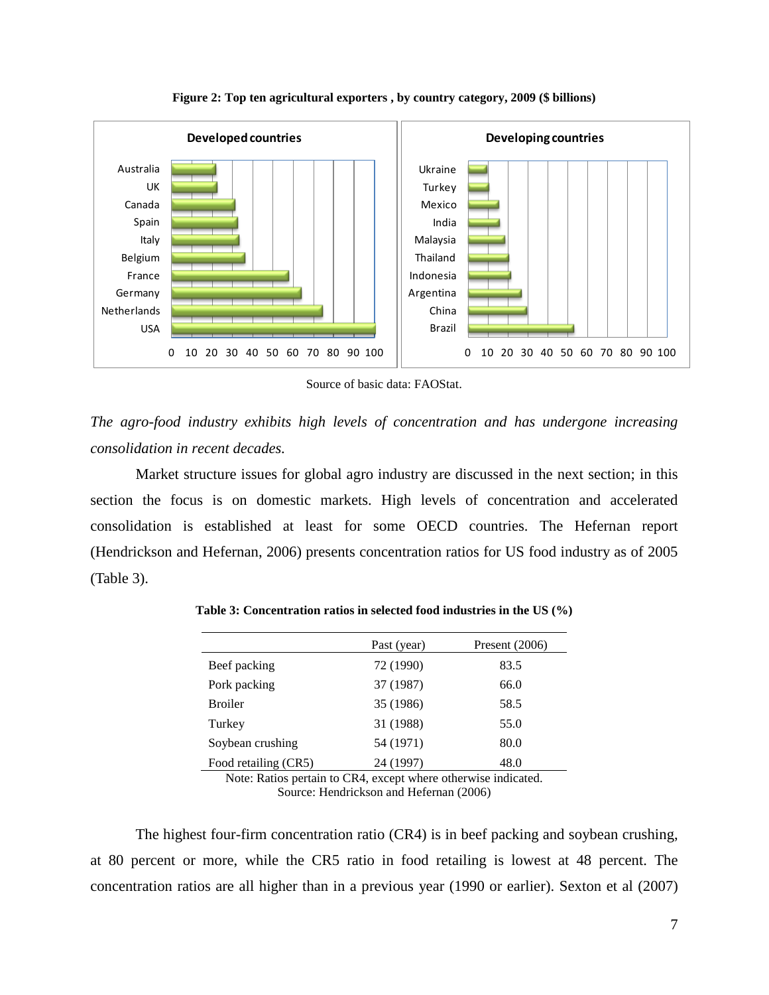<span id="page-7-0"></span>

**Figure 2: Top ten agricultural exporters , by country category, 2009 (\$ billions)**

Source of basic data: FAOStat.

*The agro-food industry exhibits high levels of concentration and has undergone increasing consolidation in recent decades.* 

Market structure issues for global agro industry are discussed in the next section; in this section the focus is on domestic markets. High levels of concentration and accelerated consolidation is established at least for some OECD countries. The Hefernan report (Hendrickson and Hefernan, 2006) presents concentration ratios for US food industry as of 2005 [\(Table 3\)](#page-7-1).

|                      | Past (year) | Present $(2006)$ |
|----------------------|-------------|------------------|
| Beef packing         | 72 (1990)   | 83.5             |
| Pork packing         | 37 (1987)   | 66.0             |
| <b>Broiler</b>       | 35 (1986)   | 58.5             |
| Turkey               | 31 (1988)   | 55.0             |
| Soybean crushing     | 54 (1971)   | 80.0             |
| Food retailing (CR5) | 24 (1997)   | 48.0             |

<span id="page-7-1"></span>**Table 3: Concentration ratios in selected food industries in the US (%)**

Note: Ratios pertain to CR4, except where otherwise indicated. Source: Hendrickson and Hefernan (2006)

The highest four-firm concentration ratio (CR4) is in beef packing and soybean crushing, at 80 percent or more, while the CR5 ratio in food retailing is lowest at 48 percent. The concentration ratios are all higher than in a previous year (1990 or earlier). Sexton et al (2007)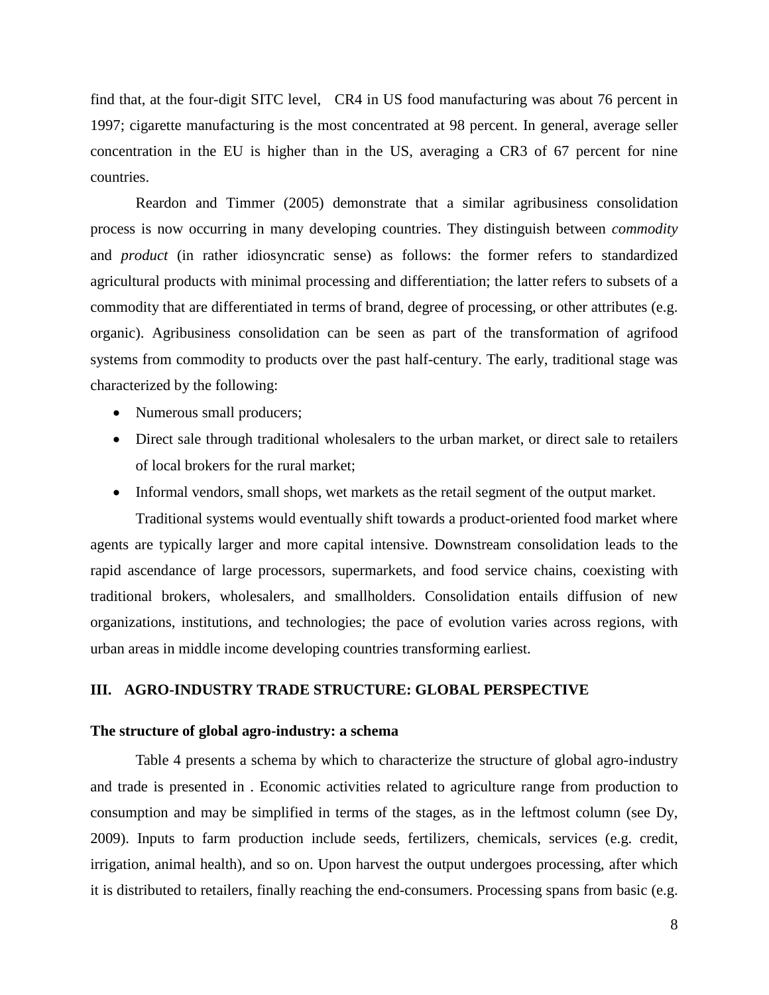find that, at the four-digit SITC level, CR4 in US food manufacturing was about 76 percent in 1997; cigarette manufacturing is the most concentrated at 98 percent. In general, average seller concentration in the EU is higher than in the US, averaging a CR3 of 67 percent for nine countries.

Reardon and Timmer (2005) demonstrate that a similar agribusiness consolidation process is now occurring in many developing countries. They distinguish between *commodity* and *product* (in rather idiosyncratic sense) as follows: the former refers to standardized agricultural products with minimal processing and differentiation; the latter refers to subsets of a commodity that are differentiated in terms of brand, degree of processing, or other attributes (e.g. organic). Agribusiness consolidation can be seen as part of the transformation of agrifood systems from commodity to products over the past half-century. The early, traditional stage was characterized by the following:

- Numerous small producers;
- Direct sale through traditional wholesalers to the urban market, or direct sale to retailers of local brokers for the rural market;
- Informal vendors, small shops, wet markets as the retail segment of the output market.

Traditional systems would eventually shift towards a product-oriented food market where agents are typically larger and more capital intensive. Downstream consolidation leads to the rapid ascendance of large processors, supermarkets, and food service chains, coexisting with traditional brokers, wholesalers, and smallholders. Consolidation entails diffusion of new organizations, institutions, and technologies; the pace of evolution varies across regions, with urban areas in middle income developing countries transforming earliest.

## **III. AGRO-INDUSTRY TRADE STRUCTURE: GLOBAL PERSPECTIVE**

## **The structure of global agro-industry: a schema**

[Table 4](#page-9-0) presents a schema by which to characterize the structure of global agro-industry and trade is presented in . Economic activities related to agriculture range from production to consumption and may be simplified in terms of the stages, as in the leftmost column (see Dy, 2009). Inputs to farm production include seeds, fertilizers, chemicals, services (e.g. credit, irrigation, animal health), and so on. Upon harvest the output undergoes processing, after which it is distributed to retailers, finally reaching the end-consumers. Processing spans from basic (e.g.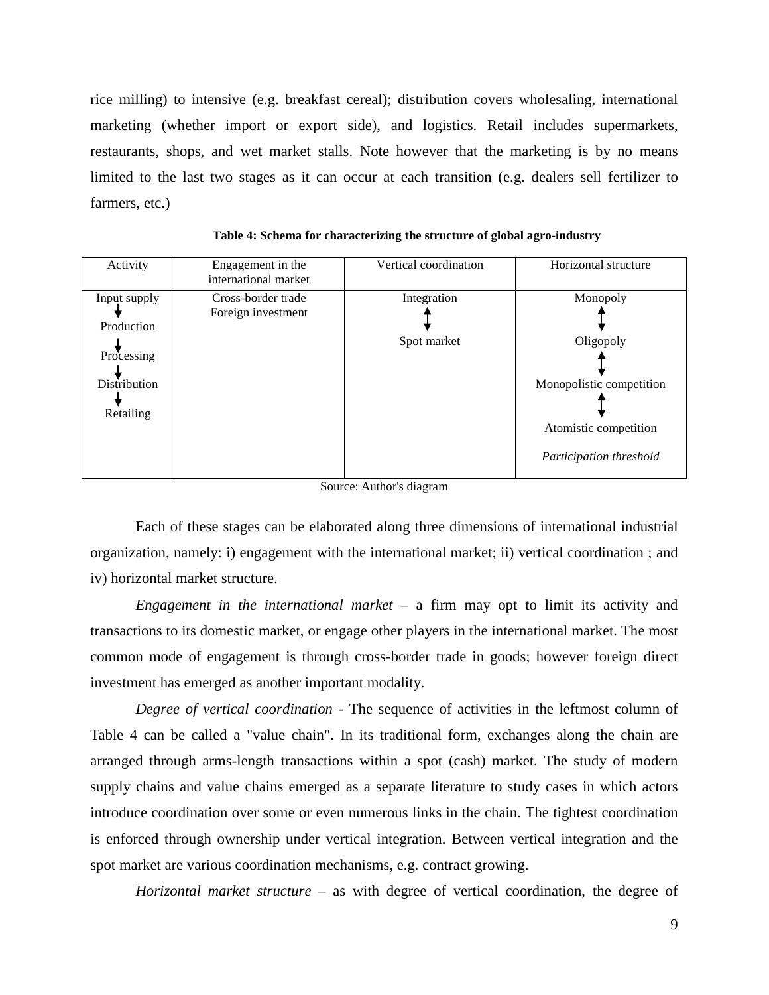rice milling) to intensive (e.g. breakfast cereal); distribution covers wholesaling, international marketing (whether import or export side), and logistics. Retail includes supermarkets, restaurants, shops, and wet market stalls. Note however that the marketing is by no means limited to the last two stages as it can occur at each transition (e.g. dealers sell fertilizer to farmers, etc.)

| Activity                                 | Engagement in the<br>international market | Vertical coordination      | Horizontal structure                             |
|------------------------------------------|-------------------------------------------|----------------------------|--------------------------------------------------|
| Input supply<br>Production<br>Processing | Cross-border trade<br>Foreign investment  | Integration<br>Spot market | Monopoly<br>Oligopoly                            |
| <b>Distribution</b><br>Retailing         |                                           |                            | Monopolistic competition                         |
|                                          |                                           |                            | Atomistic competition<br>Participation threshold |

<span id="page-9-0"></span>**Table 4: Schema for characterizing the structure of global agro-industry** 

Source: Author's diagram

Each of these stages can be elaborated along three dimensions of international industrial organization, namely: i) engagement with the international market; ii) vertical coordination ; and iv) horizontal market structure.

*Engagement in the international market* – a firm may opt to limit its activity and transactions to its domestic market, or engage other players in the international market. The most common mode of engagement is through cross-border trade in goods; however foreign direct investment has emerged as another important modality.

*Degree of vertical coordination -* The sequence of activities in the leftmost column of [Table 4](#page-9-0) can be called a "value chain". In its traditional form, exchanges along the chain are arranged through arms-length transactions within a spot (cash) market. The study of modern supply chains and value chains emerged as a separate literature to study cases in which actors introduce coordination over some or even numerous links in the chain. The tightest coordination is enforced through ownership under vertical integration. Between vertical integration and the spot market are various coordination mechanisms, e.g. contract growing.

*Horizontal market structure –* as with degree of vertical coordination, the degree of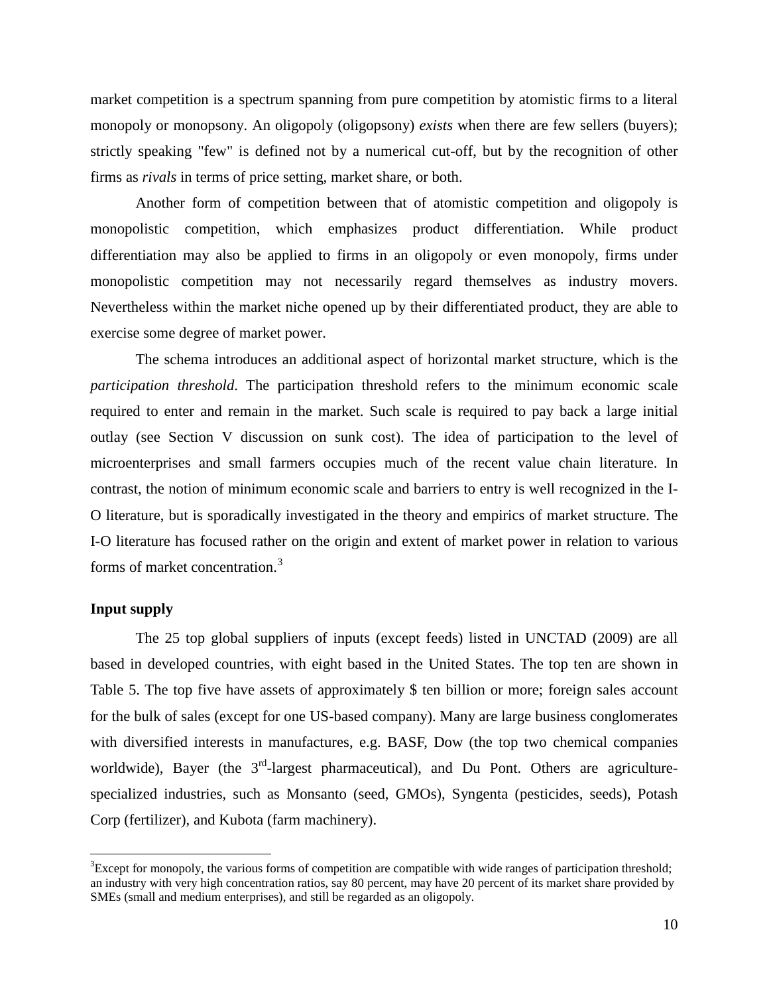market competition is a spectrum spanning from pure competition by atomistic firms to a literal monopoly or monopsony. An oligopoly (oligopsony) *exists* when there are few sellers (buyers); strictly speaking "few" is defined not by a numerical cut-off, but by the recognition of other firms as *rivals* in terms of price setting, market share, or both.

Another form of competition between that of atomistic competition and oligopoly is monopolistic competition, which emphasizes product differentiation. While product differentiation may also be applied to firms in an oligopoly or even monopoly, firms under monopolistic competition may not necessarily regard themselves as industry movers. Nevertheless within the market niche opened up by their differentiated product, they are able to exercise some degree of market power.

The schema introduces an additional aspect of horizontal market structure, which is the *participation threshold*. The participation threshold refers to the minimum economic scale required to enter and remain in the market. Such scale is required to pay back a large initial outlay (see Section V discussion on sunk cost). The idea of participation to the level of microenterprises and small farmers occupies much of the recent value chain literature. In contrast, the notion of minimum economic scale and barriers to entry is well recognized in the I-O literature, but is sporadically investigated in the theory and empirics of market structure. The I-O literature has focused rather on the origin and extent of market power in relation to various forms of market concentration.<sup>[3](#page-10-0)</sup>

## **Input supply**

The 25 top global suppliers of inputs (except feeds) listed in UNCTAD (2009) are all based in developed countries, with eight based in the United States. The top ten are shown in [Table 5.](#page-11-0) The top five have assets of approximately \$ ten billion or more; foreign sales account for the bulk of sales (except for one US-based company). Many are large business conglomerates with diversified interests in manufactures, e.g. BASF, Dow (the top two chemical companies worldwide), Bayer (the  $3<sup>rd</sup>$ -largest pharmaceutical), and Du Pont. Others are agriculturespecialized industries, such as Monsanto (seed, GMOs), Syngenta (pesticides, seeds), Potash Corp (fertilizer), and Kubota (farm machinery).

<span id="page-10-0"></span><sup>&</sup>lt;sup>2</sup><br>3  ${}^{3}$ Except for monopoly, the various forms of competition are compatible with wide ranges of participation threshold; an industry with very high concentration ratios, say 80 percent, may have 20 percent of its market share provided by SMEs (small and medium enterprises), and still be regarded as an oligopoly.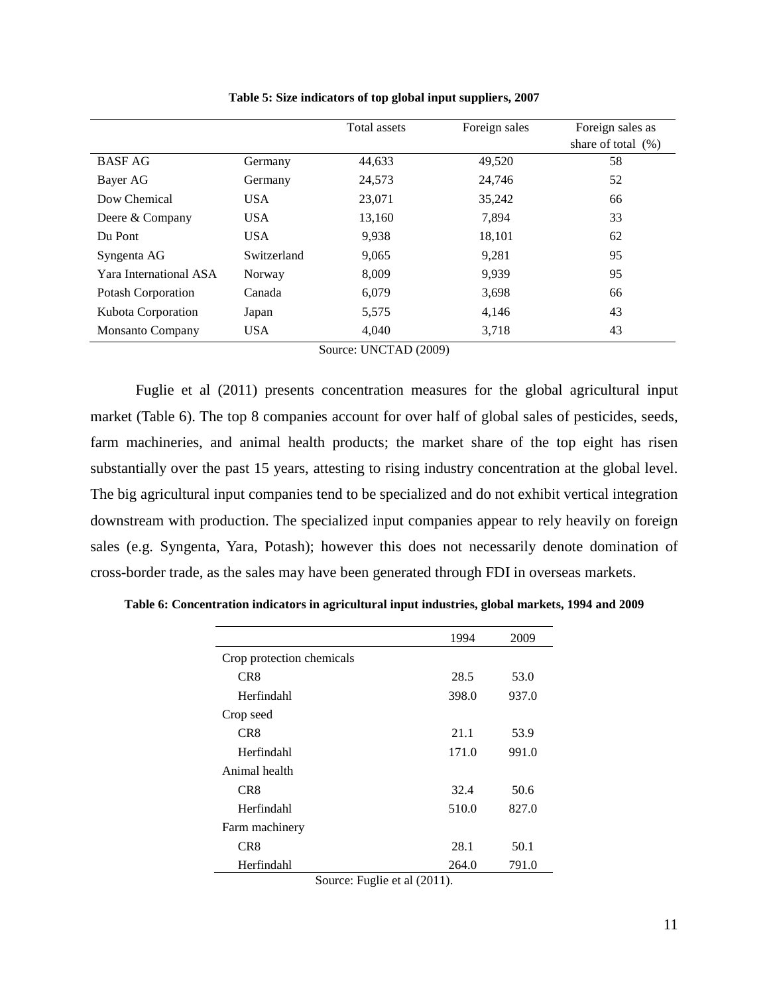<span id="page-11-0"></span>

|                           |             | Total assets | Foreign sales | Foreign sales as<br>share of total $(\%)$ |
|---------------------------|-------------|--------------|---------------|-------------------------------------------|
| <b>BASF AG</b>            | Germany     | 44,633       | 49,520        | 58                                        |
| Bayer AG                  | Germany     | 24,573       | 24,746        | 52                                        |
| Dow Chemical              | <b>USA</b>  | 23,071       | 35,242        | 66                                        |
| Deere & Company           | <b>USA</b>  | 13,160       | 7,894         | 33                                        |
| Du Pont                   | <b>USA</b>  | 9,938        | 18,101        | 62                                        |
| Syngenta AG               | Switzerland | 9,065        | 9,281         | 95                                        |
| Yara International ASA    | Norway      | 8,009        | 9.939         | 95                                        |
| <b>Potash Corporation</b> | Canada      | 6,079        | 3,698         | 66                                        |
| Kubota Corporation        | Japan       | 5,575        | 4,146         | 43                                        |
| <b>Monsanto Company</b>   | <b>USA</b>  | 4,040        | 3,718         | 43                                        |

**Table 5: Size indicators of top global input suppliers, 2007**

Source: UNCTAD (2009)

Fuglie et al (2011) presents concentration measures for the global agricultural input market [\(Table 6\)](#page-11-1). The top 8 companies account for over half of global sales of pesticides, seeds, farm machineries, and animal health products; the market share of the top eight has risen substantially over the past 15 years, attesting to rising industry concentration at the global level. The big agricultural input companies tend to be specialized and do not exhibit vertical integration downstream with production. The specialized input companies appear to rely heavily on foreign sales (e.g. Syngenta, Yara, Potash); however this does not necessarily denote domination of cross-border trade, as the sales may have been generated through FDI in overseas markets.

<span id="page-11-1"></span>

|  |  | Table 6: Concentration indicators in agricultural input industries, global markets, 1994 and 2009 |  |
|--|--|---------------------------------------------------------------------------------------------------|--|
|  |  |                                                                                                   |  |

|                           | 1994  | 2009  |
|---------------------------|-------|-------|
| Crop protection chemicals |       |       |
| CR <sub>8</sub>           | 28.5  | 53.0  |
| Herfindahl                | 398.0 | 937.0 |
| Crop seed                 |       |       |
| CR <sub>8</sub>           | 21.1  | 53.9  |
| Herfindahl                | 171.0 | 991.0 |
| Animal health             |       |       |
| CR <sub>8</sub>           | 32.4  | 50.6  |
| Herfindahl                | 510.0 | 827.0 |
| Farm machinery            |       |       |
| CR <sub>8</sub>           | 28.1  | 50.1  |
| Herfindahl                | 264.0 | 791.0 |

Source: Fuglie et al (2011).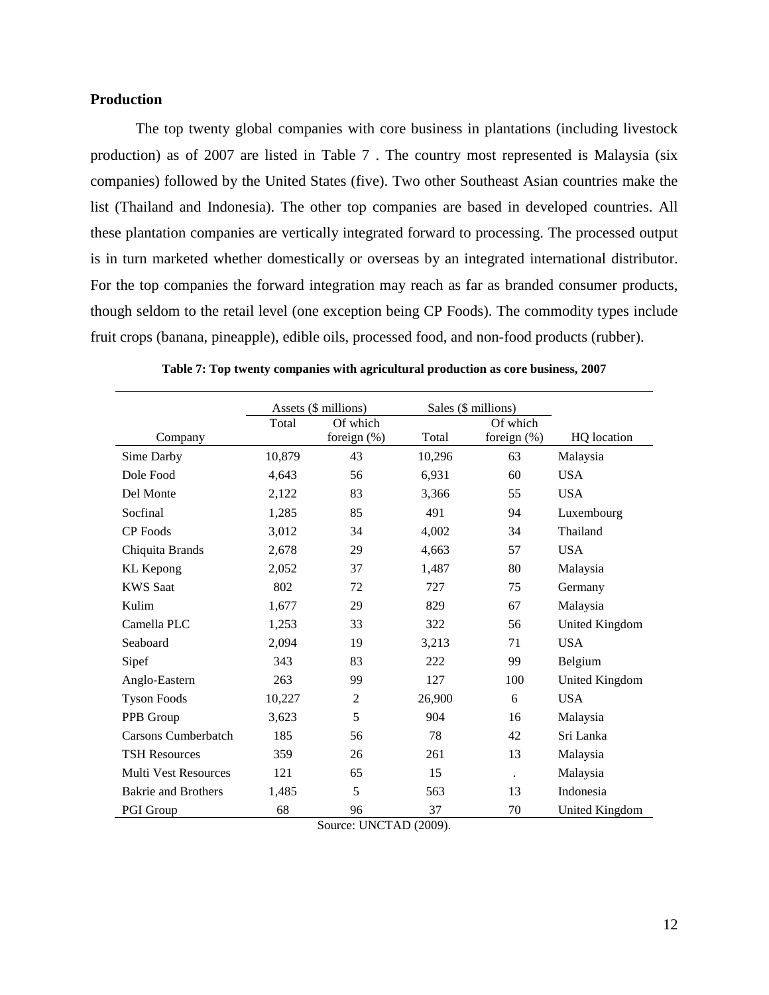## **Production**

The top twenty global companies with core business in plantations (including livestock production) as of 2007 are listed in Table 7 . The country most represented is Malaysia (six companies) followed by the United States (five). Two other Southeast Asian countries make the list (Thailand and Indonesia). The other top companies are based in developed countries. All these plantation companies are vertically integrated forward to processing. The processed output is in turn marketed whether domestically or overseas by an integrated international distributor. For the top companies the forward integration may reach as far as branded consumer products, though seldom to the retail level (one exception being CP Foods). The commodity types include fruit crops (banana, pineapple), edible oils, processed food, and non-food products (rubber).

|                             | Assets (\$ millions) |                |        | Sales (\$ millions) |                |
|-----------------------------|----------------------|----------------|--------|---------------------|----------------|
|                             | Total                | Of which       |        | Of which            |                |
| Company                     |                      | foreign $(\%)$ | Total  | foreign $(%)$       | HQ location    |
| Sime Darby                  | 10,879               | 43             | 10,296 | 63                  | Malaysia       |
| Dole Food                   | 4,643                | 56             | 6,931  | 60                  | <b>USA</b>     |
| Del Monte                   | 2,122                | 83             | 3,366  | 55                  | <b>USA</b>     |
| Socfinal                    | 1,285                | 85             | 491    | 94                  | Luxembourg     |
| CP Foods                    | 3,012                | 34             | 4,002  | 34                  | Thailand       |
| Chiquita Brands             | 2,678                | 29             | 4,663  | 57                  | <b>USA</b>     |
| <b>KL</b> Kepong            | 2,052                | 37             | 1,487  | 80                  | Malaysia       |
| <b>KWS Saat</b>             | 802                  | 72             | 727    | 75                  | Germany        |
| Kulim                       | 1,677                | 29             | 829    | 67                  | Malaysia       |
| Camella PLC                 | 1,253                | 33             | 322    | 56                  | United Kingdom |
| Seaboard                    | 2,094                | 19             | 3,213  | 71                  | <b>USA</b>     |
| Sipef                       | 343                  | 83             | 222    | 99                  | Belgium        |
| Anglo-Eastern               | 263                  | 99             | 127    | 100                 | United Kingdom |
| <b>Tyson Foods</b>          | 10,227               | 2              | 26,900 | 6                   | <b>USA</b>     |
| PPB Group                   | 3,623                | 5              | 904    | 16                  | Malaysia       |
| Carsons Cumberbatch         | 185                  | 56             | 78     | 42                  | Sri Lanka      |
| <b>TSH Resources</b>        | 359                  | 26             | 261    | 13                  | Malaysia       |
| <b>Multi Vest Resources</b> | 121                  | 65             | 15     | $\bullet$           | Malaysia       |
| <b>Bakrie and Brothers</b>  | 1,485                | 5              | 563    | 13                  | Indonesia      |
| PGI Group                   | 68                   | 96             | 37     | 70                  | United Kingdom |

**Table 7: Top twenty companies with agricultural production as core business, 2007**

Source: UNCTAD (2009).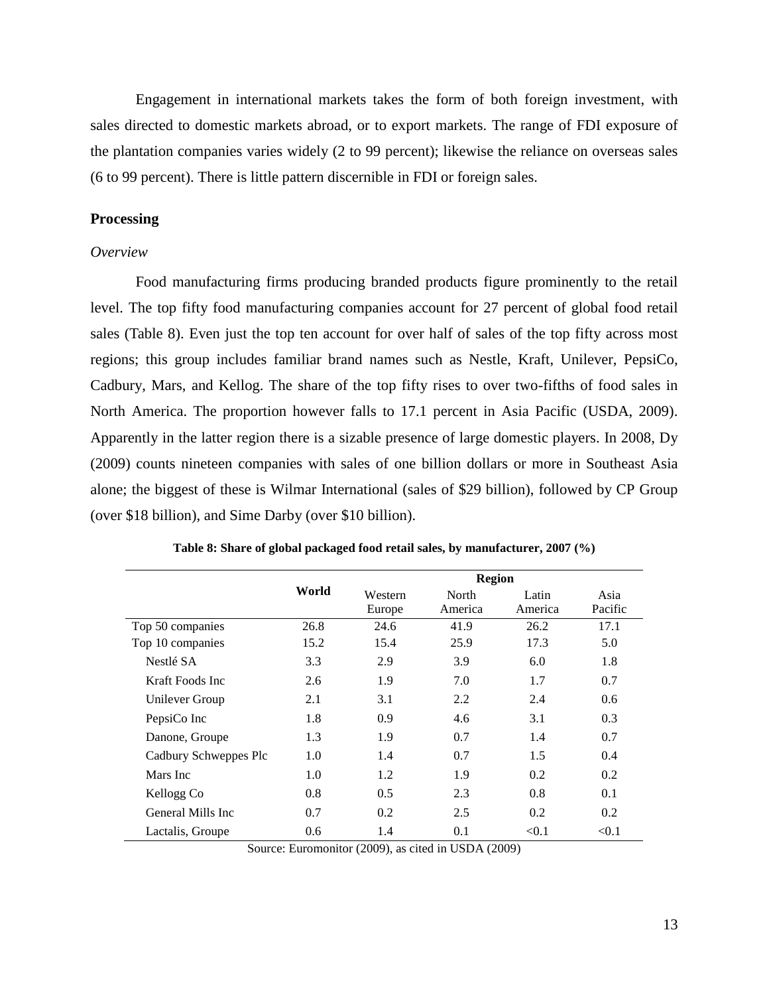Engagement in international markets takes the form of both foreign investment, with sales directed to domestic markets abroad, or to export markets. The range of FDI exposure of the plantation companies varies widely (2 to 99 percent); likewise the reliance on overseas sales (6 to 99 percent). There is little pattern discernible in FDI or foreign sales.

## **Processing**

## *Overview*

Food manufacturing firms producing branded products figure prominently to the retail level. The top fifty food manufacturing companies account for 27 percent of global food retail sales [\(Table 8\)](#page-13-0). Even just the top ten account for over half of sales of the top fifty across most regions; this group includes familiar brand names such as Nestle, Kraft, Unilever, PepsiCo, Cadbury, Mars, and Kellog. The share of the top fifty rises to over two-fifths of food sales in North America. The proportion however falls to 17.1 percent in Asia Pacific (USDA, 2009). Apparently in the latter region there is a sizable presence of large domestic players. In 2008, Dy (2009) counts nineteen companies with sales of one billion dollars or more in Southeast Asia alone; the biggest of these is Wilmar International (sales of \$29 billion), followed by CP Group (over \$18 billion), and Sime Darby (over \$10 billion).

<span id="page-13-0"></span>

|                       |       |         | <b>Region</b> |         |         |
|-----------------------|-------|---------|---------------|---------|---------|
|                       | World | Western | North         | Latin   | Asia    |
|                       |       | Europe  | America       | America | Pacific |
| Top 50 companies      | 26.8  | 24.6    | 41.9          | 26.2    | 17.1    |
| Top 10 companies      | 15.2  | 15.4    | 25.9          | 17.3    | 5.0     |
| Nestlé SA             | 3.3   | 2.9     | 3.9           | 6.0     | 1.8     |
| Kraft Foods Inc       | 2.6   | 1.9     | 7.0           | 1.7     | 0.7     |
| Unilever Group        | 2.1   | 3.1     | 2.2           | 2.4     | 0.6     |
| PepsiCo Inc           | 1.8   | 0.9     | 4.6           | 3.1     | 0.3     |
| Danone, Groupe        | 1.3   | 1.9     | 0.7           | 1.4     | 0.7     |
| Cadbury Schweppes Plc | 1.0   | 1.4     | 0.7           | 1.5     | 0.4     |
| Mars Inc              | 1.0   | 1.2     | 1.9           | 0.2     | 0.2     |
| Kellogg Co            | 0.8   | 0.5     | 2.3           | 0.8     | 0.1     |
| General Mills Inc     | 0.7   | 0.2     | 2.5           | 0.2     | 0.2     |
| Lactalis, Groupe      | 0.6   | 1.4     | 0.1           | < 0.1   | < 0.1   |

**Table 8: Share of global packaged food retail sales, by manufacturer, 2007 (%)**

Source: Euromonitor (2009), as cited in USDA (2009)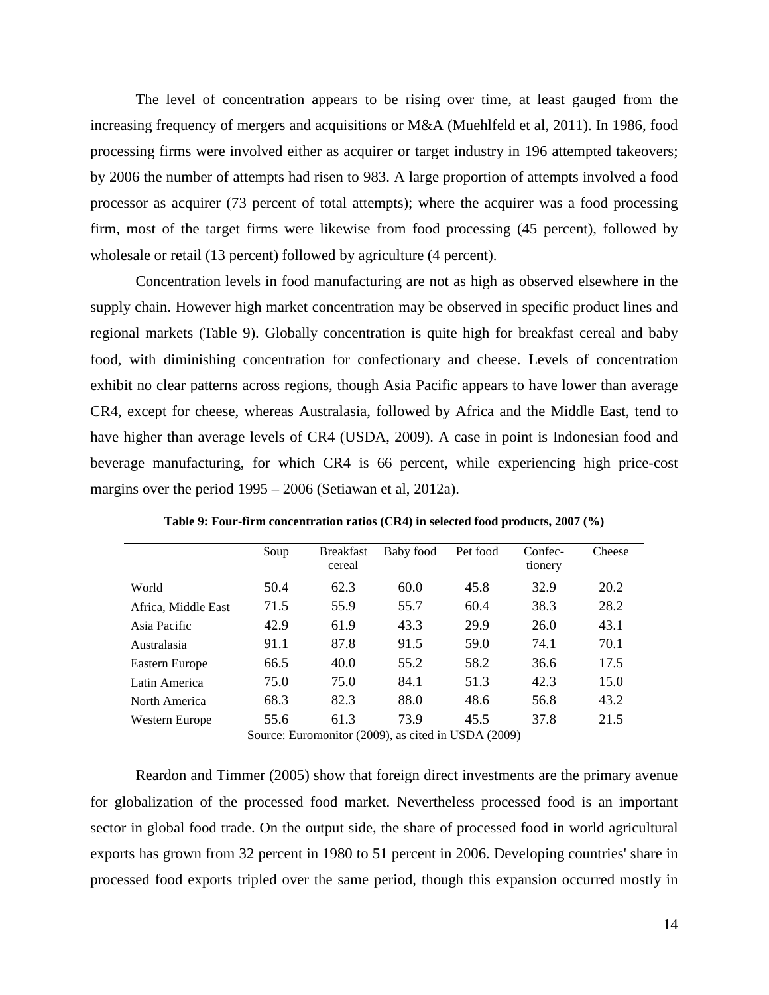The level of concentration appears to be rising over time, at least gauged from the increasing frequency of mergers and acquisitions or M&A (Muehlfeld et al, 2011). In 1986, food processing firms were involved either as acquirer or target industry in 196 attempted takeovers; by 2006 the number of attempts had risen to 983. A large proportion of attempts involved a food processor as acquirer (73 percent of total attempts); where the acquirer was a food processing firm, most of the target firms were likewise from food processing (45 percent), followed by wholesale or retail (13 percent) followed by agriculture (4 percent).

Concentration levels in food manufacturing are not as high as observed elsewhere in the supply chain. However high market concentration may be observed in specific product lines and regional markets [\(Table 9\)](#page-14-0). Globally concentration is quite high for breakfast cereal and baby food, with diminishing concentration for confectionary and cheese. Levels of concentration exhibit no clear patterns across regions, though Asia Pacific appears to have lower than average CR4, except for cheese, whereas Australasia, followed by Africa and the Middle East, tend to have higher than average levels of CR4 (USDA, 2009). A case in point is Indonesian food and beverage manufacturing, for which CR4 is 66 percent, while experiencing high price-cost margins over the period 1995 – 2006 (Setiawan et al, 2012a).

<span id="page-14-0"></span>

|                     | Soup | <b>Breakfast</b><br>cereal | Baby food | Pet food | Confec-<br>tionery | Cheese |
|---------------------|------|----------------------------|-----------|----------|--------------------|--------|
| World               | 50.4 | 62.3                       | 60.0      | 45.8     | 32.9               | 20.2   |
| Africa, Middle East | 71.5 | 55.9                       | 55.7      | 60.4     | 38.3               | 28.2   |
| Asia Pacific        | 42.9 | 61.9                       | 43.3      | 29.9     | 26.0               | 43.1   |
| Australasia         | 91.1 | 87.8                       | 91.5      | 59.0     | 74.1               | 70.1   |
| Eastern Europe      | 66.5 | 40.0                       | 55.2      | 58.2     | 36.6               | 17.5   |
| Latin America       | 75.0 | 75.0                       | 84.1      | 51.3     | 42.3               | 15.0   |
| North America       | 68.3 | 82.3                       | 88.0      | 48.6     | 56.8               | 43.2   |
| Western Europe      | 55.6 | 61.3                       | 73.9      | 45.5     | 37.8               | 21.5   |

**Table 9: Four-firm concentration ratios (CR4) in selected food products, 2007 (%)**

Source: Euromonitor (2009), as cited in USDA (2009)

Reardon and Timmer (2005) show that foreign direct investments are the primary avenue for globalization of the processed food market. Nevertheless processed food is an important sector in global food trade. On the output side, the share of processed food in world agricultural exports has grown from 32 percent in 1980 to 51 percent in 2006. Developing countries' share in processed food exports tripled over the same period, though this expansion occurred mostly in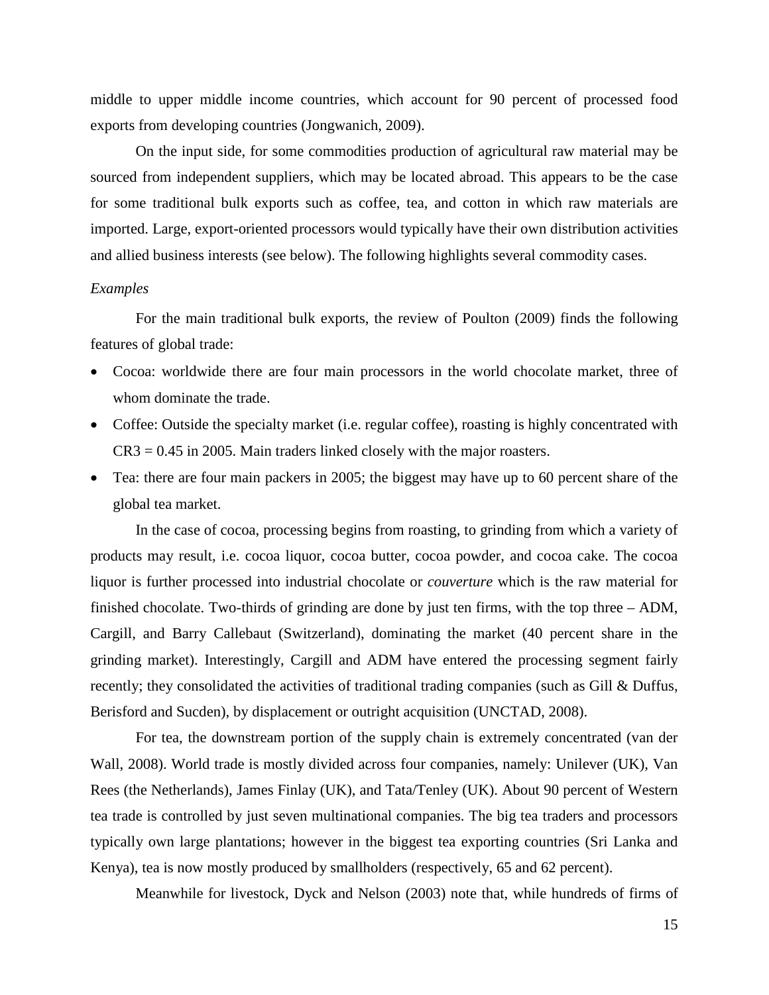middle to upper middle income countries, which account for 90 percent of processed food exports from developing countries (Jongwanich, 2009).

On the input side, for some commodities production of agricultural raw material may be sourced from independent suppliers, which may be located abroad. This appears to be the case for some traditional bulk exports such as coffee, tea, and cotton in which raw materials are imported. Large, export-oriented processors would typically have their own distribution activities and allied business interests (see below). The following highlights several commodity cases.

#### *Examples*

For the main traditional bulk exports, the review of Poulton (2009) finds the following features of global trade:

- Cocoa: worldwide there are four main processors in the world chocolate market, three of whom dominate the trade.
- Coffee: Outside the specialty market (i.e. regular coffee), roasting is highly concentrated with  $CR3 = 0.45$  in 2005. Main traders linked closely with the major roasters.
- Tea: there are four main packers in 2005; the biggest may have up to 60 percent share of the global tea market.

In the case of cocoa, processing begins from roasting, to grinding from which a variety of products may result, i.e. cocoa liquor, cocoa butter, cocoa powder, and cocoa cake. The cocoa liquor is further processed into industrial chocolate or *couverture* which is the raw material for finished chocolate. Two-thirds of grinding are done by just ten firms, with the top three – ADM, Cargill, and Barry Callebaut (Switzerland), dominating the market (40 percent share in the grinding market). Interestingly, Cargill and ADM have entered the processing segment fairly recently; they consolidated the activities of traditional trading companies (such as Gill & Duffus, Berisford and Sucden), by displacement or outright acquisition (UNCTAD, 2008).

For tea, the downstream portion of the supply chain is extremely concentrated (van der Wall, 2008). World trade is mostly divided across four companies, namely: Unilever (UK), Van Rees (the Netherlands), James Finlay (UK), and Tata/Tenley (UK). About 90 percent of Western tea trade is controlled by just seven multinational companies. The big tea traders and processors typically own large plantations; however in the biggest tea exporting countries (Sri Lanka and Kenya), tea is now mostly produced by smallholders (respectively, 65 and 62 percent).

Meanwhile for livestock, Dyck and Nelson (2003) note that, while hundreds of firms of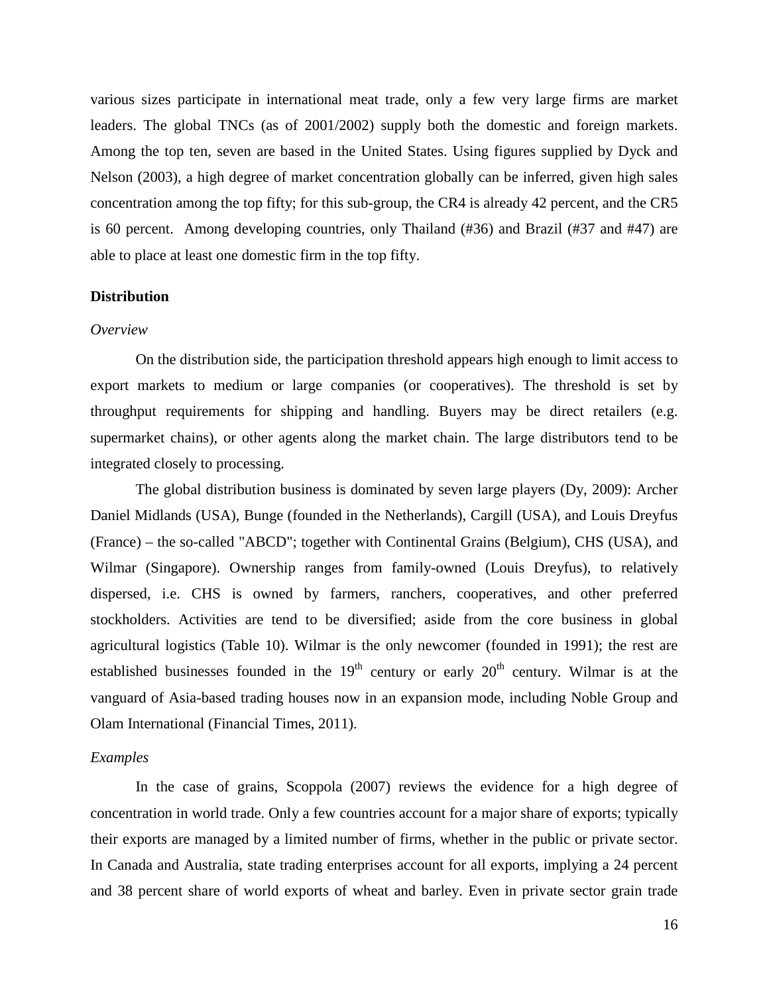various sizes participate in international meat trade, only a few very large firms are market leaders. The global TNCs (as of 2001/2002) supply both the domestic and foreign markets. Among the top ten, seven are based in the United States. Using figures supplied by Dyck and Nelson (2003), a high degree of market concentration globally can be inferred, given high sales concentration among the top fifty; for this sub-group, the CR4 is already 42 percent, and the CR5 is 60 percent. Among developing countries, only Thailand (#36) and Brazil (#37 and #47) are able to place at least one domestic firm in the top fifty.

## **Distribution**

#### *Overview*

On the distribution side, the participation threshold appears high enough to limit access to export markets to medium or large companies (or cooperatives). The threshold is set by throughput requirements for shipping and handling. Buyers may be direct retailers (e.g. supermarket chains), or other agents along the market chain. The large distributors tend to be integrated closely to processing.

The global distribution business is dominated by seven large players (Dy, 2009): Archer Daniel Midlands (USA), Bunge (founded in the Netherlands), Cargill (USA), and Louis Dreyfus (France) – the so-called "ABCD"; together with Continental Grains (Belgium), CHS (USA), and Wilmar (Singapore). Ownership ranges from family-owned (Louis Dreyfus), to relatively dispersed, i.e. CHS is owned by farmers, ranchers, cooperatives, and other preferred stockholders. Activities are tend to be diversified; aside from the core business in global agricultural logistics [\(Table 10\)](#page-17-0). Wilmar is the only newcomer (founded in 1991); the rest are established businesses founded in the  $19<sup>th</sup>$  century or early  $20<sup>th</sup>$  century. Wilmar is at the vanguard of Asia-based trading houses now in an expansion mode, including Noble Group and Olam International (Financial Times, 2011).

### *Examples*

In the case of grains, Scoppola (2007) reviews the evidence for a high degree of concentration in world trade. Only a few countries account for a major share of exports; typically their exports are managed by a limited number of firms, whether in the public or private sector. In Canada and Australia, state trading enterprises account for all exports, implying a 24 percent and 38 percent share of world exports of wheat and barley. Even in private sector grain trade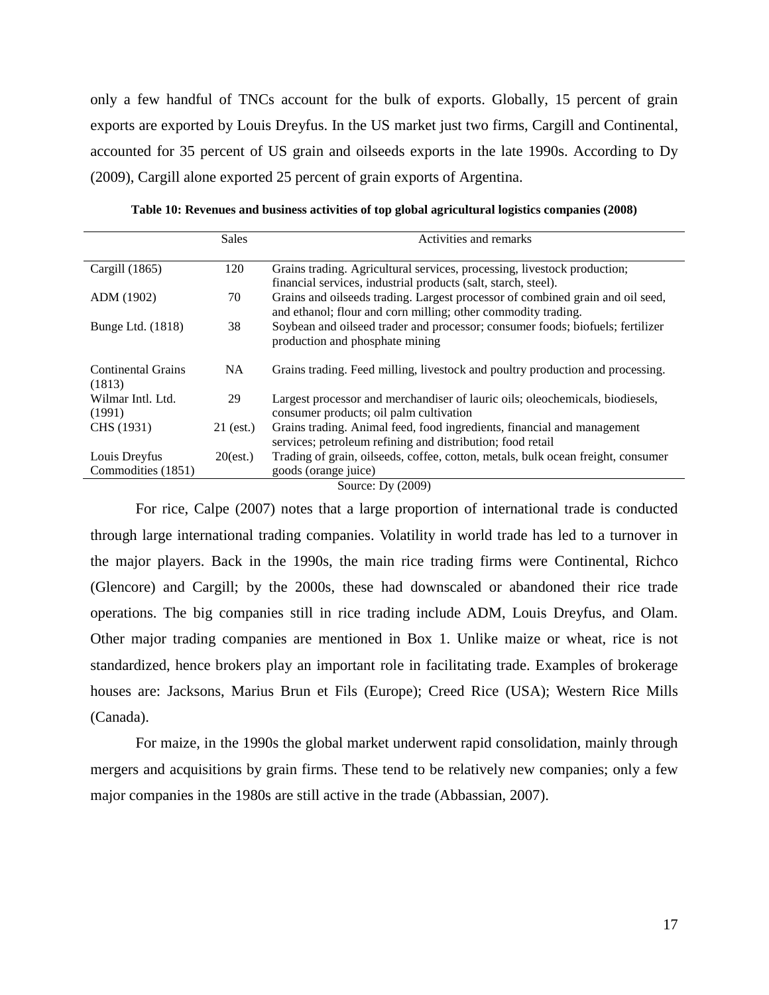only a few handful of TNCs account for the bulk of exports. Globally, 15 percent of grain exports are exported by Louis Dreyfus. In the US market just two firms, Cargill and Continental, accounted for 35 percent of US grain and oilseeds exports in the late 1990s. According to Dy (2009), Cargill alone exported 25 percent of grain exports of Argentina.

<span id="page-17-0"></span>

|                              | <b>Sales</b> | Activities and remarks                                                                                                                          |
|------------------------------|--------------|-------------------------------------------------------------------------------------------------------------------------------------------------|
| Cargill $(1865)$             | 120          | Grains trading. Agricultural services, processing, livestock production;<br>financial services, industrial products (salt, starch, steel).      |
| ADM (1902)                   | 70           | Grains and oilseeds trading. Largest processor of combined grain and oil seed,<br>and ethanol; flour and corn milling; other commodity trading. |
| Bunge Ltd. (1818)            | 38           | Soybean and oilseed trader and processor; consumer foods; biofuels; fertilizer<br>production and phosphate mining                               |
| Continental Grains<br>(1813) | <b>NA</b>    | Grains trading. Feed milling, livestock and poultry production and processing.                                                                  |
| Wilmar Intl. Ltd.<br>(1991)  | 29           | Largest processor and merchandiser of lauric oils; oleochemicals, biodiesels,<br>consumer products; oil palm cultivation                        |
| CHS (1931)                   | 21 (est.)    | Grains trading. Animal feed, food ingredients, financial and management<br>services; petroleum refining and distribution; food retail           |
| Louis Dreyfus                | $20$ (est.)  | Trading of grain, oilseeds, coffee, cotton, metals, bulk ocean freight, consumer                                                                |
| Commodities (1851)           |              | goods (orange juice)                                                                                                                            |
|                              |              | Source: Dy (2009)                                                                                                                               |

**Table 10: Revenues and business activities of top global agricultural logistics companies (2008)**

For rice, Calpe (2007) notes that a large proportion of international trade is conducted through large international trading companies. Volatility in world trade has led to a turnover in the major players. Back in the 1990s, the main rice trading firms were Continental, Richco (Glencore) and Cargill; by the 2000s, these had downscaled or abandoned their rice trade operations. The big companies still in rice trading include ADM, Louis Dreyfus, and Olam. Other major trading companies are mentioned in Box 1. Unlike maize or wheat, rice is not standardized, hence brokers play an important role in facilitating trade. Examples of brokerage houses are: Jacksons, Marius Brun et Fils (Europe); Creed Rice (USA); Western Rice Mills

For maize, in the 1990s the global market underwent rapid consolidation, mainly through mergers and acquisitions by grain firms. These tend to be relatively new companies; only a few major companies in the 1980s are still active in the trade (Abbassian, 2007).

(Canada).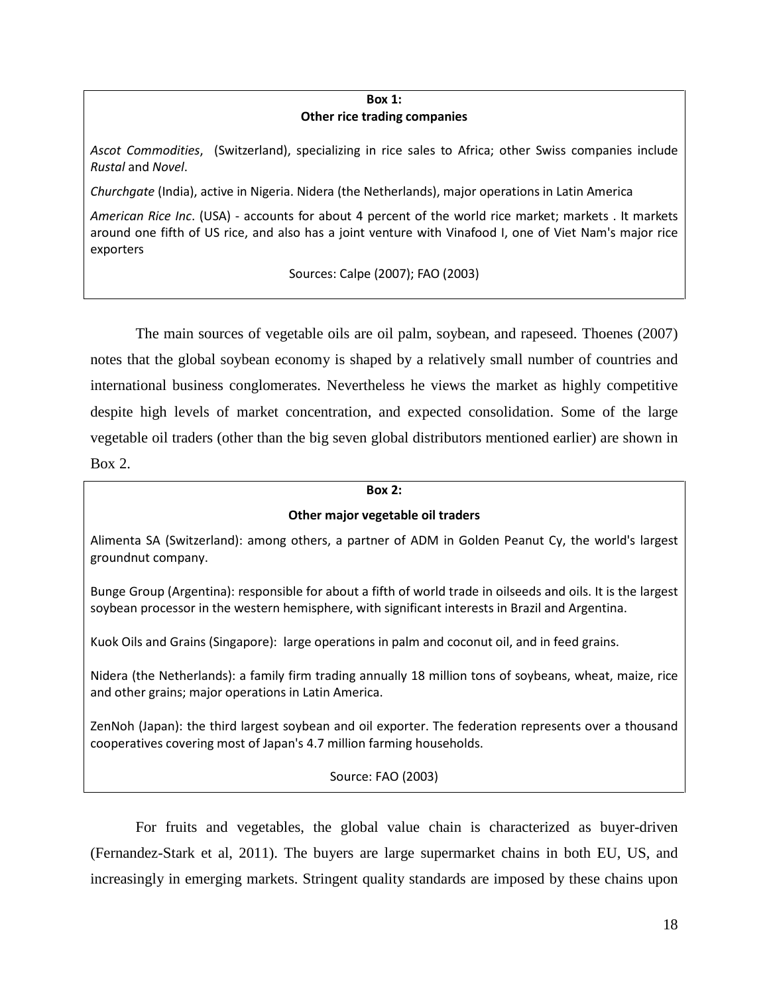#### **Box 1: Other rice trading companies**

*Ascot Commodities*, (Switzerland), specializing in rice sales to Africa; other Swiss companies include *Rustal* and *Novel*.

*Churchgate* (India), active in Nigeria. Nidera (the Netherlands), major operations in Latin America

*American Rice Inc*. (USA) - accounts for about 4 percent of the world rice market; markets . It markets around one fifth of US rice, and also has a joint venture with Vinafood I, one of Viet Nam's major rice exporters

Sources: Calpe (2007); FAO (2003)

The main sources of vegetable oils are oil palm, soybean, and rapeseed. Thoenes (2007) notes that the global soybean economy is shaped by a relatively small number of countries and international business conglomerates. Nevertheless he views the market as highly competitive despite high levels of market concentration, and expected consolidation. Some of the large vegetable oil traders (other than the big seven global distributors mentioned earlier) are shown in Box 2.

#### **Box 2:**

## **Other major vegetable oil traders**

Alimenta SA (Switzerland): among others, a partner of ADM in Golden Peanut Cy, the world's largest groundnut company.

Bunge Group (Argentina): responsible for about a fifth of world trade in oilseeds and oils. It is the largest soybean processor in the western hemisphere, with significant interests in Brazil and Argentina.

Kuok Oils and Grains (Singapore): large operations in palm and coconut oil, and in feed grains.

Nidera (the Netherlands): a family firm trading annually 18 million tons of soybeans, wheat, maize, rice and other grains; major operations in Latin America.

ZenNoh (Japan): the third largest soybean and oil exporter. The federation represents over a thousand cooperatives covering most of Japan's 4.7 million farming households.

Source: FAO (2003)

For fruits and vegetables, the global value chain is characterized as buyer-driven (Fernandez-Stark et al, 2011). The buyers are large supermarket chains in both EU, US, and increasingly in emerging markets. Stringent quality standards are imposed by these chains upon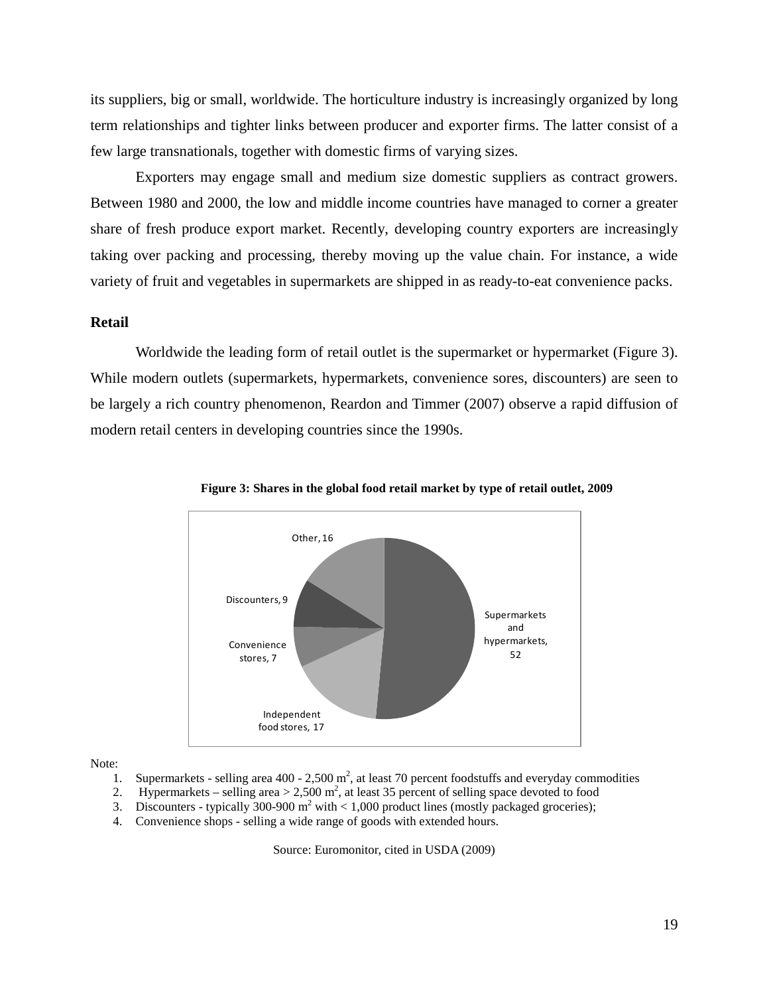its suppliers, big or small, worldwide. The horticulture industry is increasingly organized by long term relationships and tighter links between producer and exporter firms. The latter consist of a few large transnationals, together with domestic firms of varying sizes.

Exporters may engage small and medium size domestic suppliers as contract growers. Between 1980 and 2000, the low and middle income countries have managed to corner a greater share of fresh produce export market. Recently, developing country exporters are increasingly taking over packing and processing, thereby moving up the value chain. For instance, a wide variety of fruit and vegetables in supermarkets are shipped in as ready-to-eat convenience packs.

#### **Retail**

Worldwide the leading form of retail outlet is the supermarket or hypermarket [\(Figure 3\)](#page-19-0). While modern outlets (supermarkets, hypermarkets, convenience sores, discounters) are seen to be largely a rich country phenomenon, Reardon and Timmer (2007) observe a rapid diffusion of modern retail centers in developing countries since the 1990s.



<span id="page-19-0"></span>

Note:

- 1. Supermarkets selling area  $400 2{,}500 \text{ m}^2$ , at least 70 percent foodstuffs and everyday commodities
- 2. Hypermarkets selling area  $> 2,500$  m<sup>2</sup>, at least 35 percent of selling space devoted to food
- 3. Discounters typically 300-900  $m^2$  with  $\lt 1,000$  product lines (mostly packaged groceries);
- 4. Convenience shops selling a wide range of goods with extended hours.

Source: Euromonitor, cited in USDA (2009)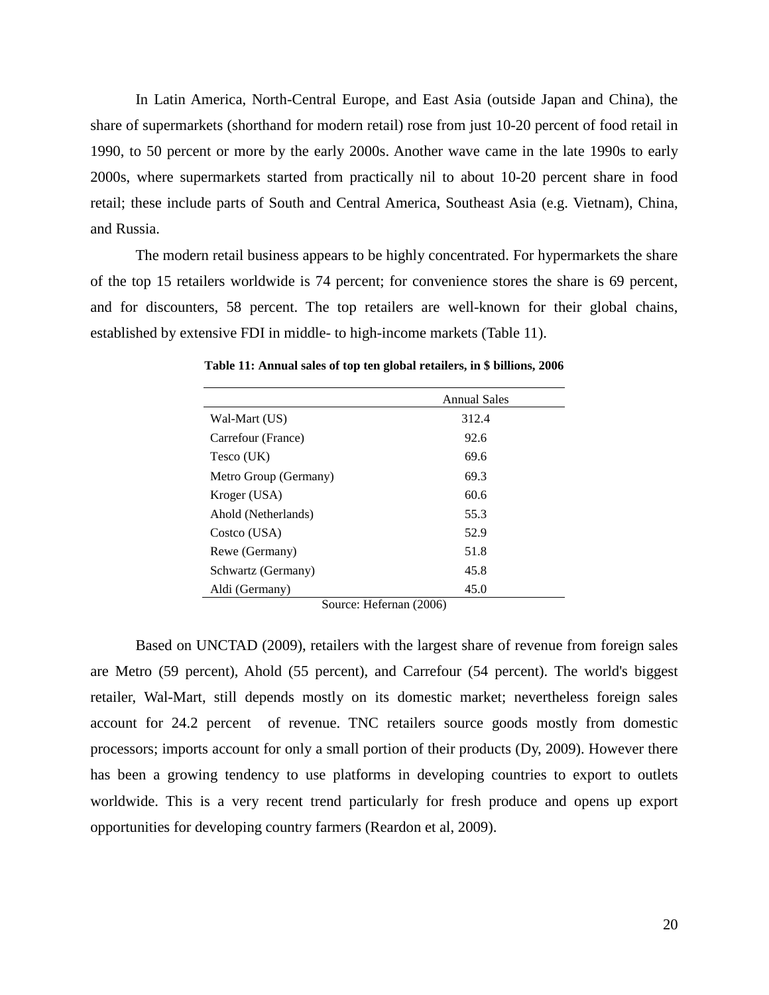In Latin America, North-Central Europe, and East Asia (outside Japan and China), the share of supermarkets (shorthand for modern retail) rose from just 10-20 percent of food retail in 1990, to 50 percent or more by the early 2000s. Another wave came in the late 1990s to early 2000s, where supermarkets started from practically nil to about 10-20 percent share in food retail; these include parts of South and Central America, Southeast Asia (e.g. Vietnam), China, and Russia.

<span id="page-20-0"></span>The modern retail business appears to be highly concentrated. For hypermarkets the share of the top 15 retailers worldwide is 74 percent; for convenience stores the share is 69 percent, and for discounters, 58 percent. The top retailers are well-known for their global chains, established by extensive FDI in middle- to high-income markets [\(Table 11\)](#page-20-0).

|                       | <b>Annual Sales</b> |
|-----------------------|---------------------|
| Wal-Mart (US)         | 312.4               |
| Carrefour (France)    | 92.6                |
| Tesco (UK)            | 69.6                |
| Metro Group (Germany) | 69.3                |
| Kroger (USA)          | 60.6                |
| Ahold (Netherlands)   | 55.3                |
| Costco (USA)          | 52.9                |
| Rewe (Germany)        | 51.8                |
| Schwartz (Germany)    | 45.8                |
| Aldi (Germany)        | 45.0                |

**Table 11: Annual sales of top ten global retailers, in \$ billions, 2006**

Source: Hefernan (2006)

Based on UNCTAD (2009), retailers with the largest share of revenue from foreign sales are Metro (59 percent), Ahold (55 percent), and Carrefour (54 percent). The world's biggest retailer, Wal-Mart, still depends mostly on its domestic market; nevertheless foreign sales account for 24.2 percent of revenue. TNC retailers source goods mostly from domestic processors; imports account for only a small portion of their products (Dy, 2009). However there has been a growing tendency to use platforms in developing countries to export to outlets worldwide. This is a very recent trend particularly for fresh produce and opens up export opportunities for developing country farmers (Reardon et al, 2009).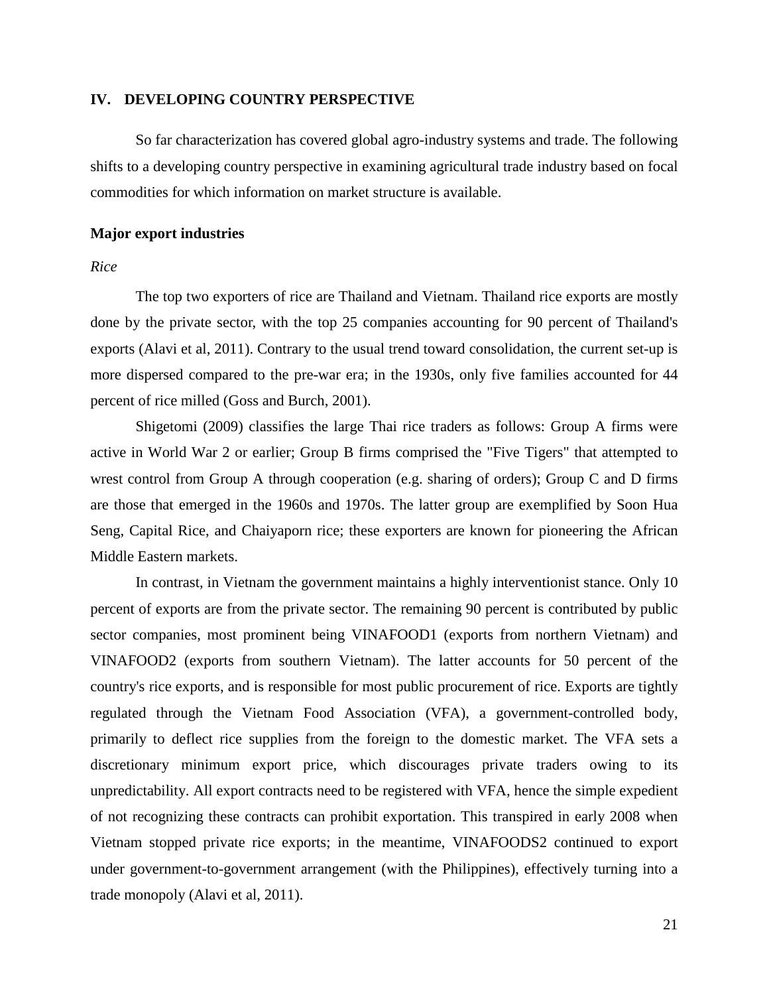### **IV. DEVELOPING COUNTRY PERSPECTIVE**

So far characterization has covered global agro-industry systems and trade. The following shifts to a developing country perspective in examining agricultural trade industry based on focal commodities for which information on market structure is available.

#### **Major export industries**

#### *Rice*

The top two exporters of rice are Thailand and Vietnam. Thailand rice exports are mostly done by the private sector, with the top 25 companies accounting for 90 percent of Thailand's exports (Alavi et al, 2011). Contrary to the usual trend toward consolidation, the current set-up is more dispersed compared to the pre-war era; in the 1930s, only five families accounted for 44 percent of rice milled (Goss and Burch, 2001).

Shigetomi (2009) classifies the large Thai rice traders as follows: Group A firms were active in World War 2 or earlier; Group B firms comprised the "Five Tigers" that attempted to wrest control from Group A through cooperation (e.g. sharing of orders); Group C and D firms are those that emerged in the 1960s and 1970s. The latter group are exemplified by Soon Hua Seng, Capital Rice, and Chaiyaporn rice; these exporters are known for pioneering the African Middle Eastern markets.

In contrast, in Vietnam the government maintains a highly interventionist stance. Only 10 percent of exports are from the private sector. The remaining 90 percent is contributed by public sector companies, most prominent being VINAFOOD1 (exports from northern Vietnam) and VINAFOOD2 (exports from southern Vietnam). The latter accounts for 50 percent of the country's rice exports, and is responsible for most public procurement of rice. Exports are tightly regulated through the Vietnam Food Association (VFA), a government-controlled body, primarily to deflect rice supplies from the foreign to the domestic market. The VFA sets a discretionary minimum export price, which discourages private traders owing to its unpredictability. All export contracts need to be registered with VFA, hence the simple expedient of not recognizing these contracts can prohibit exportation. This transpired in early 2008 when Vietnam stopped private rice exports; in the meantime, VINAFOODS2 continued to export under government-to-government arrangement (with the Philippines), effectively turning into a trade monopoly (Alavi et al, 2011).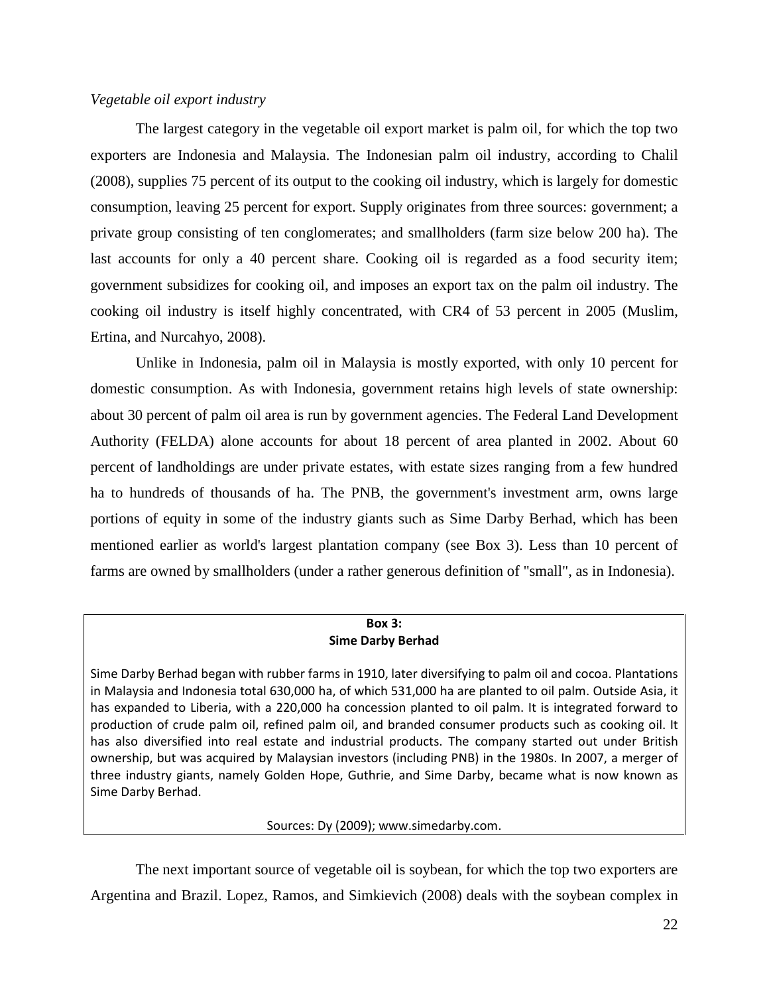## *Vegetable oil export industry*

The largest category in the vegetable oil export market is palm oil, for which the top two exporters are Indonesia and Malaysia. The Indonesian palm oil industry, according to Chalil (2008), supplies 75 percent of its output to the cooking oil industry, which is largely for domestic consumption, leaving 25 percent for export. Supply originates from three sources: government; a private group consisting of ten conglomerates; and smallholders (farm size below 200 ha). The last accounts for only a 40 percent share. Cooking oil is regarded as a food security item; government subsidizes for cooking oil, and imposes an export tax on the palm oil industry. The cooking oil industry is itself highly concentrated, with CR4 of 53 percent in 2005 (Muslim, Ertina, and Nurcahyo, 2008).

Unlike in Indonesia, palm oil in Malaysia is mostly exported, with only 10 percent for domestic consumption. As with Indonesia, government retains high levels of state ownership: about 30 percent of palm oil area is run by government agencies. The Federal Land Development Authority (FELDA) alone accounts for about 18 percent of area planted in 2002. About 60 percent of landholdings are under private estates, with estate sizes ranging from a few hundred ha to hundreds of thousands of ha. The PNB, the government's investment arm, owns large portions of equity in some of the industry giants such as Sime Darby Berhad, which has been mentioned earlier as world's largest plantation company (see Box 3). Less than 10 percent of farms are owned by smallholders (under a rather generous definition of "small", as in Indonesia).

## **Box 3: Sime Darby Berhad**

Sime Darby Berhad began with rubber farms in 1910, later diversifying to palm oil and cocoa. Plantations in Malaysia and Indonesia total 630,000 ha, of which 531,000 ha are planted to oil palm. Outside Asia, it has expanded to Liberia, with a 220,000 ha concession planted to oil palm. It is integrated forward to production of crude palm oil, refined palm oil, and branded consumer products such as cooking oil. It has also diversified into real estate and industrial products. The company started out under British ownership, but was acquired by Malaysian investors (including PNB) in the 1980s. In 2007, a merger of three industry giants, namely Golden Hope, Guthrie, and Sime Darby, became what is now known as Sime Darby Berhad.

Sources: Dy (2009)[; www.simedarby.com.](http://www.simedarby.com/)

The next important source of vegetable oil is soybean, for which the top two exporters are Argentina and Brazil. Lopez, Ramos, and Simkievich (2008) deals with the soybean complex in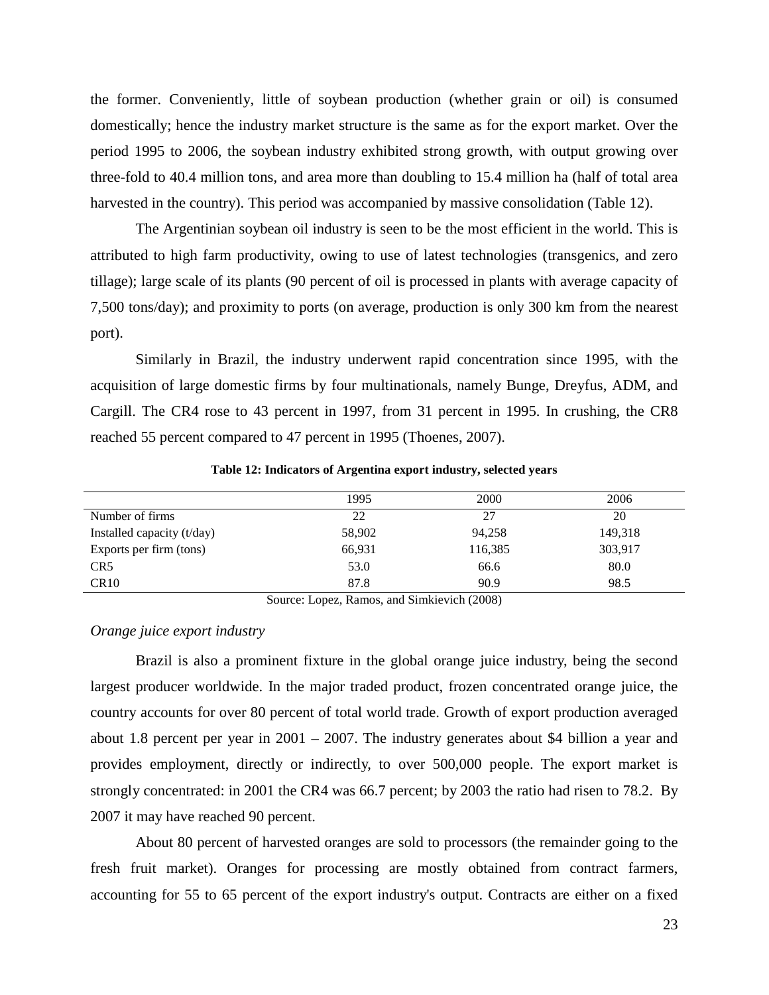the former. Conveniently, little of soybean production (whether grain or oil) is consumed domestically; hence the industry market structure is the same as for the export market. Over the period 1995 to 2006, the soybean industry exhibited strong growth, with output growing over three-fold to 40.4 million tons, and area more than doubling to 15.4 million ha (half of total area harvested in the country). This period was accompanied by massive consolidation [\(Table 12\)](#page-23-0).

The Argentinian soybean oil industry is seen to be the most efficient in the world. This is attributed to high farm productivity, owing to use of latest technologies (transgenics, and zero tillage); large scale of its plants (90 percent of oil is processed in plants with average capacity of 7,500 tons/day); and proximity to ports (on average, production is only 300 km from the nearest port).

Similarly in Brazil, the industry underwent rapid concentration since 1995, with the acquisition of large domestic firms by four multinationals, namely Bunge, Dreyfus, ADM, and Cargill. The CR4 rose to 43 percent in 1997, from 31 percent in 1995. In crushing, the CR8 reached 55 percent compared to 47 percent in 1995 (Thoenes, 2007).

<span id="page-23-0"></span>

|                            | 1995   | 2000    | 2006    |
|----------------------------|--------|---------|---------|
| Number of firms            | 22     | 27      | 20      |
| Installed capacity (t/day) | 58,902 | 94,258  | 149,318 |
| Exports per firm (tons)    | 66,931 | 116,385 | 303,917 |
| CR <sub>5</sub>            | 53.0   | 66.6    | 80.0    |
| CR10                       | 87.8   | 90.9    | 98.5    |

**Table 12: Indicators of Argentina export industry, selected years**

Source: Lopez, Ramos, and Simkievich (2008)

## *Orange juice export industry*

Brazil is also a prominent fixture in the global orange juice industry, being the second largest producer worldwide. In the major traded product, frozen concentrated orange juice, the country accounts for over 80 percent of total world trade. Growth of export production averaged about 1.8 percent per year in 2001 – 2007. The industry generates about \$4 billion a year and provides employment, directly or indirectly, to over 500,000 people. The export market is strongly concentrated: in 2001 the CR4 was 66.7 percent; by 2003 the ratio had risen to 78.2. By 2007 it may have reached 90 percent.

About 80 percent of harvested oranges are sold to processors (the remainder going to the fresh fruit market). Oranges for processing are mostly obtained from contract farmers, accounting for 55 to 65 percent of the export industry's output. Contracts are either on a fixed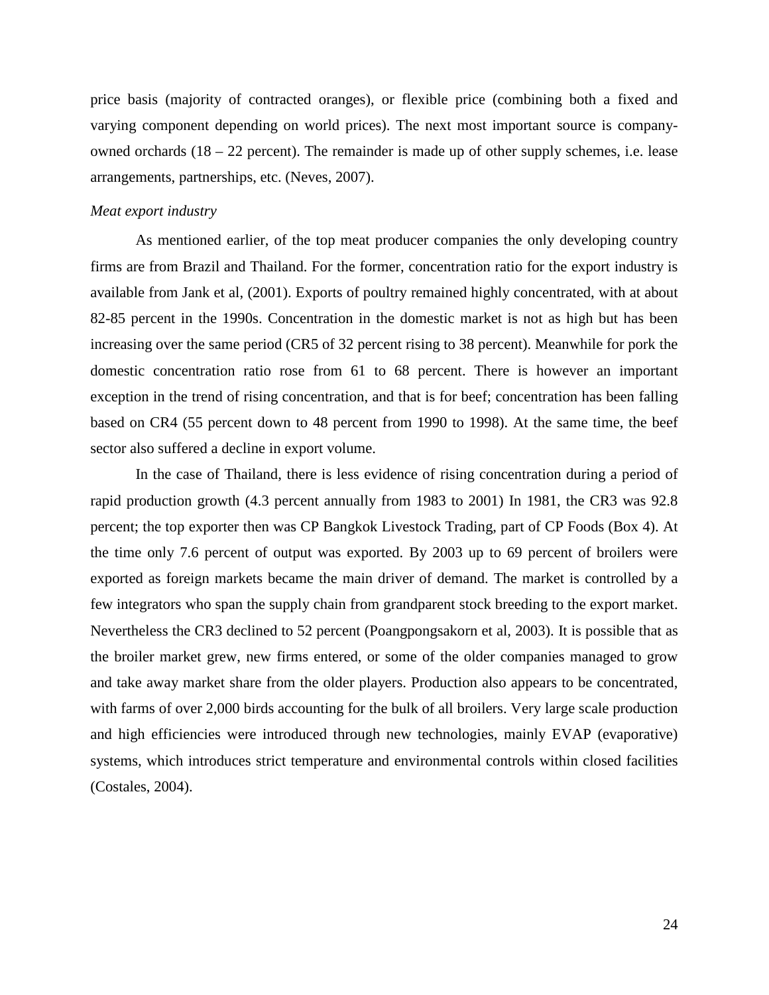price basis (majority of contracted oranges), or flexible price (combining both a fixed and varying component depending on world prices). The next most important source is companyowned orchards (18 – 22 percent). The remainder is made up of other supply schemes, i.e. lease arrangements, partnerships, etc. (Neves, 2007).

#### *Meat export industry*

As mentioned earlier, of the top meat producer companies the only developing country firms are from Brazil and Thailand. For the former, concentration ratio for the export industry is available from Jank et al, (2001). Exports of poultry remained highly concentrated, with at about 82-85 percent in the 1990s. Concentration in the domestic market is not as high but has been increasing over the same period (CR5 of 32 percent rising to 38 percent). Meanwhile for pork the domestic concentration ratio rose from 61 to 68 percent. There is however an important exception in the trend of rising concentration, and that is for beef; concentration has been falling based on CR4 (55 percent down to 48 percent from 1990 to 1998). At the same time, the beef sector also suffered a decline in export volume.

In the case of Thailand, there is less evidence of rising concentration during a period of rapid production growth (4.3 percent annually from 1983 to 2001) In 1981, the CR3 was 92.8 percent; the top exporter then was CP Bangkok Livestock Trading, part of CP Foods (Box 4). At the time only 7.6 percent of output was exported. By 2003 up to 69 percent of broilers were exported as foreign markets became the main driver of demand. The market is controlled by a few integrators who span the supply chain from grandparent stock breeding to the export market. Nevertheless the CR3 declined to 52 percent (Poangpongsakorn et al, 2003). It is possible that as the broiler market grew, new firms entered, or some of the older companies managed to grow and take away market share from the older players. Production also appears to be concentrated, with farms of over 2,000 birds accounting for the bulk of all broilers. Very large scale production and high efficiencies were introduced through new technologies, mainly EVAP (evaporative) systems, which introduces strict temperature and environmental controls within closed facilities (Costales, 2004).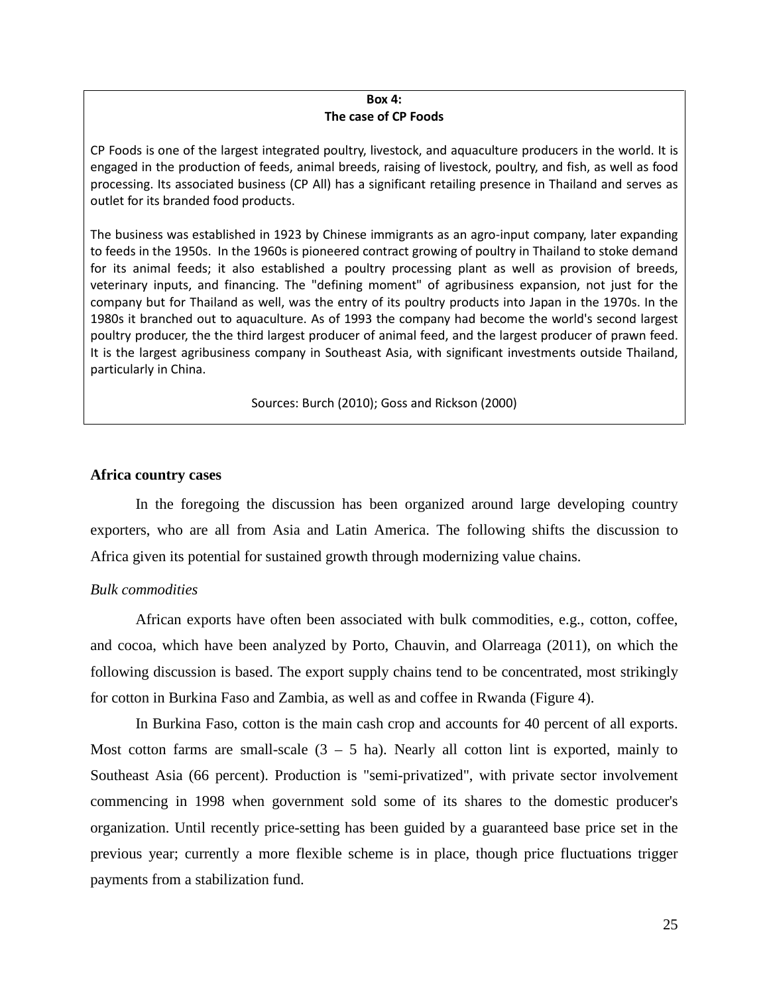#### **Box 4: The case of CP Foods**

CP Foods is one of the largest integrated poultry, livestock, and aquaculture producers in the world. It is engaged in the production of feeds, animal breeds, raising of livestock, poultry, and fish, as well as food processing. Its associated business (CP All) has a significant retailing presence in Thailand and serves as outlet for its branded food products.

The business was established in 1923 by Chinese immigrants as an agro-input company, later expanding to feeds in the 1950s. In the 1960s is pioneered contract growing of poultry in Thailand to stoke demand for its animal feeds; it also established a poultry processing plant as well as provision of breeds, veterinary inputs, and financing. The "defining moment" of agribusiness expansion, not just for the company but for Thailand as well, was the entry of its poultry products into Japan in the 1970s. In the 1980s it branched out to aquaculture. As of 1993 the company had become the world's second largest poultry producer, the the third largest producer of animal feed, and the largest producer of prawn feed. It is the largest agribusiness company in Southeast Asia, with significant investments outside Thailand, particularly in China.

Sources: Burch (2010); Goss and Rickson (2000)

#### **Africa country cases**

In the foregoing the discussion has been organized around large developing country exporters, who are all from Asia and Latin America. The following shifts the discussion to Africa given its potential for sustained growth through modernizing value chains.

## *Bulk commodities*

African exports have often been associated with bulk commodities, e.g., cotton, coffee, and cocoa, which have been analyzed by Porto, Chauvin, and Olarreaga (2011), on which the following discussion is based. The export supply chains tend to be concentrated, most strikingly for cotton in Burkina Faso and Zambia, as well as and coffee in Rwanda [\(Figure 4\)](#page-26-0).

In Burkina Faso, cotton is the main cash crop and accounts for 40 percent of all exports. Most cotton farms are small-scale  $(3 - 5)$  ha). Nearly all cotton lint is exported, mainly to Southeast Asia (66 percent). Production is "semi-privatized", with private sector involvement commencing in 1998 when government sold some of its shares to the domestic producer's organization. Until recently price-setting has been guided by a guaranteed base price set in the previous year; currently a more flexible scheme is in place, though price fluctuations trigger payments from a stabilization fund.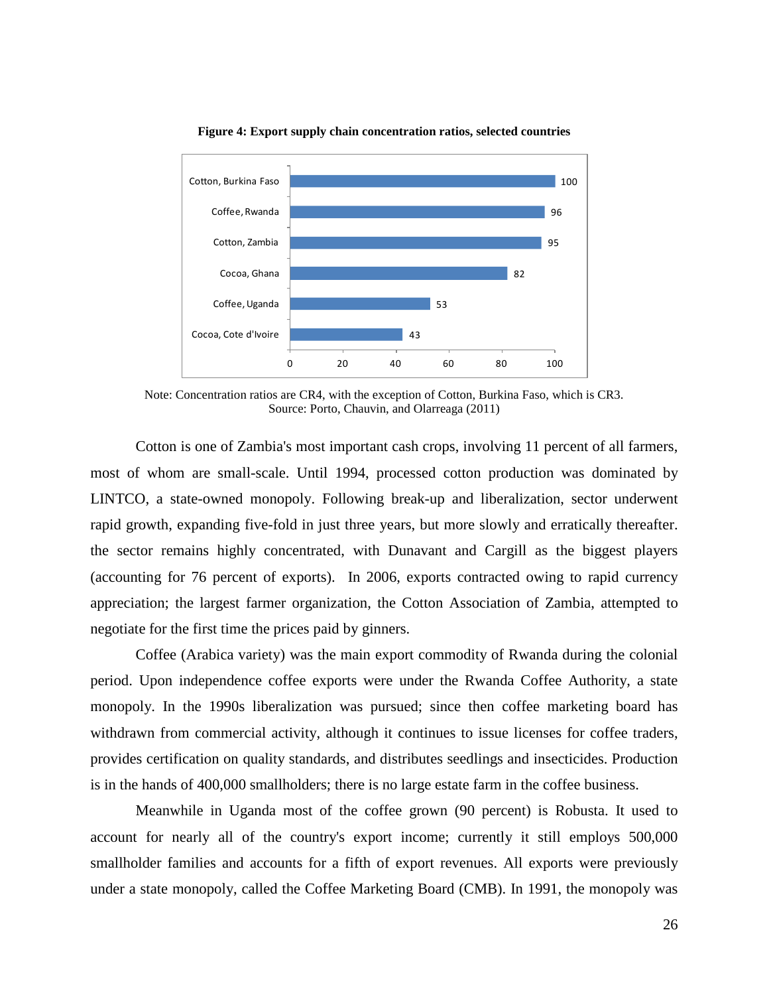<span id="page-26-0"></span>

**Figure 4: Export supply chain concentration ratios, selected countries**

Note: Concentration ratios are CR4, with the exception of Cotton, Burkina Faso, which is CR3. Source: Porto, Chauvin, and Olarreaga (2011)

Cotton is one of Zambia's most important cash crops, involving 11 percent of all farmers, most of whom are small-scale. Until 1994, processed cotton production was dominated by LINTCO, a state-owned monopoly. Following break-up and liberalization, sector underwent rapid growth, expanding five-fold in just three years, but more slowly and erratically thereafter. the sector remains highly concentrated, with Dunavant and Cargill as the biggest players (accounting for 76 percent of exports). In 2006, exports contracted owing to rapid currency appreciation; the largest farmer organization, the Cotton Association of Zambia, attempted to negotiate for the first time the prices paid by ginners.

Coffee (Arabica variety) was the main export commodity of Rwanda during the colonial period. Upon independence coffee exports were under the Rwanda Coffee Authority, a state monopoly. In the 1990s liberalization was pursued; since then coffee marketing board has withdrawn from commercial activity, although it continues to issue licenses for coffee traders, provides certification on quality standards, and distributes seedlings and insecticides. Production is in the hands of 400,000 smallholders; there is no large estate farm in the coffee business.

Meanwhile in Uganda most of the coffee grown (90 percent) is Robusta. It used to account for nearly all of the country's export income; currently it still employs 500,000 smallholder families and accounts for a fifth of export revenues. All exports were previously under a state monopoly, called the Coffee Marketing Board (CMB). In 1991, the monopoly was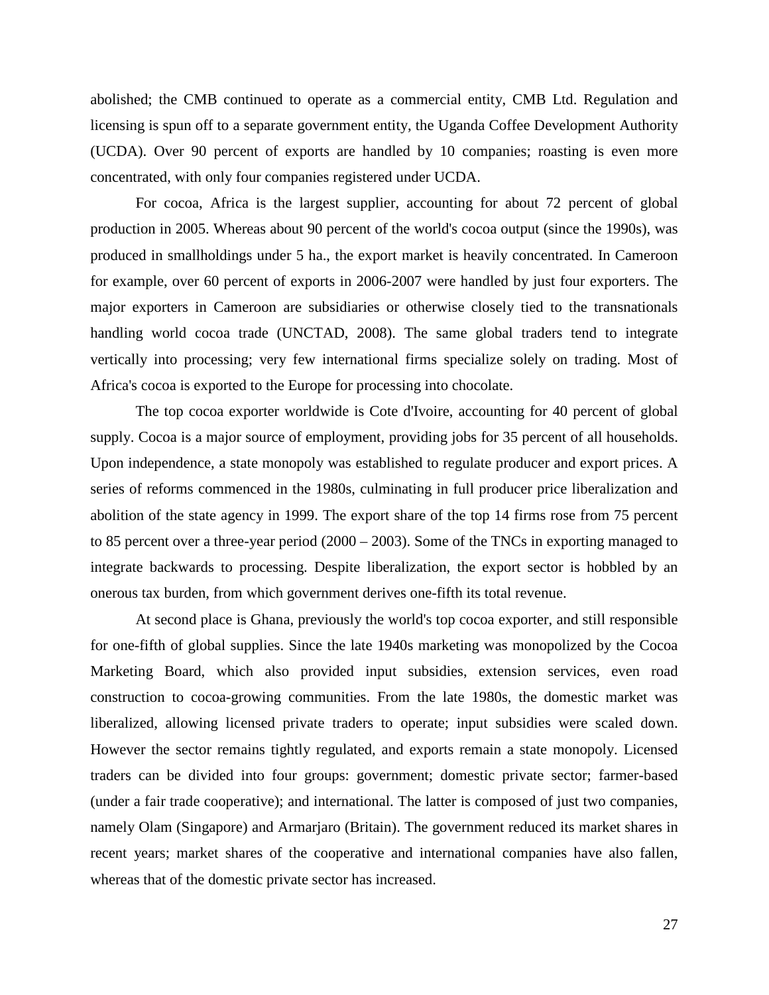abolished; the CMB continued to operate as a commercial entity, CMB Ltd. Regulation and licensing is spun off to a separate government entity, the Uganda Coffee Development Authority (UCDA). Over 90 percent of exports are handled by 10 companies; roasting is even more concentrated, with only four companies registered under UCDA.

For cocoa, Africa is the largest supplier, accounting for about 72 percent of global production in 2005. Whereas about 90 percent of the world's cocoa output (since the 1990s), was produced in smallholdings under 5 ha., the export market is heavily concentrated. In Cameroon for example, over 60 percent of exports in 2006-2007 were handled by just four exporters. The major exporters in Cameroon are subsidiaries or otherwise closely tied to the transnationals handling world cocoa trade (UNCTAD, 2008). The same global traders tend to integrate vertically into processing; very few international firms specialize solely on trading. Most of Africa's cocoa is exported to the Europe for processing into chocolate.

The top cocoa exporter worldwide is Cote d'Ivoire, accounting for 40 percent of global supply. Cocoa is a major source of employment, providing jobs for 35 percent of all households. Upon independence, a state monopoly was established to regulate producer and export prices. A series of reforms commenced in the 1980s, culminating in full producer price liberalization and abolition of the state agency in 1999. The export share of the top 14 firms rose from 75 percent to 85 percent over a three-year period (2000 – 2003). Some of the TNCs in exporting managed to integrate backwards to processing. Despite liberalization, the export sector is hobbled by an onerous tax burden, from which government derives one-fifth its total revenue.

At second place is Ghana, previously the world's top cocoa exporter, and still responsible for one-fifth of global supplies. Since the late 1940s marketing was monopolized by the Cocoa Marketing Board, which also provided input subsidies, extension services, even road construction to cocoa-growing communities. From the late 1980s, the domestic market was liberalized, allowing licensed private traders to operate; input subsidies were scaled down. However the sector remains tightly regulated, and exports remain a state monopoly. Licensed traders can be divided into four groups: government; domestic private sector; farmer-based (under a fair trade cooperative); and international. The latter is composed of just two companies, namely Olam (Singapore) and Armarjaro (Britain). The government reduced its market shares in recent years; market shares of the cooperative and international companies have also fallen, whereas that of the domestic private sector has increased.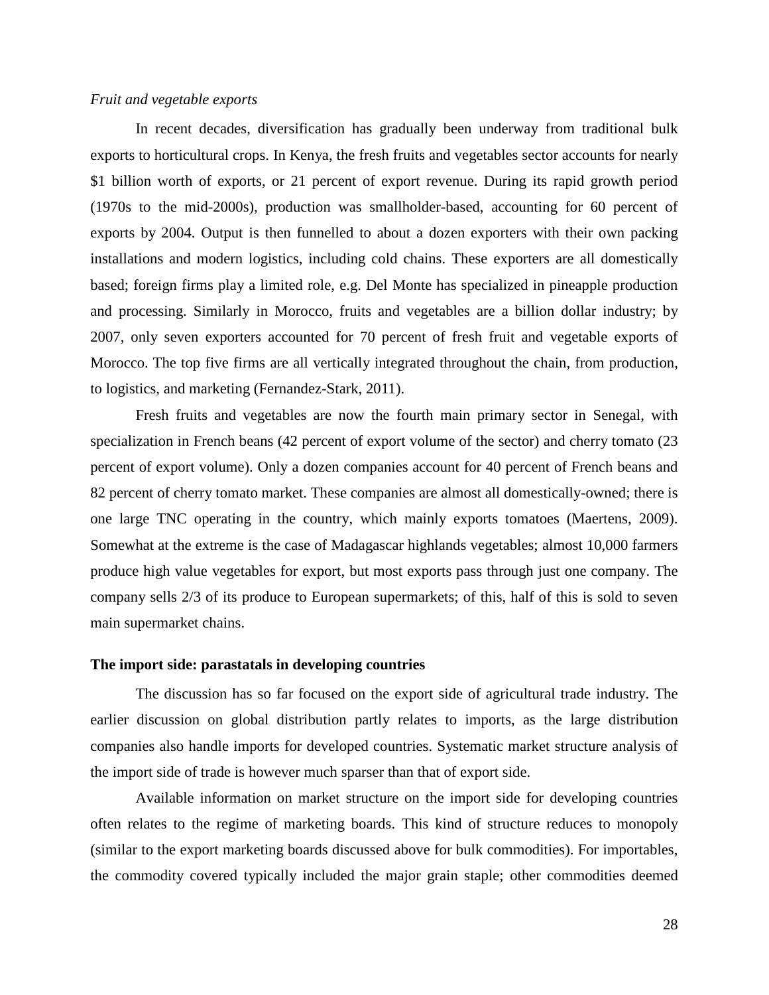#### *Fruit and vegetable exports*

In recent decades, diversification has gradually been underway from traditional bulk exports to horticultural crops. In Kenya, the fresh fruits and vegetables sector accounts for nearly \$1 billion worth of exports, or 21 percent of export revenue. During its rapid growth period (1970s to the mid-2000s), production was smallholder-based, accounting for 60 percent of exports by 2004. Output is then funnelled to about a dozen exporters with their own packing installations and modern logistics, including cold chains. These exporters are all domestically based; foreign firms play a limited role, e.g. Del Monte has specialized in pineapple production and processing. Similarly in Morocco, fruits and vegetables are a billion dollar industry; by 2007, only seven exporters accounted for 70 percent of fresh fruit and vegetable exports of Morocco. The top five firms are all vertically integrated throughout the chain, from production, to logistics, and marketing (Fernandez-Stark, 2011).

Fresh fruits and vegetables are now the fourth main primary sector in Senegal, with specialization in French beans (42 percent of export volume of the sector) and cherry tomato (23 percent of export volume). Only a dozen companies account for 40 percent of French beans and 82 percent of cherry tomato market. These companies are almost all domestically-owned; there is one large TNC operating in the country, which mainly exports tomatoes (Maertens, 2009). Somewhat at the extreme is the case of Madagascar highlands vegetables; almost 10,000 farmers produce high value vegetables for export, but most exports pass through just one company. The company sells 2/3 of its produce to European supermarkets; of this, half of this is sold to seven main supermarket chains.

### **The import side: parastatals in developing countries**

The discussion has so far focused on the export side of agricultural trade industry. The earlier discussion on global distribution partly relates to imports, as the large distribution companies also handle imports for developed countries. Systematic market structure analysis of the import side of trade is however much sparser than that of export side.

Available information on market structure on the import side for developing countries often relates to the regime of marketing boards. This kind of structure reduces to monopoly (similar to the export marketing boards discussed above for bulk commodities). For importables, the commodity covered typically included the major grain staple; other commodities deemed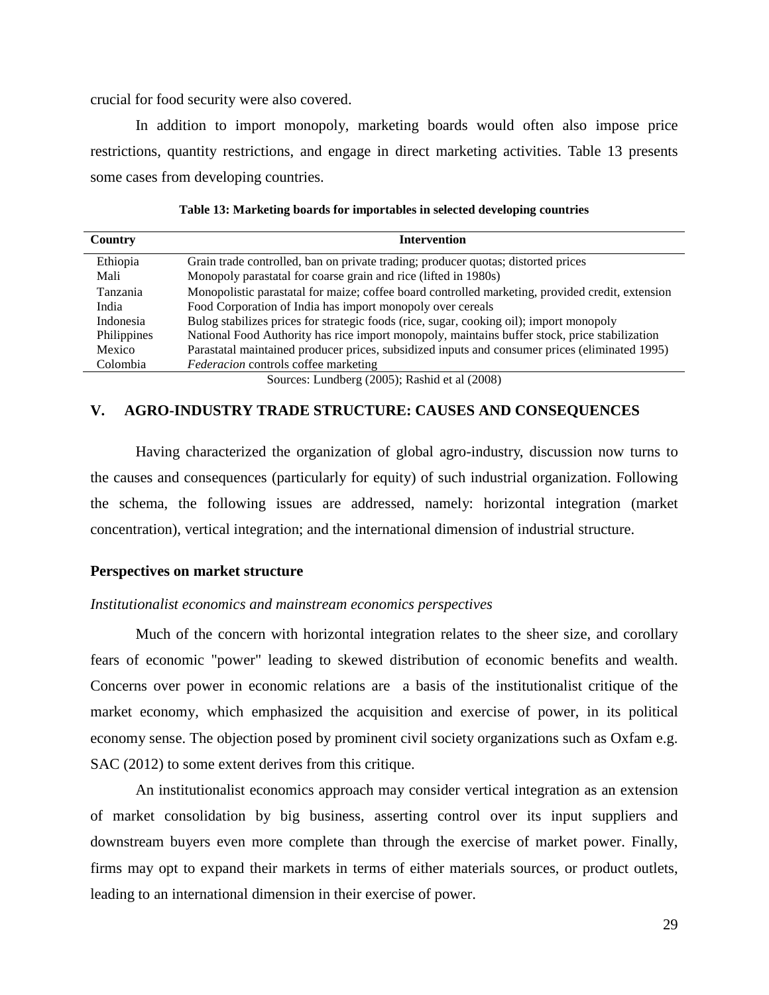crucial for food security were also covered.

In addition to import monopoly, marketing boards would often also impose price restrictions, quantity restrictions, and engage in direct marketing activities. [Table 13](#page-29-0) presents some cases from developing countries.

<span id="page-29-0"></span>

| Country            | <b>Intervention</b>                                                                              |
|--------------------|--------------------------------------------------------------------------------------------------|
| Ethiopia           | Grain trade controlled, ban on private trading; producer quotas; distorted prices                |
| Mali               | Monopoly parastatal for coarse grain and rice (lifted in 1980s)                                  |
| Tanzania           | Monopolistic parastatal for maize; coffee board controlled marketing, provided credit, extension |
| India              | Food Corporation of India has import monopoly over cereals                                       |
| Indonesia          | Bulog stabilizes prices for strategic foods (rice, sugar, cooking oil); import monopoly          |
| <b>Philippines</b> | National Food Authority has rice import monopoly, maintains buffer stock, price stabilization    |
| Mexico             | Parastatal maintained producer prices, subsidized inputs and consumer prices (eliminated 1995)   |
| Colombia           | <i>Federacion</i> controls coffee marketing                                                      |

**Table 13: Marketing boards for importables in selected developing countries**

Sources: Lundberg (2005); Rashid et al (2008)

## **V. AGRO-INDUSTRY TRADE STRUCTURE: CAUSES AND CONSEQUENCES**

Having characterized the organization of global agro-industry, discussion now turns to the causes and consequences (particularly for equity) of such industrial organization. Following the schema, the following issues are addressed, namely: horizontal integration (market concentration), vertical integration; and the international dimension of industrial structure.

#### **Perspectives on market structure**

#### *Institutionalist economics and mainstream economics perspectives*

Much of the concern with horizontal integration relates to the sheer size, and corollary fears of economic "power" leading to skewed distribution of economic benefits and wealth. Concerns over power in economic relations are a basis of the institutionalist critique of the market economy, which emphasized the acquisition and exercise of power, in its political economy sense. The objection posed by prominent civil society organizations such as Oxfam e.g. SAC (2012) to some extent derives from this critique.

An institutionalist economics approach may consider vertical integration as an extension of market consolidation by big business, asserting control over its input suppliers and downstream buyers even more complete than through the exercise of market power. Finally, firms may opt to expand their markets in terms of either materials sources, or product outlets, leading to an international dimension in their exercise of power.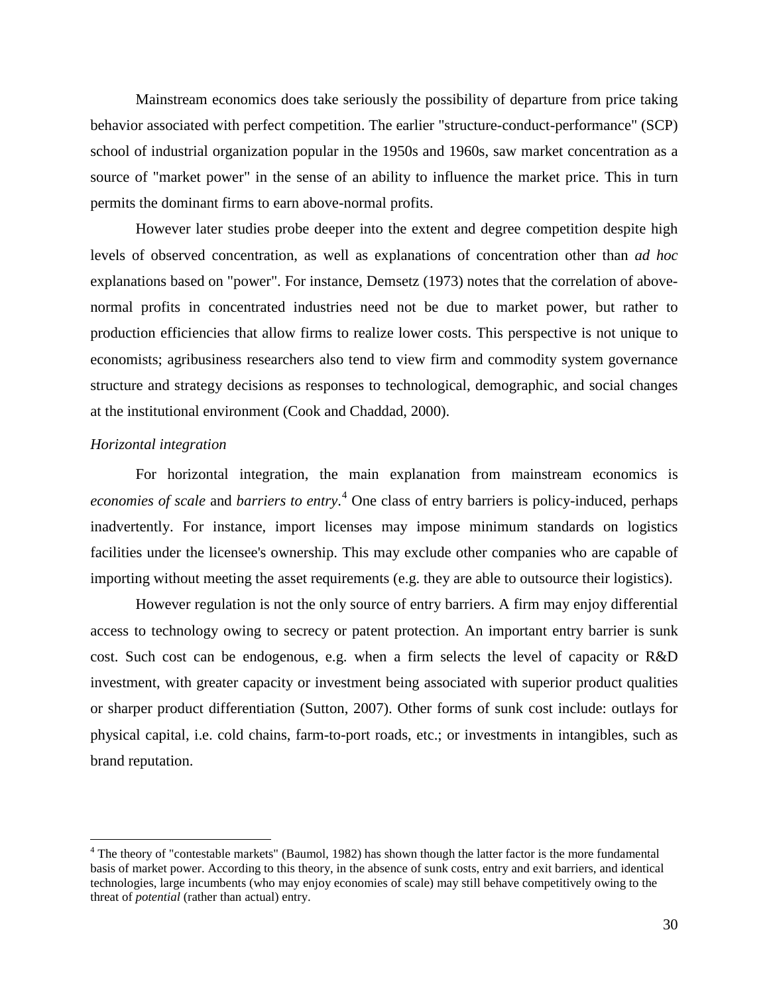Mainstream economics does take seriously the possibility of departure from price taking behavior associated with perfect competition. The earlier "structure-conduct-performance" (SCP) school of industrial organization popular in the 1950s and 1960s, saw market concentration as a source of "market power" in the sense of an ability to influence the market price. This in turn permits the dominant firms to earn above-normal profits.

However later studies probe deeper into the extent and degree competition despite high levels of observed concentration, as well as explanations of concentration other than *ad hoc* explanations based on "power". For instance, Demsetz (1973) notes that the correlation of abovenormal profits in concentrated industries need not be due to market power, but rather to production efficiencies that allow firms to realize lower costs. This perspective is not unique to economists; agribusiness researchers also tend to view firm and commodity system governance structure and strategy decisions as responses to technological, demographic, and social changes at the institutional environment (Cook and Chaddad, 2000).

## *Horizontal integration*

For horizontal integration, the main explanation from mainstream economics is *economies of scale* and *barriers to entry*. [4](#page-30-0) One class of entry barriers is policy-induced, perhaps inadvertently. For instance, import licenses may impose minimum standards on logistics facilities under the licensee's ownership. This may exclude other companies who are capable of importing without meeting the asset requirements (e.g. they are able to outsource their logistics).

However regulation is not the only source of entry barriers. A firm may enjoy differential access to technology owing to secrecy or patent protection. An important entry barrier is sunk cost. Such cost can be endogenous, e.g. when a firm selects the level of capacity or R&D investment, with greater capacity or investment being associated with superior product qualities or sharper product differentiation (Sutton, 2007). Other forms of sunk cost include: outlays for physical capital, i.e. cold chains, farm-to-port roads, etc.; or investments in intangibles, such as brand reputation.

<span id="page-30-0"></span> <sup>4</sup> The theory of "contestable markets" (Baumol, 1982) has shown though the latter factor is the more fundamental basis of market power. According to this theory, in the absence of sunk costs, entry and exit barriers, and identical technologies, large incumbents (who may enjoy economies of scale) may still behave competitively owing to the threat of *potential* (rather than actual) entry.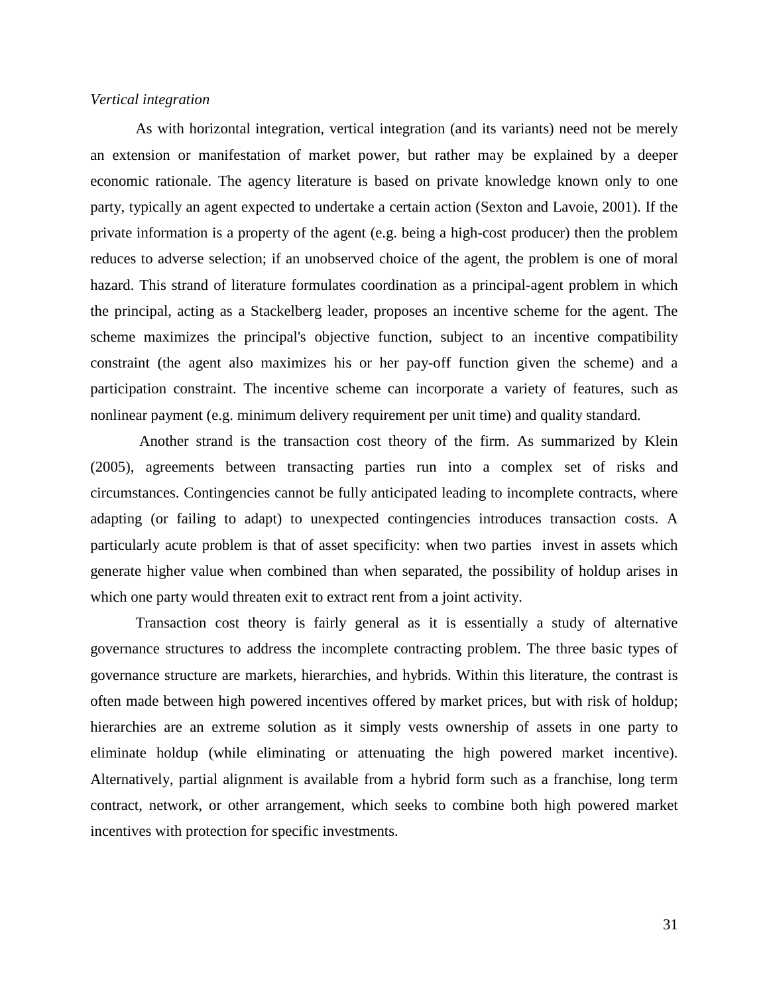#### *Vertical integration*

As with horizontal integration, vertical integration (and its variants) need not be merely an extension or manifestation of market power, but rather may be explained by a deeper economic rationale. The agency literature is based on private knowledge known only to one party, typically an agent expected to undertake a certain action (Sexton and Lavoie, 2001). If the private information is a property of the agent (e.g. being a high-cost producer) then the problem reduces to adverse selection; if an unobserved choice of the agent, the problem is one of moral hazard. This strand of literature formulates coordination as a principal-agent problem in which the principal, acting as a Stackelberg leader, proposes an incentive scheme for the agent. The scheme maximizes the principal's objective function, subject to an incentive compatibility constraint (the agent also maximizes his or her pay-off function given the scheme) and a participation constraint. The incentive scheme can incorporate a variety of features, such as nonlinear payment (e.g. minimum delivery requirement per unit time) and quality standard.

Another strand is the transaction cost theory of the firm. As summarized by Klein (2005), agreements between transacting parties run into a complex set of risks and circumstances. Contingencies cannot be fully anticipated leading to incomplete contracts, where adapting (or failing to adapt) to unexpected contingencies introduces transaction costs. A particularly acute problem is that of asset specificity: when two parties invest in assets which generate higher value when combined than when separated, the possibility of holdup arises in which one party would threaten exit to extract rent from a joint activity.

Transaction cost theory is fairly general as it is essentially a study of alternative governance structures to address the incomplete contracting problem. The three basic types of governance structure are markets, hierarchies, and hybrids. Within this literature, the contrast is often made between high powered incentives offered by market prices, but with risk of holdup; hierarchies are an extreme solution as it simply vests ownership of assets in one party to eliminate holdup (while eliminating or attenuating the high powered market incentive). Alternatively, partial alignment is available from a hybrid form such as a franchise, long term contract, network, or other arrangement, which seeks to combine both high powered market incentives with protection for specific investments.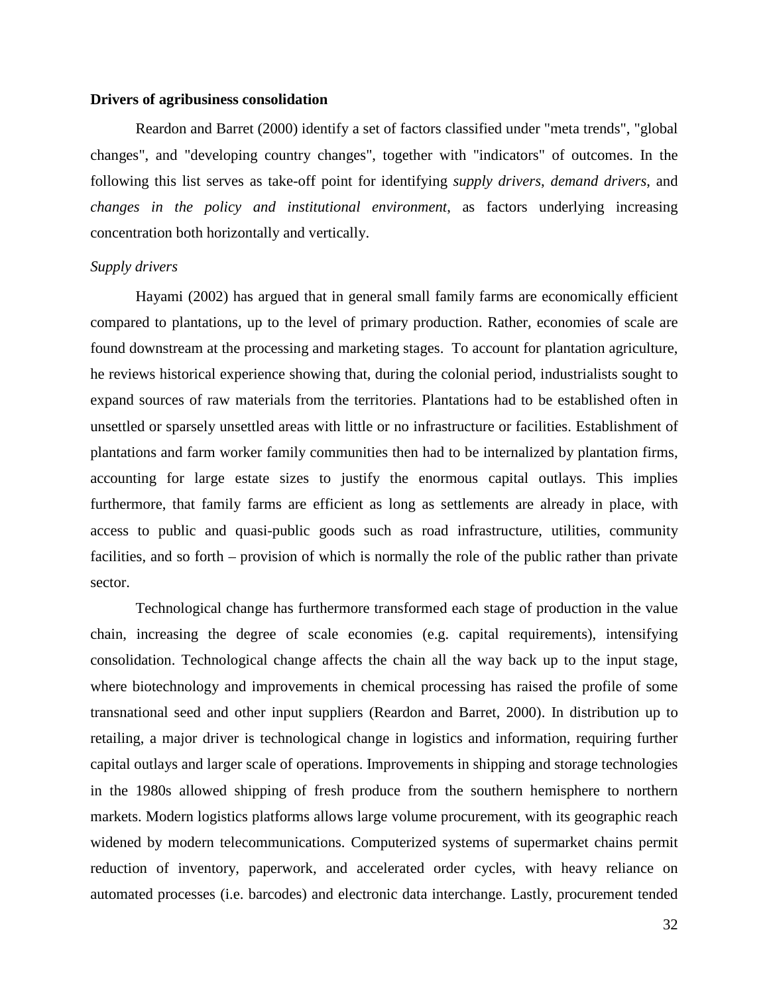## **Drivers of agribusiness consolidation**

Reardon and Barret (2000) identify a set of factors classified under "meta trends", "global changes", and "developing country changes", together with "indicators" of outcomes. In the following this list serves as take-off point for identifying *supply drivers*, *demand drivers*, and *changes in the policy and institutional environment*, as factors underlying increasing concentration both horizontally and vertically.

#### *Supply drivers*

Hayami (2002) has argued that in general small family farms are economically efficient compared to plantations, up to the level of primary production. Rather, economies of scale are found downstream at the processing and marketing stages. To account for plantation agriculture, he reviews historical experience showing that, during the colonial period, industrialists sought to expand sources of raw materials from the territories. Plantations had to be established often in unsettled or sparsely unsettled areas with little or no infrastructure or facilities. Establishment of plantations and farm worker family communities then had to be internalized by plantation firms, accounting for large estate sizes to justify the enormous capital outlays. This implies furthermore, that family farms are efficient as long as settlements are already in place, with access to public and quasi-public goods such as road infrastructure, utilities, community facilities, and so forth – provision of which is normally the role of the public rather than private sector.

Technological change has furthermore transformed each stage of production in the value chain, increasing the degree of scale economies (e.g. capital requirements), intensifying consolidation. Technological change affects the chain all the way back up to the input stage, where biotechnology and improvements in chemical processing has raised the profile of some transnational seed and other input suppliers (Reardon and Barret, 2000). In distribution up to retailing, a major driver is technological change in logistics and information, requiring further capital outlays and larger scale of operations. Improvements in shipping and storage technologies in the 1980s allowed shipping of fresh produce from the southern hemisphere to northern markets. Modern logistics platforms allows large volume procurement, with its geographic reach widened by modern telecommunications. Computerized systems of supermarket chains permit reduction of inventory, paperwork, and accelerated order cycles, with heavy reliance on automated processes (i.e. barcodes) and electronic data interchange. Lastly, procurement tended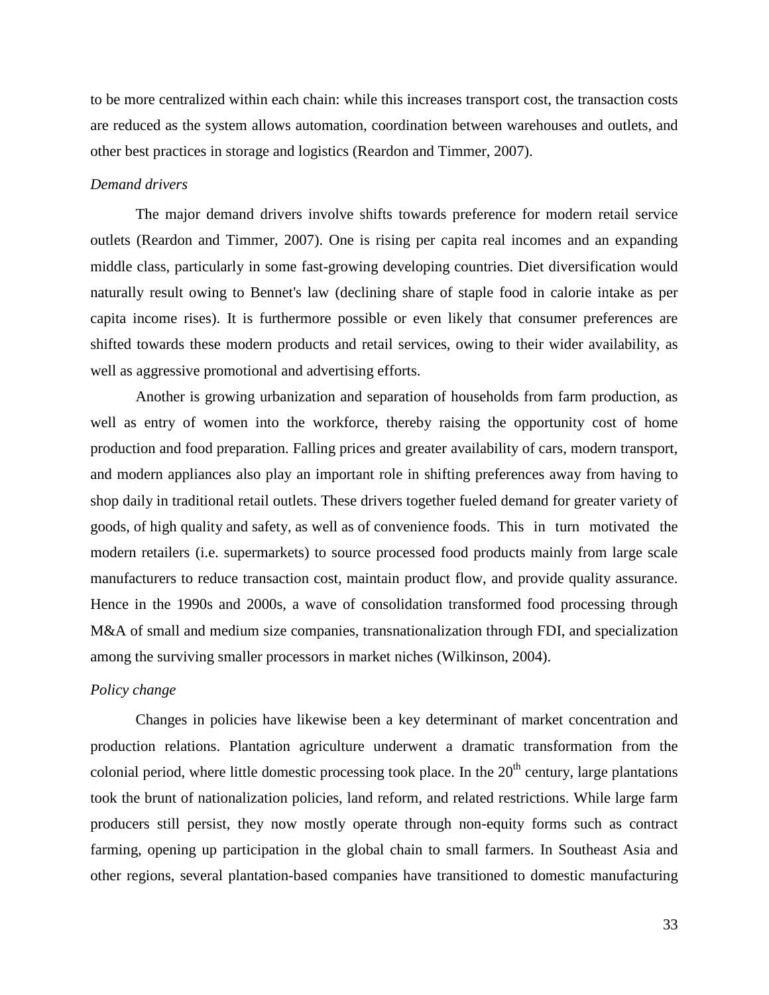to be more centralized within each chain: while this increases transport cost, the transaction costs are reduced as the system allows automation, coordination between warehouses and outlets, and other best practices in storage and logistics (Reardon and Timmer, 2007).

#### *Demand drivers*

The major demand drivers involve shifts towards preference for modern retail service outlets (Reardon and Timmer, 2007). One is rising per capita real incomes and an expanding middle class, particularly in some fast-growing developing countries. Diet diversification would naturally result owing to Bennet's law (declining share of staple food in calorie intake as per capita income rises). It is furthermore possible or even likely that consumer preferences are shifted towards these modern products and retail services, owing to their wider availability, as well as aggressive promotional and advertising efforts.

Another is growing urbanization and separation of households from farm production, as well as entry of women into the workforce, thereby raising the opportunity cost of home production and food preparation. Falling prices and greater availability of cars, modern transport, and modern appliances also play an important role in shifting preferences away from having to shop daily in traditional retail outlets. These drivers together fueled demand for greater variety of goods, of high quality and safety, as well as of convenience foods. This in turn motivated the modern retailers (i.e. supermarkets) to source processed food products mainly from large scale manufacturers to reduce transaction cost, maintain product flow, and provide quality assurance. Hence in the 1990s and 2000s, a wave of consolidation transformed food processing through M&A of small and medium size companies, transnationalization through FDI, and specialization among the surviving smaller processors in market niches (Wilkinson, 2004).

## *Policy change*

Changes in policies have likewise been a key determinant of market concentration and production relations. Plantation agriculture underwent a dramatic transformation from the colonial period, where little domestic processing took place. In the  $20<sup>th</sup>$  century, large plantations took the brunt of nationalization policies, land reform, and related restrictions. While large farm producers still persist, they now mostly operate through non-equity forms such as contract farming, opening up participation in the global chain to small farmers. In Southeast Asia and other regions, several plantation-based companies have transitioned to domestic manufacturing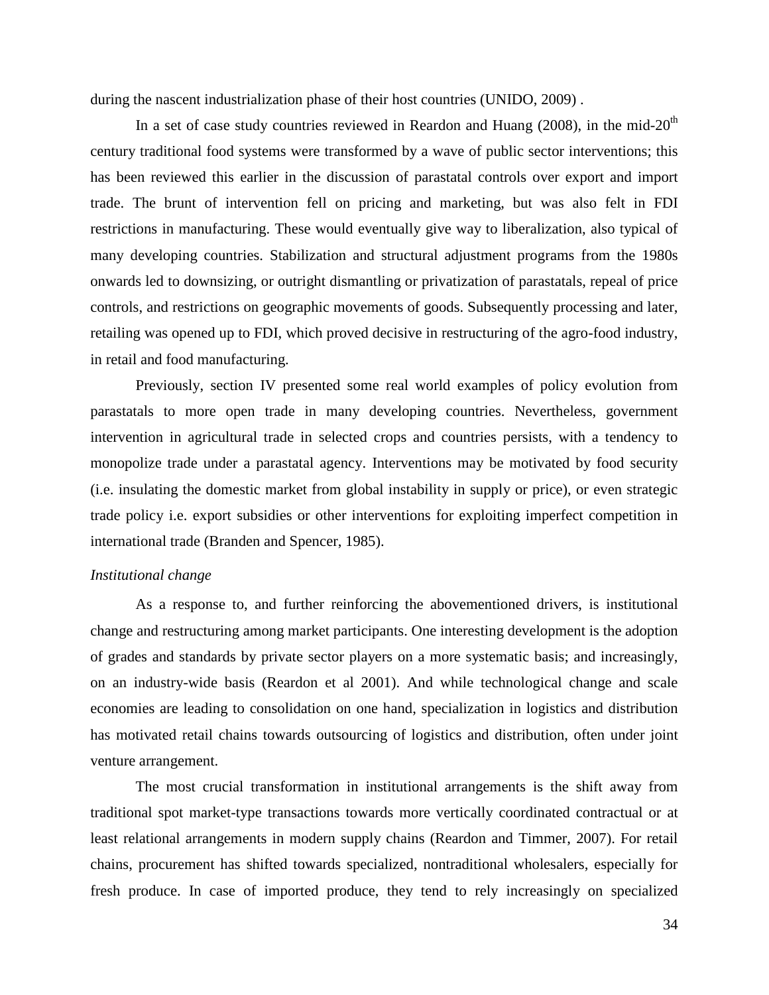during the nascent industrialization phase of their host countries (UNIDO, 2009) .

In a set of case study countries reviewed in Reardon and Huang (2008), in the mid- $20<sup>th</sup>$ century traditional food systems were transformed by a wave of public sector interventions; this has been reviewed this earlier in the discussion of parastatal controls over export and import trade. The brunt of intervention fell on pricing and marketing, but was also felt in FDI restrictions in manufacturing. These would eventually give way to liberalization, also typical of many developing countries. Stabilization and structural adjustment programs from the 1980s onwards led to downsizing, or outright dismantling or privatization of parastatals, repeal of price controls, and restrictions on geographic movements of goods. Subsequently processing and later, retailing was opened up to FDI, which proved decisive in restructuring of the agro-food industry, in retail and food manufacturing.

Previously, section IV presented some real world examples of policy evolution from parastatals to more open trade in many developing countries. Nevertheless, government intervention in agricultural trade in selected crops and countries persists, with a tendency to monopolize trade under a parastatal agency. Interventions may be motivated by food security (i.e. insulating the domestic market from global instability in supply or price), or even strategic trade policy i.e. export subsidies or other interventions for exploiting imperfect competition in international trade (Branden and Spencer, 1985).

## *Institutional change*

As a response to, and further reinforcing the abovementioned drivers, is institutional change and restructuring among market participants. One interesting development is the adoption of grades and standards by private sector players on a more systematic basis; and increasingly, on an industry-wide basis (Reardon et al 2001). And while technological change and scale economies are leading to consolidation on one hand, specialization in logistics and distribution has motivated retail chains towards outsourcing of logistics and distribution, often under joint venture arrangement.

The most crucial transformation in institutional arrangements is the shift away from traditional spot market-type transactions towards more vertically coordinated contractual or at least relational arrangements in modern supply chains (Reardon and Timmer, 2007). For retail chains, procurement has shifted towards specialized, nontraditional wholesalers, especially for fresh produce. In case of imported produce, they tend to rely increasingly on specialized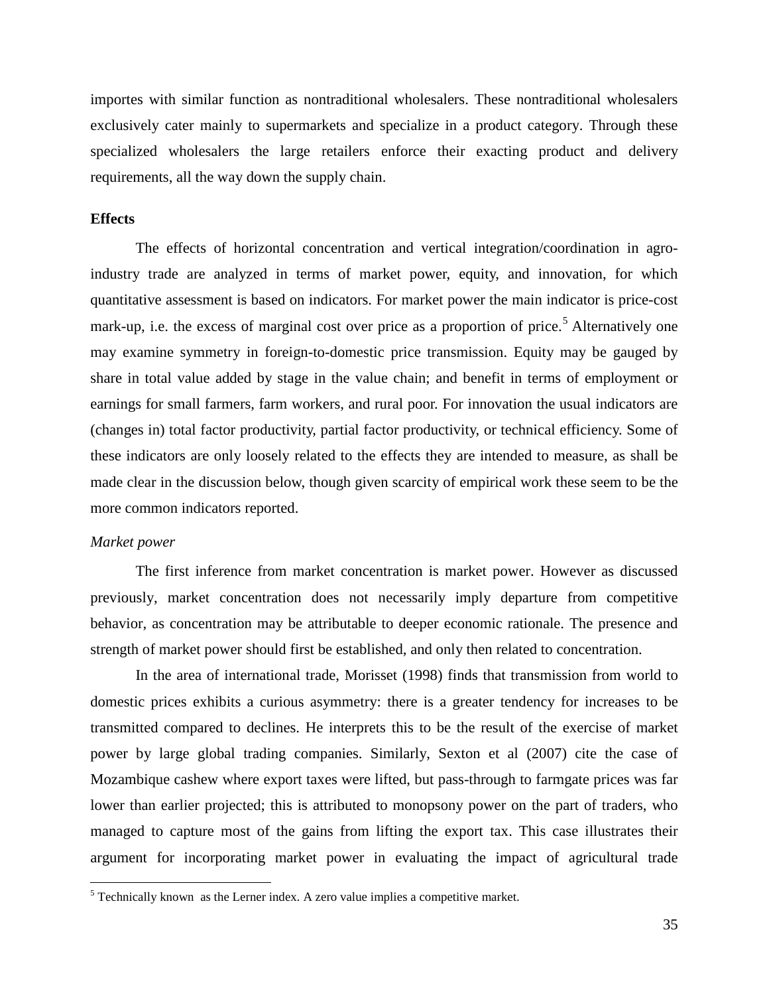importes with similar function as nontraditional wholesalers. These nontraditional wholesalers exclusively cater mainly to supermarkets and specialize in a product category. Through these specialized wholesalers the large retailers enforce their exacting product and delivery requirements, all the way down the supply chain.

#### **Effects**

The effects of horizontal concentration and vertical integration/coordination in agroindustry trade are analyzed in terms of market power, equity, and innovation, for which quantitative assessment is based on indicators. For market power the main indicator is price-cost mark-up, i.e. the excess of marginal cost over price as a proportion of price.<sup>[5](#page-35-0)</sup> Alternatively one may examine symmetry in foreign-to-domestic price transmission. Equity may be gauged by share in total value added by stage in the value chain; and benefit in terms of employment or earnings for small farmers, farm workers, and rural poor. For innovation the usual indicators are (changes in) total factor productivity, partial factor productivity, or technical efficiency. Some of these indicators are only loosely related to the effects they are intended to measure, as shall be made clear in the discussion below, though given scarcity of empirical work these seem to be the more common indicators reported.

## *Market power*

The first inference from market concentration is market power. However as discussed previously, market concentration does not necessarily imply departure from competitive behavior, as concentration may be attributable to deeper economic rationale. The presence and strength of market power should first be established, and only then related to concentration.

In the area of international trade, Morisset (1998) finds that transmission from world to domestic prices exhibits a curious asymmetry: there is a greater tendency for increases to be transmitted compared to declines. He interprets this to be the result of the exercise of market power by large global trading companies. Similarly, Sexton et al (2007) cite the case of Mozambique cashew where export taxes were lifted, but pass-through to farmgate prices was far lower than earlier projected; this is attributed to monopsony power on the part of traders, who managed to capture most of the gains from lifting the export tax. This case illustrates their argument for incorporating market power in evaluating the impact of agricultural trade

<span id="page-35-0"></span> $<sup>5</sup>$  Technically known as the Lerner index. A zero value implies a competitive market.</sup>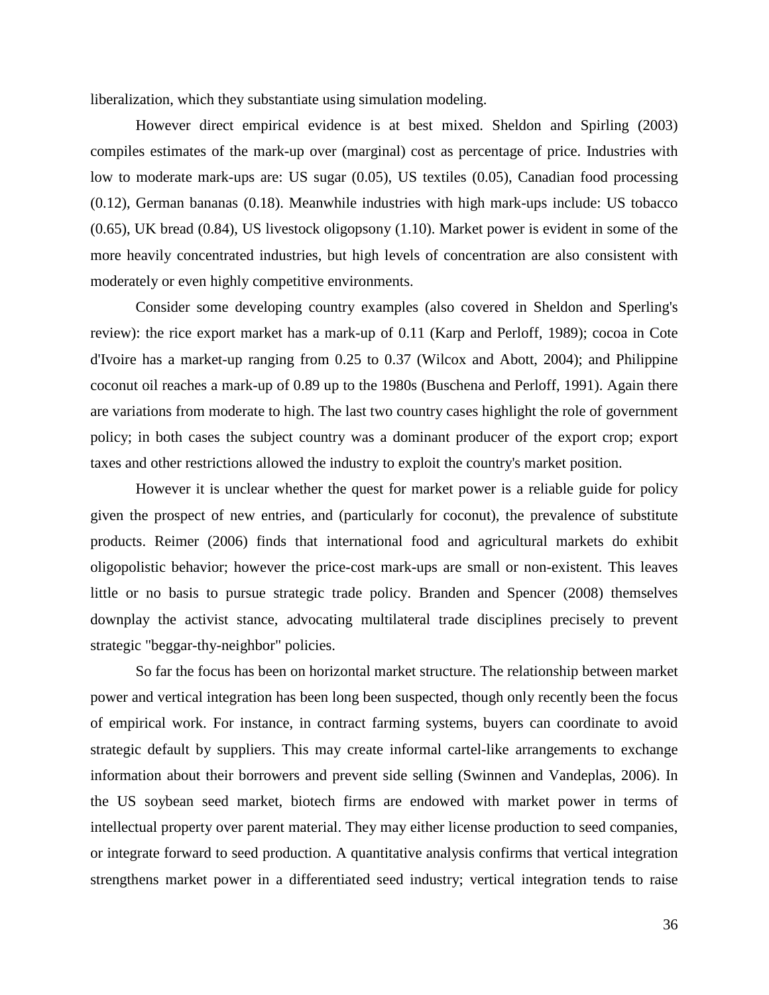liberalization, which they substantiate using simulation modeling.

However direct empirical evidence is at best mixed. Sheldon and Spirling (2003) compiles estimates of the mark-up over (marginal) cost as percentage of price. Industries with low to moderate mark-ups are: US sugar (0.05), US textiles (0.05), Canadian food processing (0.12), German bananas (0.18). Meanwhile industries with high mark-ups include: US tobacco (0.65), UK bread (0.84), US livestock oligopsony (1.10). Market power is evident in some of the more heavily concentrated industries, but high levels of concentration are also consistent with moderately or even highly competitive environments.

Consider some developing country examples (also covered in Sheldon and Sperling's review): the rice export market has a mark-up of 0.11 (Karp and Perloff, 1989); cocoa in Cote d'Ivoire has a market-up ranging from 0.25 to 0.37 (Wilcox and Abott, 2004); and Philippine coconut oil reaches a mark-up of 0.89 up to the 1980s (Buschena and Perloff, 1991). Again there are variations from moderate to high. The last two country cases highlight the role of government policy; in both cases the subject country was a dominant producer of the export crop; export taxes and other restrictions allowed the industry to exploit the country's market position.

However it is unclear whether the quest for market power is a reliable guide for policy given the prospect of new entries, and (particularly for coconut), the prevalence of substitute products. Reimer (2006) finds that international food and agricultural markets do exhibit oligopolistic behavior; however the price-cost mark-ups are small or non-existent. This leaves little or no basis to pursue strategic trade policy. Branden and Spencer (2008) themselves downplay the activist stance, advocating multilateral trade disciplines precisely to prevent strategic "beggar-thy-neighbor" policies.

So far the focus has been on horizontal market structure. The relationship between market power and vertical integration has been long been suspected, though only recently been the focus of empirical work. For instance, in contract farming systems, buyers can coordinate to avoid strategic default by suppliers. This may create informal cartel-like arrangements to exchange information about their borrowers and prevent side selling (Swinnen and Vandeplas, 2006). In the US soybean seed market, biotech firms are endowed with market power in terms of intellectual property over parent material. They may either license production to seed companies, or integrate forward to seed production. A quantitative analysis confirms that vertical integration strengthens market power in a differentiated seed industry; vertical integration tends to raise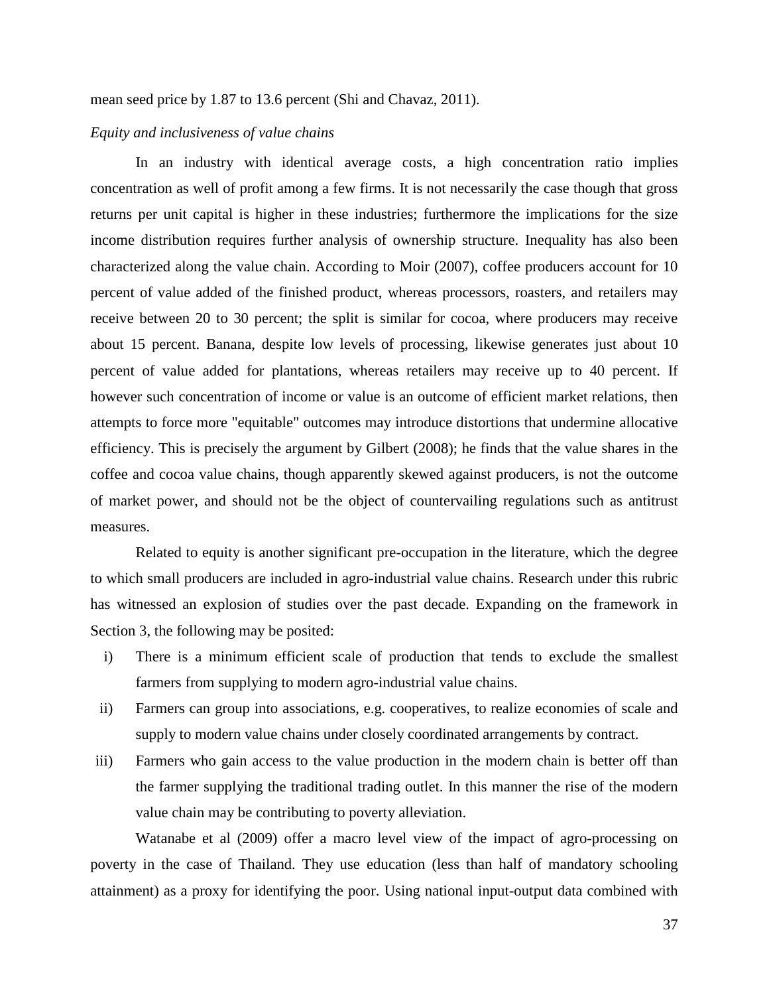mean seed price by 1.87 to 13.6 percent (Shi and Chavaz, 2011).

## *Equity and inclusiveness of value chains*

In an industry with identical average costs, a high concentration ratio implies concentration as well of profit among a few firms. It is not necessarily the case though that gross returns per unit capital is higher in these industries; furthermore the implications for the size income distribution requires further analysis of ownership structure. Inequality has also been characterized along the value chain. According to Moir (2007), coffee producers account for 10 percent of value added of the finished product, whereas processors, roasters, and retailers may receive between 20 to 30 percent; the split is similar for cocoa, where producers may receive about 15 percent. Banana, despite low levels of processing, likewise generates just about 10 percent of value added for plantations, whereas retailers may receive up to 40 percent. If however such concentration of income or value is an outcome of efficient market relations, then attempts to force more "equitable" outcomes may introduce distortions that undermine allocative efficiency. This is precisely the argument by Gilbert (2008); he finds that the value shares in the coffee and cocoa value chains, though apparently skewed against producers, is not the outcome of market power, and should not be the object of countervailing regulations such as antitrust measures.

Related to equity is another significant pre-occupation in the literature, which the degree to which small producers are included in agro-industrial value chains. Research under this rubric has witnessed an explosion of studies over the past decade. Expanding on the framework in Section 3, the following may be posited:

- i) There is a minimum efficient scale of production that tends to exclude the smallest farmers from supplying to modern agro-industrial value chains.
- ii) Farmers can group into associations, e.g. cooperatives, to realize economies of scale and supply to modern value chains under closely coordinated arrangements by contract.
- iii) Farmers who gain access to the value production in the modern chain is better off than the farmer supplying the traditional trading outlet. In this manner the rise of the modern value chain may be contributing to poverty alleviation.

Watanabe et al (2009) offer a macro level view of the impact of agro-processing on poverty in the case of Thailand. They use education (less than half of mandatory schooling attainment) as a proxy for identifying the poor. Using national input-output data combined with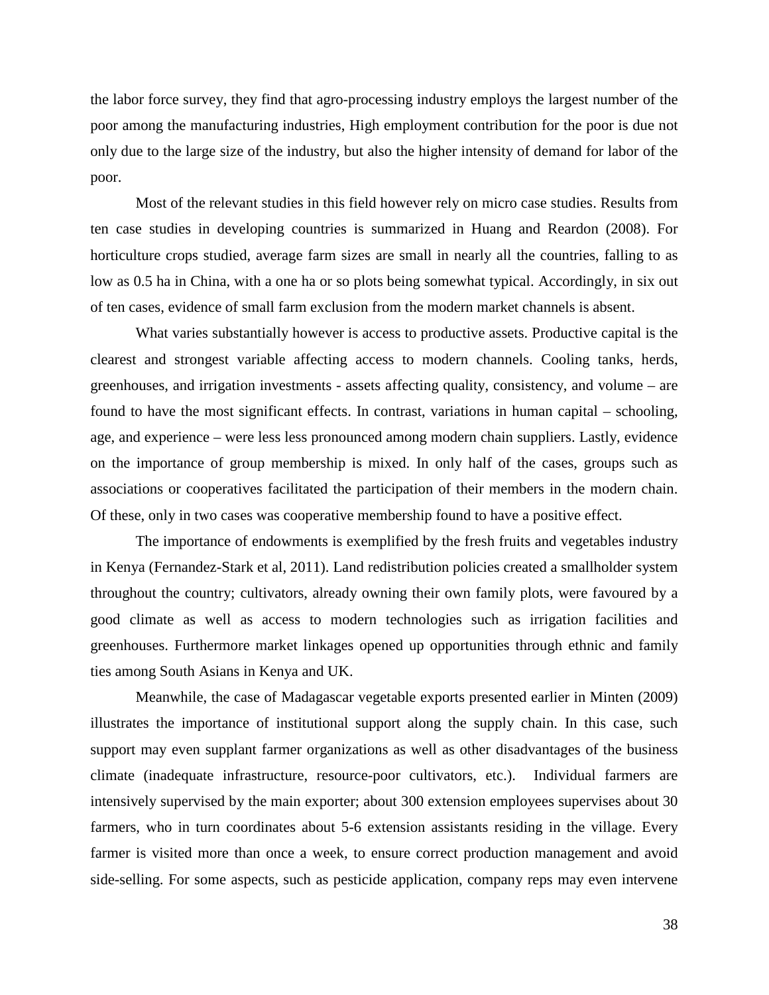the labor force survey, they find that agro-processing industry employs the largest number of the poor among the manufacturing industries, High employment contribution for the poor is due not only due to the large size of the industry, but also the higher intensity of demand for labor of the poor.

Most of the relevant studies in this field however rely on micro case studies. Results from ten case studies in developing countries is summarized in Huang and Reardon (2008). For horticulture crops studied, average farm sizes are small in nearly all the countries, falling to as low as 0.5 ha in China, with a one ha or so plots being somewhat typical. Accordingly, in six out of ten cases, evidence of small farm exclusion from the modern market channels is absent.

What varies substantially however is access to productive assets. Productive capital is the clearest and strongest variable affecting access to modern channels. Cooling tanks, herds, greenhouses, and irrigation investments - assets affecting quality, consistency, and volume – are found to have the most significant effects. In contrast, variations in human capital – schooling, age, and experience – were less less pronounced among modern chain suppliers. Lastly, evidence on the importance of group membership is mixed. In only half of the cases, groups such as associations or cooperatives facilitated the participation of their members in the modern chain. Of these, only in two cases was cooperative membership found to have a positive effect.

The importance of endowments is exemplified by the fresh fruits and vegetables industry in Kenya (Fernandez-Stark et al, 2011). Land redistribution policies created a smallholder system throughout the country; cultivators, already owning their own family plots, were favoured by a good climate as well as access to modern technologies such as irrigation facilities and greenhouses. Furthermore market linkages opened up opportunities through ethnic and family ties among South Asians in Kenya and UK.

Meanwhile, the case of Madagascar vegetable exports presented earlier in Minten (2009) illustrates the importance of institutional support along the supply chain. In this case, such support may even supplant farmer organizations as well as other disadvantages of the business climate (inadequate infrastructure, resource-poor cultivators, etc.). Individual farmers are intensively supervised by the main exporter; about 300 extension employees supervises about 30 farmers, who in turn coordinates about 5-6 extension assistants residing in the village. Every farmer is visited more than once a week, to ensure correct production management and avoid side-selling. For some aspects, such as pesticide application, company reps may even intervene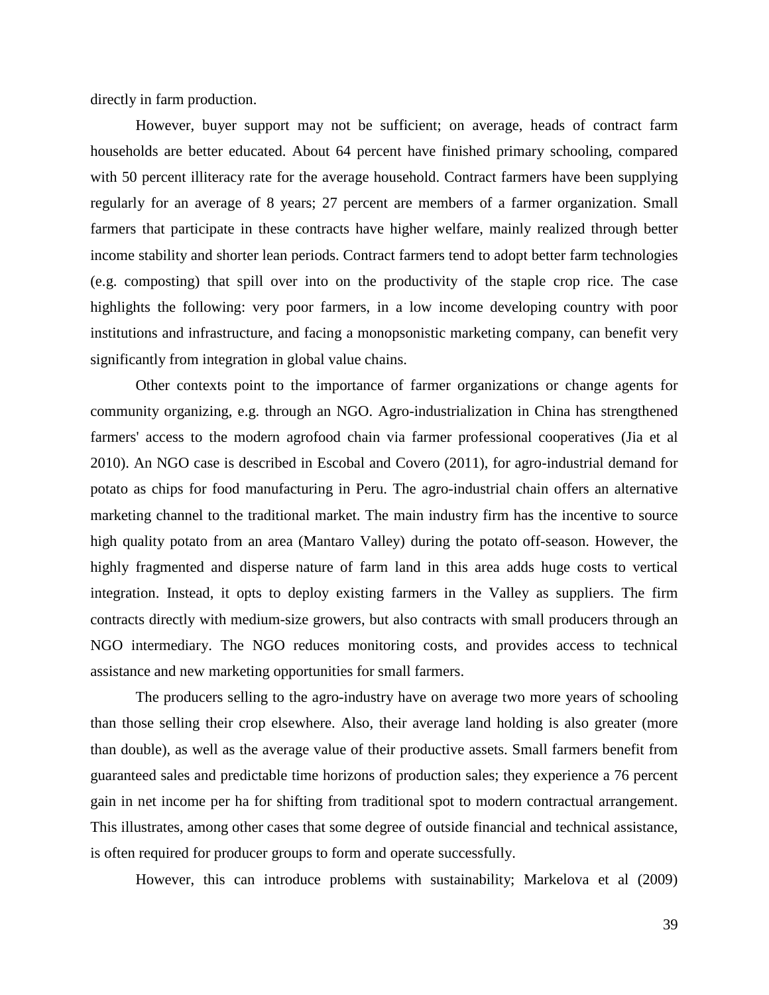directly in farm production.

However, buyer support may not be sufficient; on average, heads of contract farm households are better educated. About 64 percent have finished primary schooling, compared with 50 percent illiteracy rate for the average household. Contract farmers have been supplying regularly for an average of 8 years; 27 percent are members of a farmer organization. Small farmers that participate in these contracts have higher welfare, mainly realized through better income stability and shorter lean periods. Contract farmers tend to adopt better farm technologies (e.g. composting) that spill over into on the productivity of the staple crop rice. The case highlights the following: very poor farmers, in a low income developing country with poor institutions and infrastructure, and facing a monopsonistic marketing company, can benefit very significantly from integration in global value chains.

Other contexts point to the importance of farmer organizations or change agents for community organizing, e.g. through an NGO. Agro-industrialization in China has strengthened farmers' access to the modern agrofood chain via farmer professional cooperatives (Jia et al 2010). An NGO case is described in Escobal and Covero (2011), for agro-industrial demand for potato as chips for food manufacturing in Peru. The agro-industrial chain offers an alternative marketing channel to the traditional market. The main industry firm has the incentive to source high quality potato from an area (Mantaro Valley) during the potato off-season. However, the highly fragmented and disperse nature of farm land in this area adds huge costs to vertical integration. Instead, it opts to deploy existing farmers in the Valley as suppliers. The firm contracts directly with medium-size growers, but also contracts with small producers through an NGO intermediary. The NGO reduces monitoring costs, and provides access to technical assistance and new marketing opportunities for small farmers.

The producers selling to the agro-industry have on average two more years of schooling than those selling their crop elsewhere. Also, their average land holding is also greater (more than double), as well as the average value of their productive assets. Small farmers benefit from guaranteed sales and predictable time horizons of production sales; they experience a 76 percent gain in net income per ha for shifting from traditional spot to modern contractual arrangement. This illustrates, among other cases that some degree of outside financial and technical assistance, is often required for producer groups to form and operate successfully.

However, this can introduce problems with sustainability; Markelova et al (2009)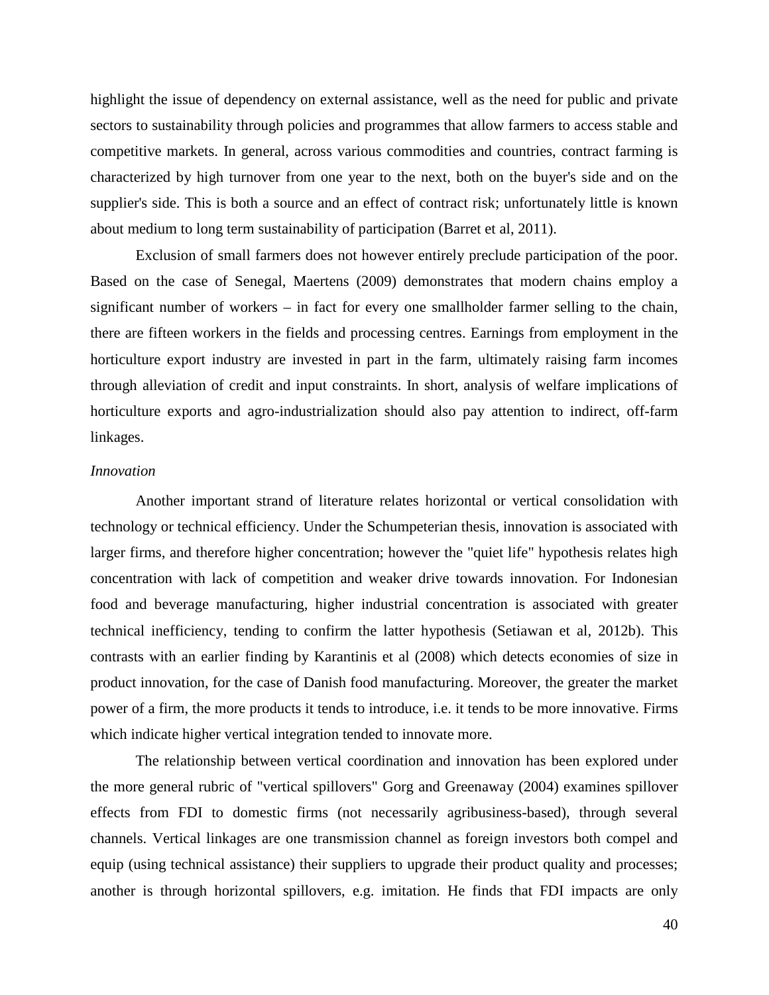highlight the issue of dependency on external assistance, well as the need for public and private sectors to sustainability through policies and programmes that allow farmers to access stable and competitive markets. In general, across various commodities and countries, contract farming is characterized by high turnover from one year to the next, both on the buyer's side and on the supplier's side. This is both a source and an effect of contract risk; unfortunately little is known about medium to long term sustainability of participation (Barret et al, 2011).

Exclusion of small farmers does not however entirely preclude participation of the poor. Based on the case of Senegal, Maertens (2009) demonstrates that modern chains employ a significant number of workers – in fact for every one smallholder farmer selling to the chain, there are fifteen workers in the fields and processing centres. Earnings from employment in the horticulture export industry are invested in part in the farm, ultimately raising farm incomes through alleviation of credit and input constraints. In short, analysis of welfare implications of horticulture exports and agro-industrialization should also pay attention to indirect, off-farm linkages.

## *Innovation*

Another important strand of literature relates horizontal or vertical consolidation with technology or technical efficiency. Under the Schumpeterian thesis, innovation is associated with larger firms, and therefore higher concentration; however the "quiet life" hypothesis relates high concentration with lack of competition and weaker drive towards innovation. For Indonesian food and beverage manufacturing, higher industrial concentration is associated with greater technical inefficiency, tending to confirm the latter hypothesis (Setiawan et al, 2012b). This contrasts with an earlier finding by Karantinis et al (2008) which detects economies of size in product innovation, for the case of Danish food manufacturing. Moreover, the greater the market power of a firm, the more products it tends to introduce, i.e. it tends to be more innovative. Firms which indicate higher vertical integration tended to innovate more.

The relationship between vertical coordination and innovation has been explored under the more general rubric of "vertical spillovers" Gorg and Greenaway (2004) examines spillover effects from FDI to domestic firms (not necessarily agribusiness-based), through several channels. Vertical linkages are one transmission channel as foreign investors both compel and equip (using technical assistance) their suppliers to upgrade their product quality and processes; another is through horizontal spillovers, e.g. imitation. He finds that FDI impacts are only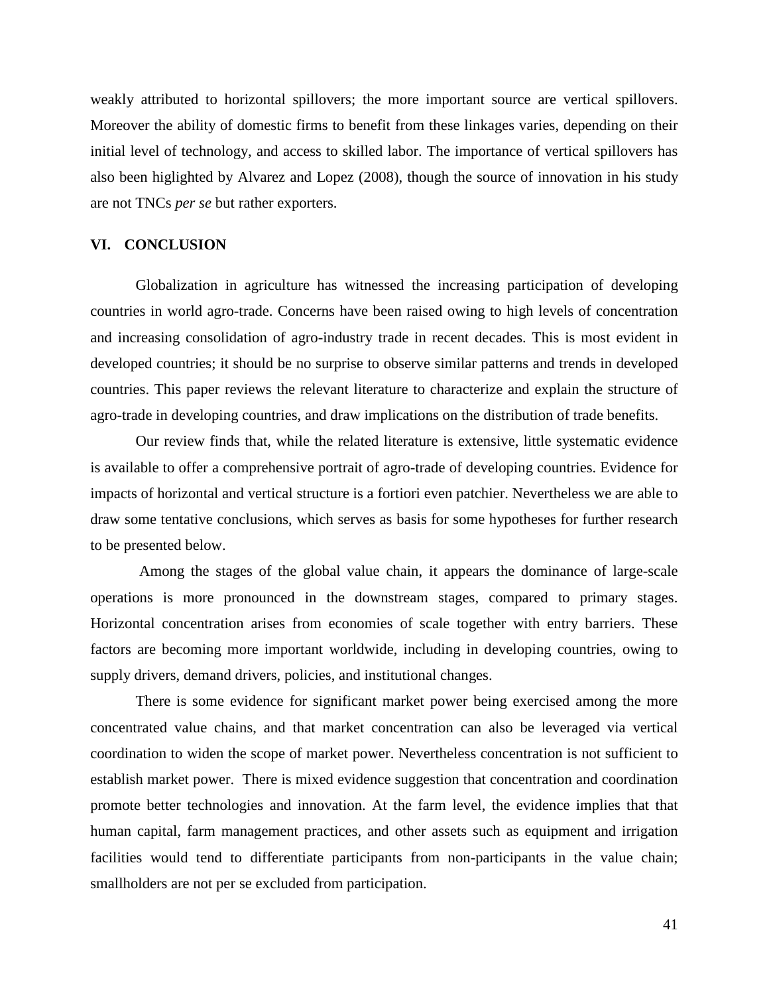weakly attributed to horizontal spillovers; the more important source are vertical spillovers. Moreover the ability of domestic firms to benefit from these linkages varies, depending on their initial level of technology, and access to skilled labor. The importance of vertical spillovers has also been higlighted by Alvarez and Lopez (2008), though the source of innovation in his study are not TNCs *per se* but rather exporters.

## **VI. CONCLUSION**

Globalization in agriculture has witnessed the increasing participation of developing countries in world agro-trade. Concerns have been raised owing to high levels of concentration and increasing consolidation of agro-industry trade in recent decades. This is most evident in developed countries; it should be no surprise to observe similar patterns and trends in developed countries. This paper reviews the relevant literature to characterize and explain the structure of agro-trade in developing countries, and draw implications on the distribution of trade benefits.

Our review finds that, while the related literature is extensive, little systematic evidence is available to offer a comprehensive portrait of agro-trade of developing countries. Evidence for impacts of horizontal and vertical structure is a fortiori even patchier. Nevertheless we are able to draw some tentative conclusions, which serves as basis for some hypotheses for further research to be presented below.

Among the stages of the global value chain, it appears the dominance of large-scale operations is more pronounced in the downstream stages, compared to primary stages. Horizontal concentration arises from economies of scale together with entry barriers. These factors are becoming more important worldwide, including in developing countries, owing to supply drivers, demand drivers, policies, and institutional changes.

There is some evidence for significant market power being exercised among the more concentrated value chains, and that market concentration can also be leveraged via vertical coordination to widen the scope of market power. Nevertheless concentration is not sufficient to establish market power. There is mixed evidence suggestion that concentration and coordination promote better technologies and innovation. At the farm level, the evidence implies that that human capital, farm management practices, and other assets such as equipment and irrigation facilities would tend to differentiate participants from non-participants in the value chain; smallholders are not per se excluded from participation.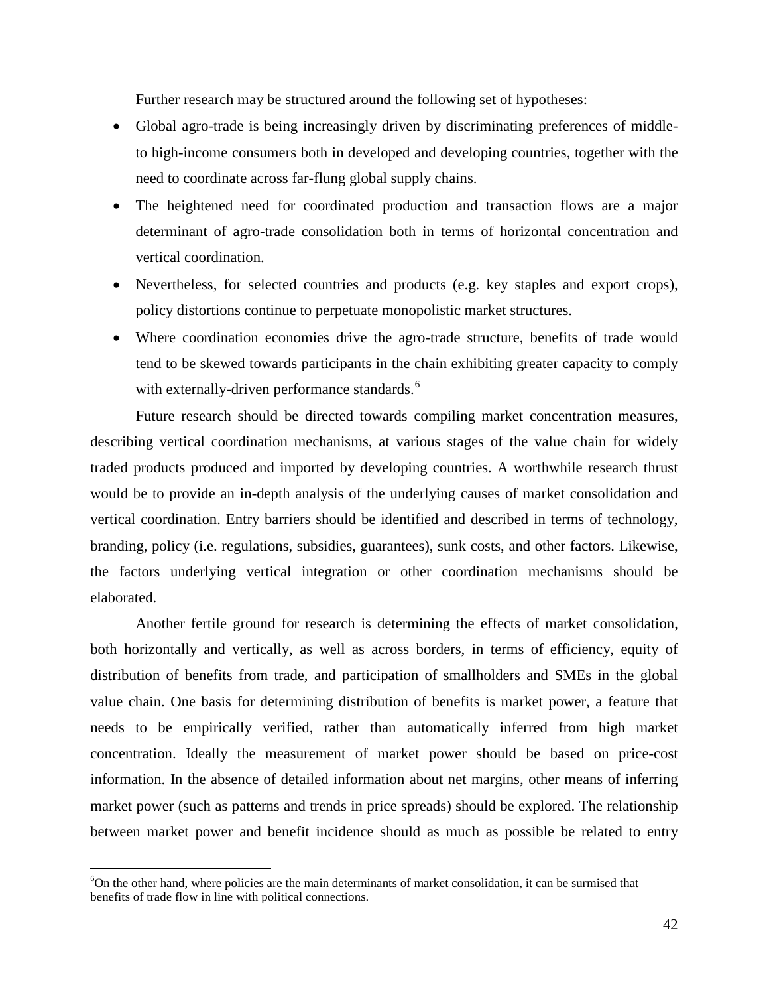Further research may be structured around the following set of hypotheses:

- Global agro-trade is being increasingly driven by discriminating preferences of middleto high-income consumers both in developed and developing countries, together with the need to coordinate across far-flung global supply chains.
- The heightened need for coordinated production and transaction flows are a major determinant of agro-trade consolidation both in terms of horizontal concentration and vertical coordination.
- Nevertheless, for selected countries and products (e.g. key staples and export crops), policy distortions continue to perpetuate monopolistic market structures.
- Where coordination economies drive the agro-trade structure, benefits of trade would tend to be skewed towards participants in the chain exhibiting greater capacity to comply with externally-driven performance standards.<sup>[6](#page-42-0)</sup>

Future research should be directed towards compiling market concentration measures, describing vertical coordination mechanisms, at various stages of the value chain for widely traded products produced and imported by developing countries. A worthwhile research thrust would be to provide an in-depth analysis of the underlying causes of market consolidation and vertical coordination. Entry barriers should be identified and described in terms of technology, branding, policy (i.e. regulations, subsidies, guarantees), sunk costs, and other factors. Likewise, the factors underlying vertical integration or other coordination mechanisms should be elaborated.

Another fertile ground for research is determining the effects of market consolidation, both horizontally and vertically, as well as across borders, in terms of efficiency, equity of distribution of benefits from trade, and participation of smallholders and SMEs in the global value chain. One basis for determining distribution of benefits is market power, a feature that needs to be empirically verified, rather than automatically inferred from high market concentration. Ideally the measurement of market power should be based on price-cost information. In the absence of detailed information about net margins, other means of inferring market power (such as patterns and trends in price spreads) should be explored. The relationship between market power and benefit incidence should as much as possible be related to entry

<span id="page-42-0"></span> <sup>6</sup>  $6$ On the other hand, where policies are the main determinants of market consolidation, it can be surmised that benefits of trade flow in line with political connections.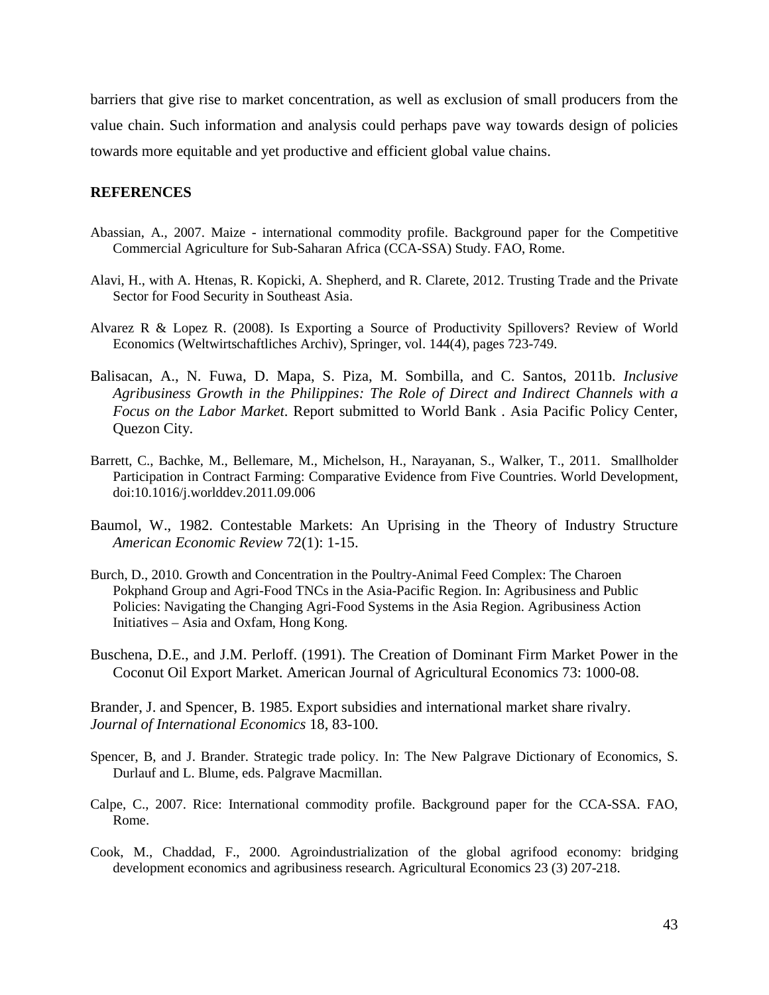barriers that give rise to market concentration, as well as exclusion of small producers from the value chain. Such information and analysis could perhaps pave way towards design of policies towards more equitable and yet productive and efficient global value chains.

## **REFERENCES**

- Abassian, A., 2007. Maize international commodity profile. Background paper for the Competitive Commercial Agriculture for Sub-Saharan Africa (CCA-SSA) Study. FAO, Rome.
- Alavi, H., with A. Htenas, R. Kopicki, A. Shepherd, and R. Clarete, 2012. Trusting Trade and the Private Sector for Food Security in Southeast Asia.
- Alvarez R & Lopez R. (2008). Is Exporting a Source of Productivity Spillovers? Review of World Economics (Weltwirtschaftliches Archiv), Springer, vol. 144(4), pages 723-749.
- Balisacan, A., N. Fuwa, D. Mapa, S. Piza, M. Sombilla, and C. Santos, 2011b. *Inclusive Agribusiness Growth in the Philippines: The Role of Direct and Indirect Channels with a Focus on the Labor Market*. Report submitted to World Bank . Asia Pacific Policy Center, Quezon City.
- Barrett, C., Bachke, M., Bellemare, M., Michelson, H., Narayanan, S., Walker, T., 2011. Smallholder Participation in Contract Farming: Comparative Evidence from Five Countries. World Development, doi:10.1016/j.worlddev.2011.09.006
- Baumol, W., 1982. Contestable Markets: An Uprising in the Theory of Industry Structure *American Economic Review* 72(1): 1-15.
- Burch, D., 2010. Growth and Concentration in the Poultry-Animal Feed Complex: The Charoen Pokphand Group and Agri-Food TNCs in the Asia-Pacific Region. In: Agribusiness and Public Policies: Navigating the Changing Agri-Food Systems in the Asia Region. Agribusiness Action Initiatives – Asia and Oxfam, Hong Kong.
- Buschena, D.E., and J.M. Perloff. (1991). The Creation of Dominant Firm Market Power in the Coconut Oil Export Market. American Journal of Agricultural Economics 73: 1000-08.

Brander, J. and Spencer, B. 1985. Export subsidies and international market share rivalry. *Journal of International Economics* 18, 83-100.

- Spencer, B, and J. Brander. Strategic trade policy. In: The New Palgrave Dictionary of Economics, S. Durlauf and L. Blume, eds. Palgrave Macmillan.
- Calpe, C., 2007. Rice: International commodity profile. Background paper for the CCA-SSA. FAO, Rome.
- Cook, M., Chaddad, F., 2000. Agroindustrialization of the global agrifood economy: bridging development economics and agribusiness research. Agricultural Economics 23 (3) 207-218.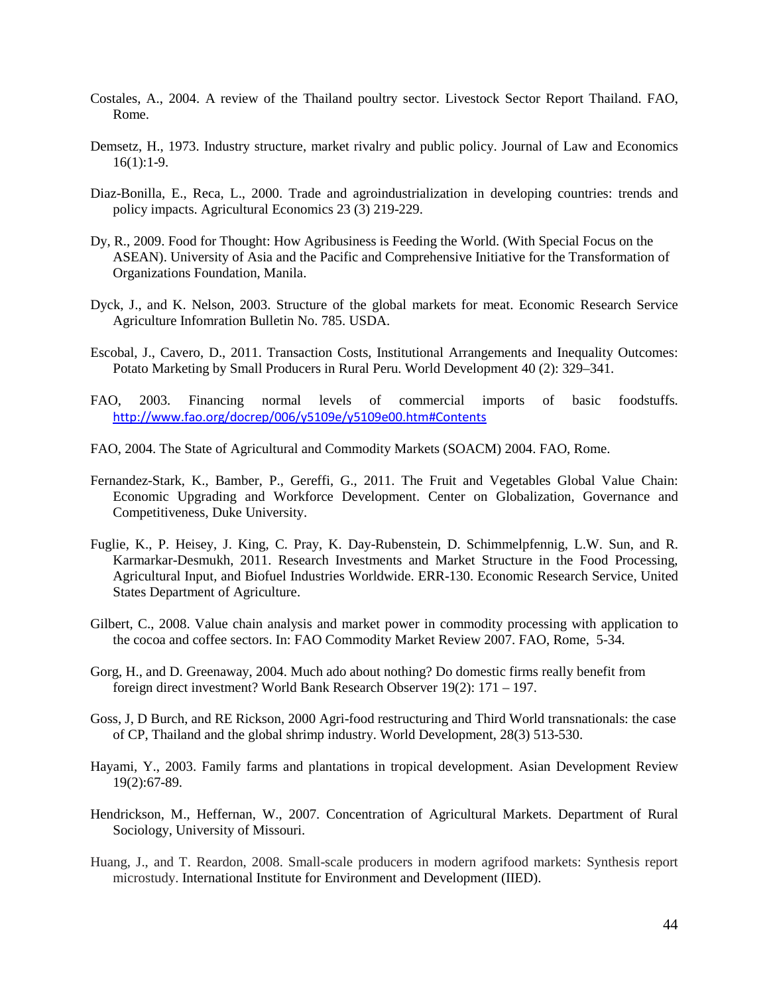- Costales, A., 2004. A review of the Thailand poultry sector. Livestock Sector Report Thailand. FAO, Rome.
- Demsetz, H., 1973. Industry structure, market rivalry and public policy. Journal of Law and Economics 16(1):1-9.
- Diaz-Bonilla, E., Reca, L., 2000. Trade and agroindustrialization in developing countries: trends and policy impacts. Agricultural Economics 23 (3) 219-229.
- Dy, R., 2009. Food for Thought: How Agribusiness is Feeding the World. (With Special Focus on the ASEAN). University of Asia and the Pacific and Comprehensive Initiative for the Transformation of Organizations Foundation, Manila.
- Dyck, J., and K. Nelson, 2003. Structure of the global markets for meat. Economic Research Service Agriculture Infomration Bulletin No. 785. USDA.
- Escobal, J., Cavero, D., 2011. Transaction Costs, Institutional Arrangements and Inequality Outcomes: Potato Marketing by Small Producers in Rural Peru. World Development 40 (2): 329–341.
- FAO, 2003. Financing normal levels of commercial imports of basic foodstuffs. <http://www.fao.org/docrep/006/y5109e/y5109e00.htm#Contents>
- FAO, 2004. The State of Agricultural and Commodity Markets (SOACM) 2004. FAO, Rome.
- Fernandez-Stark, K., Bamber, P., Gereffi, G., 2011. The Fruit and Vegetables Global Value Chain: Economic Upgrading and Workforce Development. Center on Globalization, Governance and Competitiveness, Duke University.
- Fuglie, K., P. Heisey, J. King, C. Pray, K. Day-Rubenstein, D. Schimmelpfennig, L.W. Sun, and R. Karmarkar-Desmukh, 2011. Research Investments and Market Structure in the Food Processing, Agricultural Input, and Biofuel Industries Worldwide. ERR-130. Economic Research Service, United States Department of Agriculture.
- Gilbert, C., 2008. Value chain analysis and market power in commodity processing with application to the cocoa and coffee sectors. In: FAO Commodity Market Review 2007. FAO, Rome, 5-34.
- Gorg, H., and D. Greenaway, 2004. Much ado about nothing? Do domestic firms really benefit from foreign direct investment? World Bank Research Observer 19(2): 171 – 197.
- Goss, J, D Burch, and RE Rickson, 2000 Agri-food restructuring and Third World transnationals: the case of CP, Thailand and the global shrimp industry. World Development, 28(3) 513-530.
- Hayami, Y., 2003. Family farms and plantations in tropical development. Asian Development Review 19(2):67-89.
- Hendrickson, M., Heffernan, W., 2007. Concentration of Agricultural Markets. Department of Rural Sociology, University of Missouri.
- Huang, J., and T. Reardon, 2008. Small-scale producers in modern agrifood markets: Synthesis report microstudy. International Institute for Environment and Development (IIED).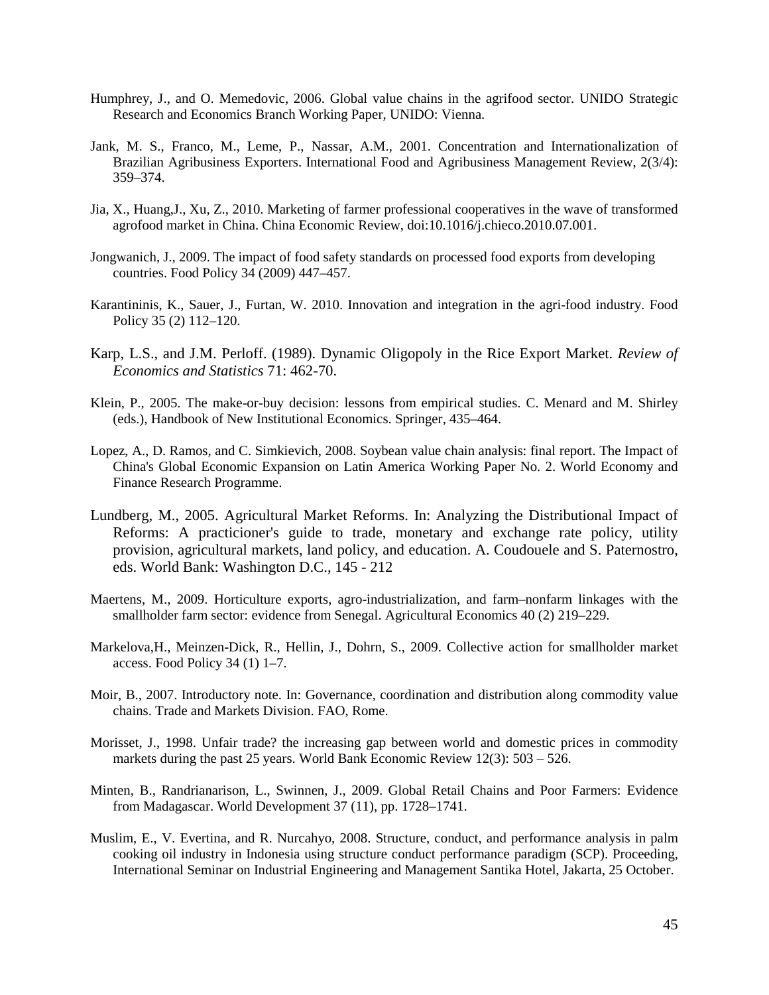- Humphrey, J., and O. Memedovic, 2006. Global value chains in the agrifood sector. UNIDO Strategic Research and Economics Branch Working Paper, UNIDO: Vienna.
- Jank, M. S., Franco, M., Leme, P., Nassar, A.M., 2001. Concentration and Internationalization of Brazilian Agribusiness Exporters. International Food and Agribusiness Management Review, 2(3/4): 359–374.
- Jia, X., Huang,J., Xu, Z., 2010. Marketing of farmer professional cooperatives in the wave of transformed agrofood market in China. China Economic Review, doi:10.1016/j.chieco.2010.07.001.
- Jongwanich, J., 2009. The impact of food safety standards on processed food exports from developing countries. Food Policy 34 (2009) 447–457.
- Karantininis, K., Sauer, J., Furtan, W. 2010. Innovation and integration in the agri-food industry. Food Policy 35 (2) 112–120.
- Karp, L.S., and J.M. Perloff. (1989). Dynamic Oligopoly in the Rice Export Market. *Review of Economics and Statistics* 71: 462-70.
- Klein, P., 2005. The make-or-buy decision: lessons from empirical studies. C. Menard and M. Shirley (eds.), Handbook of New Institutional Economics. Springer, 435–464.
- Lopez, A., D. Ramos, and C. Simkievich, 2008. Soybean value chain analysis: final report. The Impact of China's Global Economic Expansion on Latin America Working Paper No. 2. World Economy and Finance Research Programme.
- Lundberg, M., 2005. Agricultural Market Reforms. In: Analyzing the Distributional Impact of Reforms: A practicioner's guide to trade, monetary and exchange rate policy, utility provision, agricultural markets, land policy, and education. A. Coudouele and S. Paternostro, eds. World Bank: Washington D.C., 145 - 212
- Maertens, M., 2009. Horticulture exports, agro-industrialization, and farm–nonfarm linkages with the smallholder farm sector: evidence from Senegal. Agricultural Economics 40 (2) 219–229.
- Markelova,H., Meinzen-Dick, R., Hellin, J., Dohrn, S., 2009. Collective action for smallholder market access. Food Policy 34 (1) 1–7.
- Moir, B., 2007. Introductory note. In: Governance, coordination and distribution along commodity value chains. Trade and Markets Division. FAO, Rome.
- Morisset, J., 1998. Unfair trade? the increasing gap between world and domestic prices in commodity markets during the past 25 years. World Bank Economic Review 12(3): 503 – 526.
- Minten, B., Randrianarison, L., Swinnen, J., 2009. Global Retail Chains and Poor Farmers: Evidence from Madagascar. World Development 37 (11), pp. 1728–1741.
- Muslim, E., V. Evertina, and R. Nurcahyo, 2008. Structure, conduct, and performance analysis in palm cooking oil industry in Indonesia using structure conduct performance paradigm (SCP). Proceeding, International Seminar on Industrial Engineering and Management Santika Hotel, Jakarta, 25 October.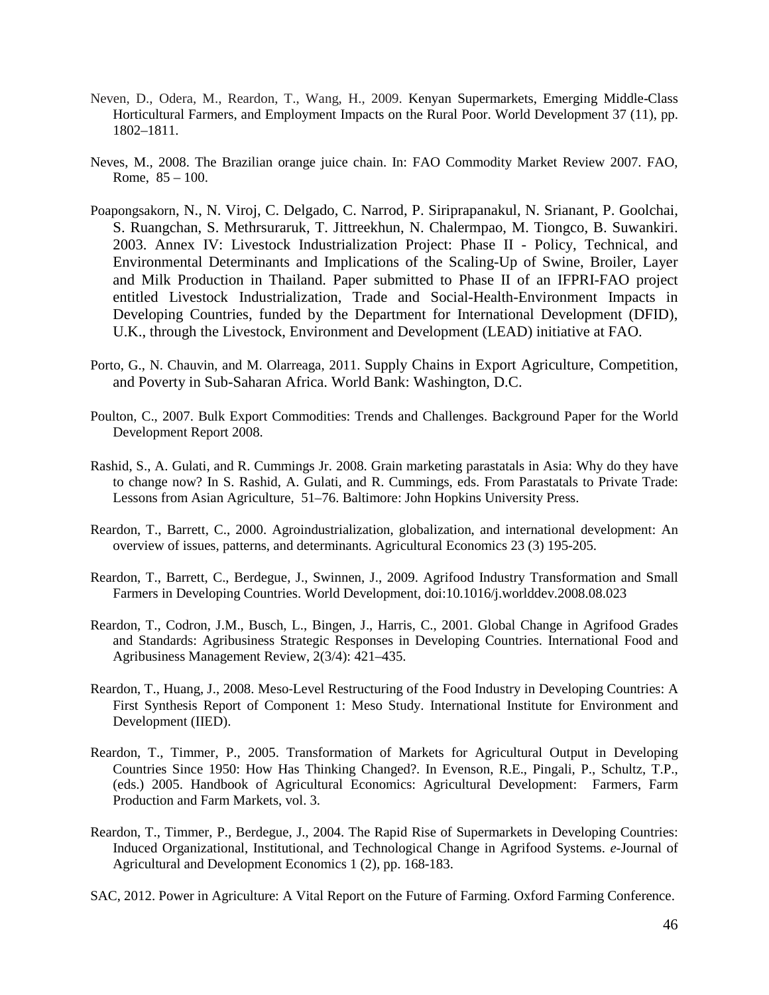- Neven, D., Odera, M., Reardon, T., Wang, H., 2009. Kenyan Supermarkets, Emerging Middle-Class Horticultural Farmers, and Employment Impacts on the Rural Poor. World Development 37 (11), pp. 1802–1811.
- Neves, M., 2008. The Brazilian orange juice chain. In: FAO Commodity Market Review 2007. FAO, Rome,  $85 - 100$ .
- Poapongsakorn, N., N. Viroj, C. Delgado, C. Narrod, P. Siriprapanakul, N. Srianant, P. Goolchai, S. Ruangchan, S. Methrsuraruk, T. Jittreekhun, N. Chalermpao, M. Tiongco, B. Suwankiri. 2003. Annex IV: Livestock Industrialization Project: Phase II - Policy, Technical, and Environmental Determinants and Implications of the Scaling-Up of Swine, Broiler, Layer and Milk Production in Thailand. Paper submitted to Phase II of an IFPRI-FAO project entitled Livestock Industrialization, Trade and Social-Health-Environment Impacts in Developing Countries, funded by the Department for International Development (DFID), U.K., through the Livestock, Environment and Development (LEAD) initiative at FAO.
- Porto, G., N. Chauvin, and M. Olarreaga, 2011. Supply Chains in Export Agriculture, Competition, and Poverty in Sub-Saharan Africa. World Bank: Washington, D.C.
- Poulton, C., 2007. Bulk Export Commodities: Trends and Challenges. Background Paper for the World Development Report 2008.
- Rashid, S., A. Gulati, and R. Cummings Jr. 2008. Grain marketing parastatals in Asia: Why do they have to change now? In S. Rashid, A. Gulati, and R. Cummings, eds. From Parastatals to Private Trade: Lessons from Asian Agriculture, 51–76. Baltimore: John Hopkins University Press.
- Reardon, T., Barrett, C., 2000. Agroindustrialization, globalization, and international development: An overview of issues, patterns, and determinants. Agricultural Economics 23 (3) 195-205.
- Reardon, T., Barrett, C., Berdegue, J., Swinnen, J., 2009. Agrifood Industry Transformation and Small Farmers in Developing Countries. World Development, doi:10.1016/j.worlddev.2008.08.023
- Reardon, T., Codron, J.M., Busch, L., Bingen, J., Harris, C., 2001. Global Change in Agrifood Grades and Standards: Agribusiness Strategic Responses in Developing Countries. International Food and Agribusiness Management Review, 2(3/4): 421–435.
- Reardon, T., Huang, J., 2008. Meso-Level Restructuring of the Food Industry in Developing Countries: A First Synthesis Report of Component 1: Meso Study. International Institute for Environment and Development (IIED).
- Reardon, T., Timmer, P., 2005. Transformation of Markets for Agricultural Output in Developing Countries Since 1950: How Has Thinking Changed?. In Evenson, R.E., Pingali, P., Schultz, T.P., (eds.) 2005. Handbook of Agricultural Economics: Agricultural Development: Farmers, Farm Production and Farm Markets, vol. 3.
- Reardon, T., Timmer, P., Berdegue, J., 2004. The Rapid Rise of Supermarkets in Developing Countries: Induced Organizational, Institutional, and Technological Change in Agrifood Systems. *e-*Journal of Agricultural and Development Economics 1 (2), pp. 168-183.
- SAC, 2012. Power in Agriculture: A Vital Report on the Future of Farming. Oxford Farming Conference.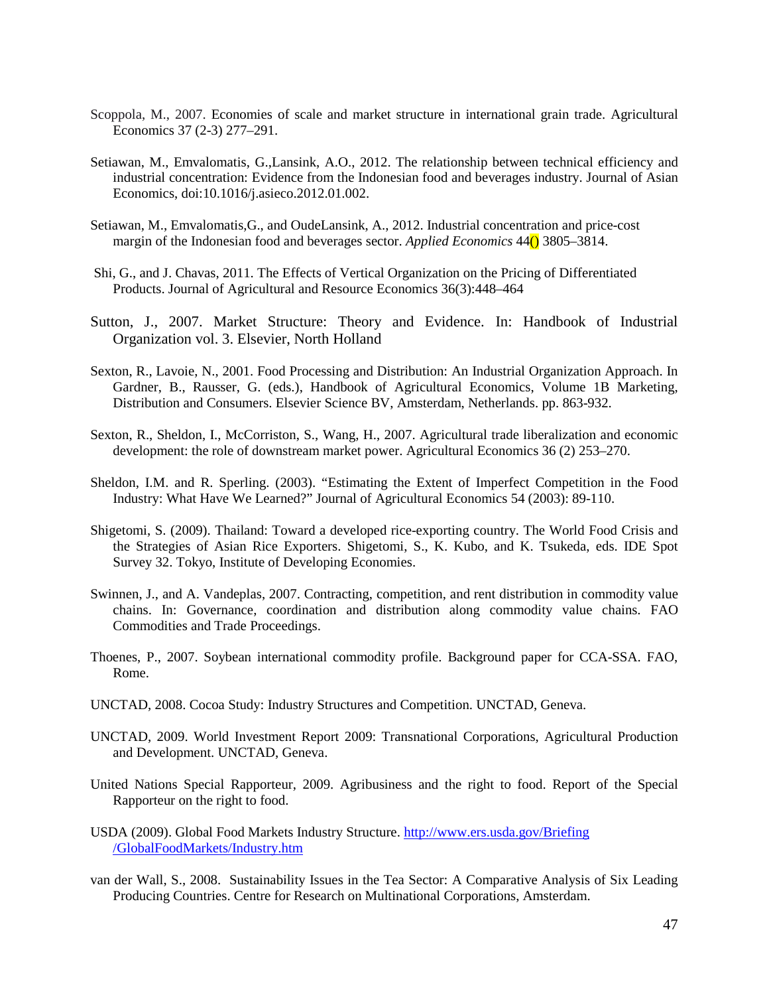- Scoppola, M., 2007. Economies of scale and market structure in international grain trade. Agricultural Economics 37 (2-3) 277–291.
- Setiawan, M., Emvalomatis, G.,Lansink, A.O., 2012. The relationship between technical efficiency and industrial concentration: Evidence from the Indonesian food and beverages industry. Journal of Asian Economics, doi:10.1016/j.asieco.2012.01.002.
- Setiawan, M., Emvalomatis,G., and OudeLansink, A., 2012. Industrial concentration and price-cost margin of the Indonesian food and beverages sector. *Applied Economics* 44() 3805–3814.
- Shi, G., and J. Chavas, 2011. The Effects of Vertical Organization on the Pricing of Differentiated Products. Journal of Agricultural and Resource Economics 36(3):448–464
- Sutton, J., 2007. Market Structure: Theory and Evidence. In: [Handbook of Industrial](http://econpapers.repec.org/bookchap/eeeindhes/3.htm)  [Organization](http://econpapers.repec.org/bookchap/eeeindhes/3.htm) vol. 3. [Elsevier,](http://www.elsevier.com/wps/find/bookseriesdescription.cws_home/BS_HE/description) North Holland
- Sexton, R., Lavoie, N., 2001. Food Processing and Distribution: An Industrial Organization Approach. In Gardner, B., Rausser, G. (eds.), Handbook of Agricultural Economics, Volume 1B Marketing, Distribution and Consumers. Elsevier Science BV, Amsterdam, Netherlands. pp. 863-932.
- Sexton, R., Sheldon, I., McCorriston, S., Wang, H., 2007. Agricultural trade liberalization and economic development: the role of downstream market power. Agricultural Economics 36 (2) 253–270.
- Sheldon, I.M. and R. Sperling. (2003). "Estimating the Extent of Imperfect Competition in the Food Industry: What Have We Learned?" Journal of Agricultural Economics 54 (2003): 89-110.
- Shigetomi, S. (2009). Thailand: Toward a developed rice-exporting country. The World Food Crisis and the Strategies of Asian Rice Exporters. Shigetomi, S., K. Kubo, and K. Tsukeda, eds. IDE Spot Survey 32. Tokyo, Institute of Developing Economies.
- Swinnen, J., and A. Vandeplas, 2007. Contracting, competition, and rent distribution in commodity value chains. In: Governance, coordination and distribution along commodity value chains. FAO Commodities and Trade Proceedings.
- Thoenes, P., 2007. Soybean international commodity profile. Background paper for CCA-SSA. FAO, Rome.
- UNCTAD, 2008. Cocoa Study: Industry Structures and Competition. UNCTAD, Geneva.
- UNCTAD, 2009. World Investment Report 2009: Transnational Corporations, Agricultural Production and Development. UNCTAD, Geneva.
- United Nations Special Rapporteur, 2009. Agribusiness and the right to food. Report of the Special Rapporteur on the right to food.
- USDA (2009). Global Food Markets Industry Structure. [http://www.ers.usda.gov/Briefing](http://www.ers.usda.gov/Briefing%20/GlobalFoodMarkets/Industry.htm)  [/GlobalFoodMarkets/Industry.htm](http://www.ers.usda.gov/Briefing%20/GlobalFoodMarkets/Industry.htm)
- van der Wall, S., 2008. Sustainability Issues in the Tea Sector: A Comparative Analysis of Six Leading Producing Countries. Centre for Research on Multinational Corporations, Amsterdam.